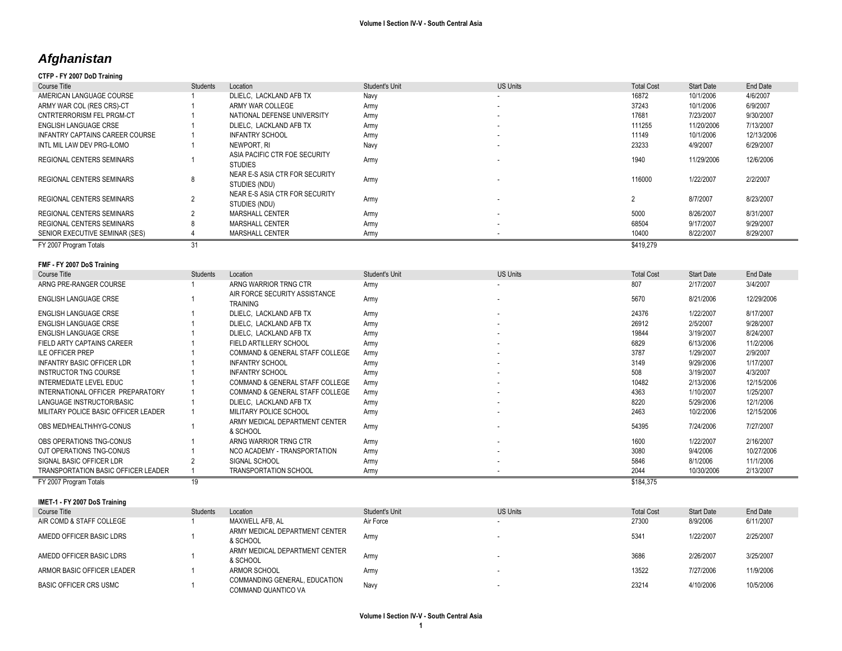# *Afghanistan*

# **CTFP - FY 2007 DoD Training**

| Course Title                     | Students | Location                                        | <b>Student's Unit</b> | US Units                 | <b>Total Cost</b> | <b>Start Date</b> | End Date   |
|----------------------------------|----------|-------------------------------------------------|-----------------------|--------------------------|-------------------|-------------------|------------|
| AMERICAN LANGUAGE COURSE         |          | DLIELC. LACKLAND AFB TX                         | Navv                  | $\overline{\phantom{a}}$ | 16872             | 10/1/2006         | 4/6/2007   |
| ARMY WAR COL (RES CRS)-CT        |          | ARMY WAR COLLEGE                                | Army                  |                          | 37243             | 10/1/2006         | 6/9/2007   |
| CNTRTERRORISM FEL PRGM-CT        |          | NATIONAL DEFENSE UNIVERSITY                     | Army                  |                          | 17681             | 7/23/2007         | 9/30/2007  |
| ENGLISH LANGUAGE CRSE            |          | DLIELC. LACKLAND AFB TX                         | Army                  | $\sim$                   | 111255            | 11/20/2006        | 7/13/2007  |
| INFANTRY CAPTAINS CAREER COURSE  |          | <b>INFANTRY SCHOOL</b>                          | Army                  | $\sim$                   | 11149             | 10/1/2006         | 12/13/2006 |
| INTL MIL LAW DEV PRG-ILOMO       |          | NEWPORT, RI                                     | Navy                  |                          | 23233             | 4/9/2007          | 6/29/2007  |
| REGIONAL CENTERS SEMINARS        |          | ASIA PACIFIC CTR FOE SECURITY<br><b>STUDIES</b> | Army                  |                          | 1940              | 11/29/2006        | 12/6/2006  |
| <b>REGIONAL CENTERS SEMINARS</b> |          | NEAR E-S ASIA CTR FOR SECURITY<br>STUDIES (NDU) | Army                  |                          | 116000            | 1/22/2007         | 2/2/2007   |
| <b>REGIONAL CENTERS SEMINARS</b> |          | NEAR E-S ASIA CTR FOR SECURITY<br>STUDIES (NDU) | Army                  |                          | 0                 | 8/7/2007          | 8/23/2007  |
| REGIONAL CENTERS SEMINARS        |          | MARSHALL CENTER                                 | Army                  | $\overline{\phantom{a}}$ | 5000              | 8/26/2007         | 8/31/2007  |
| REGIONAL CENTERS SEMINARS        |          | MARSHALL CENTER                                 | Army                  |                          | 68504             | 9/17/2007         | 9/29/2007  |
| SENIOR EXECUTIVE SEMINAR (SES)   |          | MARSHALL CENTER                                 | Army                  |                          | 10400             | 8/22/2007         | 8/29/2007  |
| FY 2007 Program Totals           |          |                                                 |                       |                          | \$419,279         |                   |            |

# **FMF - FY 2007 DoS Training**

| Course Title                         | <b>Students</b> | Location                                         | Student's Unit | <b>US Units</b>          | <b>Total Cost</b> | <b>Start Date</b> | End Date   |
|--------------------------------------|-----------------|--------------------------------------------------|----------------|--------------------------|-------------------|-------------------|------------|
| ARNG PRE-RANGER COURSE               |                 | ARNG WARRIOR TRNG CTR                            | Army           |                          | 807               | 2/17/2007         | 3/4/2007   |
| ENGLISH LANGUAGE CRSE                |                 | AIR FORCE SECURITY ASSISTANCE<br><b>TRAINING</b> | Army           |                          | 5670              | 8/21/2006         | 12/29/2006 |
| ENGLISH LANGUAGE CRSE                |                 | DLIELC. LACKLAND AFB TX                          | Army           | $\overline{\phantom{a}}$ | 24376             | 1/22/2007         | 8/17/2007  |
| ENGLISH LANGUAGE CRSE                |                 | DLIELC. LACKLAND AFB TX                          | Army           |                          | 26912             | 2/5/2007          | 9/28/2007  |
| ENGLISH LANGUAGE CRSE                |                 | DLIELC, LACKLAND AFB TX                          | Army           | ٠                        | 19844             | 3/19/2007         | 8/24/2007  |
| FIELD ARTY CAPTAINS CAREER           |                 | FIELD ARTILLERY SCHOOL                           | Army           | ٠                        | 6829              | 6/13/2006         | 11/2/2006  |
| <b>ILE OFFICER PREP</b>              |                 | COMMAND & GENERAL STAFF COLLEGE                  | Army           | ٠                        | 3787              | 1/29/2007         | 2/9/2007   |
| <b>INFANTRY BASIC OFFICER LDR</b>    |                 | <b>INFANTRY SCHOOL</b>                           | Army           | ۰                        | 3149              | 9/29/2006         | 1/17/2007  |
| INSTRUCTOR TNG COURSE                |                 | <b>INFANTRY SCHOOL</b>                           | Army           |                          | 508               | 3/19/2007         | 4/3/2007   |
| INTERMEDIATE LEVEL EDUC              |                 | COMMAND & GENERAL STAFF COLLEGE                  | Army           | ٠                        | 10482             | 2/13/2006         | 12/15/2006 |
| INTERNATIONAL OFFICER PREPARATORY    |                 | COMMAND & GENERAL STAFF COLLEGE                  | Army           | ٠                        | 4363              | 1/10/2007         | 1/25/2007  |
| LANGUAGE INSTRUCTOR/BASIC            |                 | DLIELC, LACKLAND AFB TX                          | Army           | ۰                        | 8220              | 5/29/2006         | 12/1/2006  |
| MILITARY POLICE BASIC OFFICER LEADER |                 | MILITARY POLICE SCHOOL                           | Army           |                          | 2463              | 10/2/2006         | 12/15/2006 |
| OBS MED/HEALTH/HYG-CONUS             |                 | ARMY MEDICAL DEPARTMENT CENTER<br>& SCHOOL       | Army           |                          | 54395             | 7/24/2006         | 7/27/2007  |
| OBS OPERATIONS TNG-CONUS             |                 | ARNG WARRIOR TRNG CTR                            | Army           | ۰                        | 1600              | 1/22/2007         | 2/16/2007  |
| OJT OPERATIONS TNG-CONUS             |                 | NCO ACADEMY - TRANSPORTATION                     | Army           | ۰.                       | 3080              | 9/4/2006          | 10/27/2006 |
| SIGNAL BASIC OFFICER LDR             |                 | SIGNAL SCHOOL                                    | Army           |                          | 5846              | 8/1/2006          | 11/1/2006  |
| TRANSPORTATION BASIC OFFICER LEADER  |                 | <b>TRANSPORTATION SCHOOL</b>                     | Army           |                          | 2044              | 10/30/2006        | 2/13/2007  |
| FY 2007 Program Totals               | 19              |                                                  |                |                          | \$184,375         |                   |            |

**IMET-1 - FY 2007 DoS Training**

| Course Title                  | <b>Students</b> | Location                                             | Student's Unit | <b>US Units</b> | <b>Total Cost</b> | <b>Start Date</b> | End Date  |
|-------------------------------|-----------------|------------------------------------------------------|----------------|-----------------|-------------------|-------------------|-----------|
| AIR COMD & STAFF COLLEGE      |                 | MAXWELL AFB. AL                                      | Air Force      |                 | 27300             | 8/9/2006          | 6/11/2007 |
| AMEDD OFFICER BASIC LDRS      |                 | ARMY MEDICAL DEPARTMENT CENTER<br>& SCHOOL           | <b>Army</b>    |                 | 5341              | 1/22/2007         | 2/25/2007 |
| AMEDD OFFICER BASIC LDRS      |                 | ARMY MEDICAL DEPARTMENT CENTER<br>& SCHOOL           | <b>Arm</b>     |                 | 3686              | 2/26/2007         | 3/25/2007 |
| ARMOR BASIC OFFICER LEADER    |                 | ARMOR SCHOOL                                         | <b>Army</b>    |                 | 13522             | 7/27/2006         | 11/9/2006 |
| <b>BASIC OFFICER CRS USMC</b> |                 | COMMANDING GENERAL, EDUCATION<br>COMMAND QUANTICO VA | Navy           |                 | 23214             | 4/10/2006         | 10/5/2006 |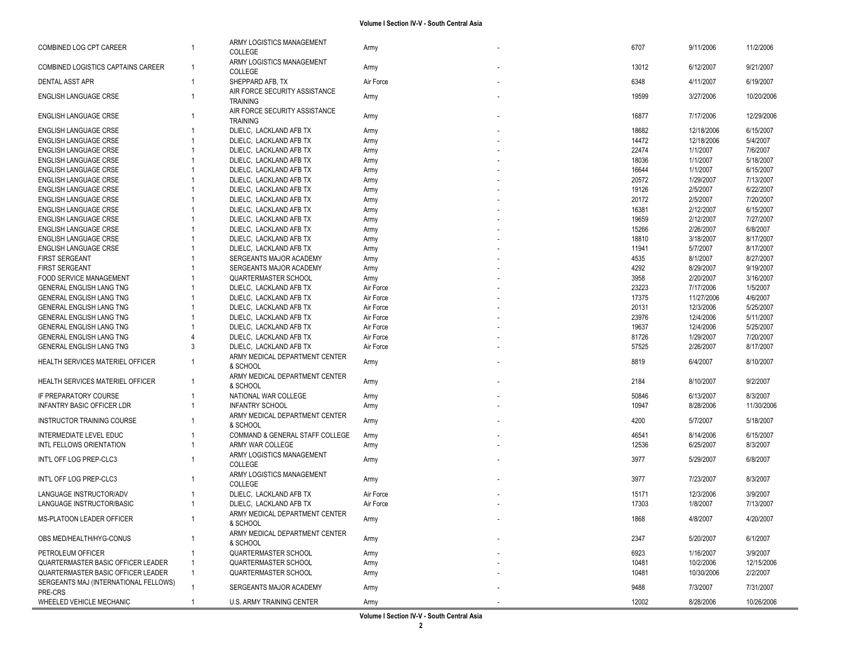| COMBINED LOG CPT CAREER               |              | ARMY LOGISTICS MANAGEMENT<br>COLLEGE             | Army      | 6707  | 9/11/2006  | 11/2/2006  |
|---------------------------------------|--------------|--------------------------------------------------|-----------|-------|------------|------------|
| COMBINED LOGISTICS CAPTAINS CAREER    |              | ARMY LOGISTICS MANAGEMENT<br>COLLEGE             | Army      | 13012 | 6/12/2007  | 9/21/2007  |
| DENTAL ASST APR                       | $\mathbf{1}$ | SHEPPARD AFB, TX                                 | Air Force | 6348  | 4/11/2007  | 6/19/2007  |
| <b>ENGLISH LANGUAGE CRSE</b>          |              | AIR FORCE SECURITY ASSISTANCE<br><b>TRAINING</b> | Army      | 19599 | 3/27/2006  | 10/20/2006 |
| <b>ENGLISH LANGUAGE CRSE</b>          |              | AIR FORCE SECURITY ASSISTANCE<br><b>TRAINING</b> | Army      | 16877 | 7/17/2006  | 12/29/2006 |
| <b>ENGLISH LANGUAGE CRSE</b>          |              | DLIELC, LACKLAND AFB TX                          | Army      | 18682 | 12/18/2006 | 6/15/2007  |
| <b>ENGLISH LANGUAGE CRSE</b>          |              | DLIELC, LACKLAND AFB TX                          | Army      | 14472 | 12/18/2006 | 5/4/2007   |
| <b>ENGLISH LANGUAGE CRSE</b>          |              | DLIELC, LACKLAND AFB TX                          | Army      | 22474 | 1/1/2007   | 7/6/2007   |
| <b>ENGLISH LANGUAGE CRSE</b>          |              | DLIELC, LACKLAND AFB TX                          | Army      | 18036 | 1/1/2007   | 5/18/2007  |
| <b>ENGLISH LANGUAGE CRSE</b>          |              | DLIELC. LACKLAND AFB TX                          | Army      | 16644 | 1/1/2007   | 6/15/2007  |
| <b>ENGLISH LANGUAGE CRSE</b>          |              | DLIELC, LACKLAND AFB TX                          | Army      | 20572 | 1/29/2007  | 7/13/2007  |
| <b>ENGLISH LANGUAGE CRSE</b>          |              | DLIELC, LACKLAND AFB TX                          | Army      | 19126 | 2/5/2007   | 6/22/2007  |
| <b>ENGLISH LANGUAGE CRSE</b>          |              | DLIELC, LACKLAND AFB TX                          | Army      | 20172 | 2/5/2007   | 7/20/2007  |
| ENGLISH LANGUAGE CRSE                 |              | DLIELC, LACKLAND AFB TX                          | Army      | 16381 | 2/12/2007  | 6/15/2007  |
| <b>ENGLISH LANGUAGE CRSE</b>          |              | DLIELC, LACKLAND AFB TX                          | Army      | 19659 | 2/12/2007  | 7/27/2007  |
| <b>ENGLISH LANGUAGE CRSE</b>          |              | DLIELC, LACKLAND AFB TX                          | Army      | 15266 | 2/26/2007  | 6/8/2007   |
| <b>ENGLISH LANGUAGE CRSE</b>          |              | DLIELC, LACKLAND AFB TX                          | Army      | 18810 | 3/18/2007  | 8/17/2007  |
| <b>ENGLISH LANGUAGE CRSE</b>          |              | DLIELC, LACKLAND AFB TX                          | Army      | 11941 | 5/7/2007   | 8/17/2007  |
| <b>FIRST SERGEANT</b>                 |              | SERGEANTS MAJOR ACADEMY                          | Army      | 4535  | 8/1/2007   | 8/27/2007  |
| <b>FIRST SERGEANT</b>                 |              | SERGEANTS MAJOR ACADEMY                          | Army      | 4292  | 8/29/2007  | 9/19/2007  |
| <b>FOOD SERVICE MANAGEMENT</b>        |              | <b>QUARTERMASTER SCHOOL</b>                      | Army      | 3958  | 2/20/2007  | 3/16/2007  |
| GENERAL ENGLISH LANG TNG              |              | DLIELC, LACKLAND AFB TX                          | Air Force | 23223 | 7/17/2006  | 1/5/2007   |
| <b>GENERAL ENGLISH LANG TNG</b>       |              | DLIELC, LACKLAND AFB TX                          | Air Force | 17375 | 11/27/2006 | 4/6/2007   |
| <b>GENERAL ENGLISH LANG TNG</b>       |              | DLIELC, LACKLAND AFB TX                          | Air Force | 20131 | 12/3/2006  | 5/25/2007  |
| GENERAL ENGLISH LANG TNG              |              | DLIELC, LACKLAND AFB TX                          | Air Force | 23976 | 12/4/2006  | 5/11/2007  |
| GENERAL ENGLISH LANG TNG              |              | DLIELC, LACKLAND AFB TX                          | Air Force | 19637 | 12/4/2006  | 5/25/2007  |
| GENERAL ENGLISH LANG TNG              |              | DLIELC, LACKLAND AFB TX                          | Air Force | 81726 | 1/29/2007  | 7/20/2007  |
| GENERAL ENGLISH LANG TNG              | 3            | DLIELC, LACKLAND AFB TX                          | Air Force | 57525 | 2/26/2007  | 8/17/2007  |
|                                       |              | ARMY MEDICAL DEPARTMENT CENTER                   |           |       |            |            |
| HEALTH SERVICES MATERIEL OFFICER      | -1           | & SCHOOL<br>ARMY MEDICAL DEPARTMENT CENTER       | Army      | 8819  | 6/4/2007   | 8/10/2007  |
| HEALTH SERVICES MATERIEL OFFICER      | 1            | & SCHOOL                                         | Army      | 2184  | 8/10/2007  | 9/2/2007   |
| IF PREPARATORY COURSE                 |              | NATIONAL WAR COLLEGE                             | Army      | 50846 | 6/13/2007  | 8/3/2007   |
| <b>INFANTRY BASIC OFFICER LDR</b>     |              | <b>INFANTRY SCHOOL</b>                           | Army      | 10947 | 8/28/2006  | 11/30/2006 |
| <b>INSTRUCTOR TRAINING COURSE</b>     |              | ARMY MEDICAL DEPARTMENT CENTER<br>& SCHOOL       | Army      | 4200  | 5/7/2007   | 5/18/2007  |
| INTERMEDIATE LEVEL EDUC               |              | COMMAND & GENERAL STAFF COLLEGE                  | Army      | 46541 | 8/14/2006  | 6/15/2007  |
| INTL FELLOWS ORIENTATION              |              | ARMY WAR COLLEGE                                 | Army      | 12536 | 6/25/2007  | 8/3/2007   |
|                                       |              | ARMY LOGISTICS MANAGEMENT                        |           |       |            |            |
| INT'L OFF LOG PREP-CLC3               |              | COLLEGE                                          | Army      | 3977  | 5/29/2007  | 6/8/2007   |
| INT'L OFF LOG PREP-CLC3               |              | ARMY LOGISTICS MANAGEMENT<br>COLLEGE             | Army      | 3977  | 7/23/2007  | 8/3/2007   |
| LANGUAGE INSTRUCTOR/ADV               |              | DLIELC, LACKLAND AFB TX                          | Air Force | 15171 | 12/3/2006  | 3/9/2007   |
| LANGUAGE INSTRUCTOR/BASIC             |              | DLIELC, LACKLAND AFB TX                          | Air Force | 17303 | 1/8/2007   | 7/13/2007  |
|                                       |              | ARMY MEDICAL DEPARTMENT CENTER                   |           |       |            |            |
| MS-PLATOON LEADER OFFICER             | -1           | & SCHOOL                                         | Army      | 1868  | 4/8/2007   | 4/20/2007  |
| OBS MED/HEALTH/HYG-CONUS              |              | ARMY MEDICAL DEPARTMENT CENTER<br>& SCHOOL       | Army      | 2347  | 5/20/2007  | 6/1/2007   |
| PETROLEUM OFFICER                     |              | QUARTERMASTER SCHOOL                             | Army      | 6923  | 1/16/2007  | 3/9/2007   |
| QUARTERMASTER BASIC OFFICER LEADER    |              | <b>QUARTERMASTER SCHOOL</b>                      | Army      | 10481 | 10/2/2006  | 12/15/2006 |
| QUARTERMASTER BASIC OFFICER LEADER    |              | QUARTERMASTER SCHOOL                             | Army      | 10481 | 10/30/2006 | 2/2/2007   |
| SERGEANTS MAJ (INTERNATIONAL FELLOWS) |              |                                                  |           |       |            |            |
| PRE-CRS                               |              | SERGEANTS MAJOR ACADEMY                          | Army      | 9488  | 7/3/2007   | 7/31/2007  |
| WHEELED VEHICLE MECHANIC              |              | <b>U.S. ARMY TRAINING CENTER</b>                 | Army      | 12002 | 8/28/2006  | 10/26/2006 |
|                                       |              |                                                  |           |       |            |            |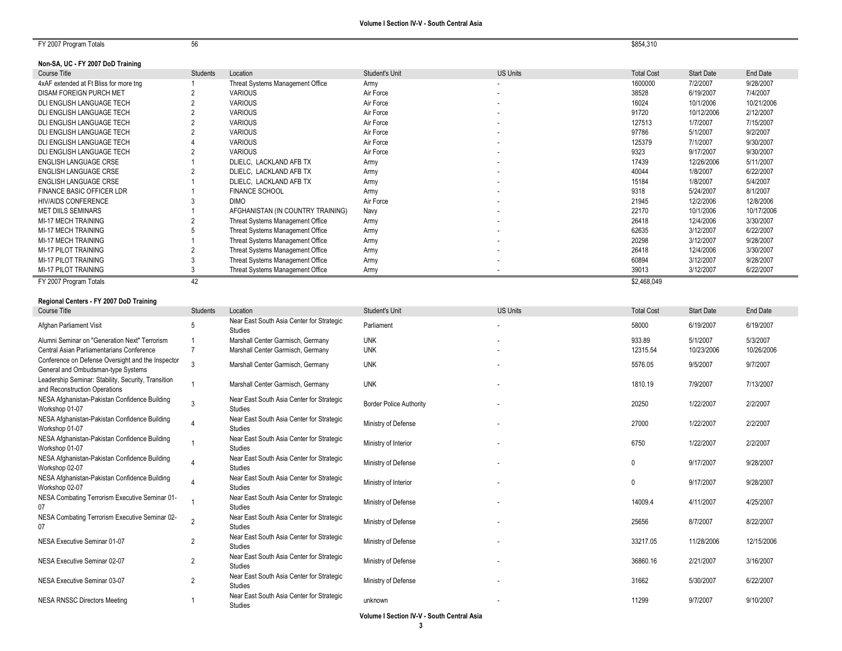FY 2007 Program Totals 56 \$854,31

## **Non-SA, UC - FY 2007 DoD Training**

| ኔ854.310 |  |
|----------|--|
|          |  |

| Course Title                           | Students | Location                          | Student's Unit | <b>US Units</b>          | <b>Total Cost</b> | <b>Start Date</b> | End Date   |
|----------------------------------------|----------|-----------------------------------|----------------|--------------------------|-------------------|-------------------|------------|
| 4xAF extended at Ft Bliss for more tng |          | Threat Systems Management Office  | Army           |                          | 1600000           | 7/2/2007          | 9/28/2007  |
| DISAM FOREIGN PURCH MET                |          | <b>VARIOUS</b>                    | Air Force      |                          | 38528             | 6/19/2007         | 7/4/2007   |
| DLI ENGLISH LANGUAGE TECH              |          | <b>VARIOUS</b>                    | Air Force      | $\overline{\phantom{a}}$ | 16024             | 10/1/2006         | 10/21/2006 |
| DLI ENGLISH LANGUAGE TECH              |          | <b>VARIOUS</b>                    | Air Force      |                          | 91720             | 10/12/2006        | 2/12/2007  |
| DLI ENGLISH LANGUAGE TECH              |          | <b>VARIOUS</b>                    | Air Force      |                          | 127513            | 1/7/2007          | 7/15/2007  |
| DLI ENGLISH LANGUAGE TECH              |          | <b>VARIOUS</b>                    | Air Force      |                          | 97786             | 5/1/2007          | 9/2/2007   |
| DLI ENGLISH LANGUAGE TECH              |          | <b>VARIOUS</b>                    | Air Force      | ۰.                       | 125379            | 7/1/2007          | 9/30/2007  |
| DLI ENGLISH LANGUAGE TECH              |          | <b>VARIOUS</b>                    | Air Force      |                          | 9323              | 9/17/2007         | 9/30/2007  |
| ENGLISH LANGUAGE CRSE                  |          | DLIELC, LACKLAND AFB TX           | Army           |                          | 17439             | 12/26/2006        | 5/11/2007  |
| ENGLISH LANGUAGE CRSE                  |          | DLIELC, LACKLAND AFB TX           | Army           | ۰.                       | 40044             | 1/8/2007          | 6/22/2007  |
| ENGLISH LANGUAGE CRSE                  |          | DLIELC, LACKLAND AFB TX           | Army           |                          | 15184             | 1/8/2007          | 5/4/2007   |
| <b>FINANCE BASIC OFFICER LDR</b>       |          | <b>FINANCE SCHOOL</b>             | Army           |                          | 9318              | 5/24/2007         | 8/1/2007   |
| <b>HIV/AIDS CONFERENCE</b>             |          | DIMO                              | Air Force      |                          | 21945             | 12/2/2006         | 12/8/2006  |
| <b>MET DIILS SEMINARS</b>              |          | AFGHANISTAN (IN COUNTRY TRAINING) | Navv           |                          | 22170             | 10/1/2006         | 10/17/2006 |
| MI-17 MECH TRAINING                    |          | Threat Systems Management Office  | Army           |                          | 26418             | 12/4/2006         | 3/30/2007  |
| MI-17 MECH TRAINING                    |          | Threat Systems Management Office  | Army           |                          | 62635             | 3/12/2007         | 6/22/2007  |
| MI-17 MECH TRAINING                    |          | Threat Systems Management Office  | Army           |                          | 20298             | 3/12/2007         | 9/28/2007  |
| MI-17 PILOT TRAINING                   |          | Threat Systems Management Office  | Army           |                          | 26418             | 12/4/2006         | 3/30/2007  |
| MI-17 PILOT TRAINING                   |          | Threat Systems Management Office  | Army           |                          | 60894             | 3/12/2007         | 9/28/2007  |
| MI-17 PILOT TRAINING                   |          | Threat Systems Management Office  | Army           |                          | 39013             | 3/12/2007         | 6/22/2007  |
| FY 2007 Program Totals                 | 42       |                                   |                |                          | \$2,468,049       |                   |            |

| Regional Centers - FY 2007 DoD Training                                                 |                 |                                                             |                                |                 |                   |                   |            |
|-----------------------------------------------------------------------------------------|-----------------|-------------------------------------------------------------|--------------------------------|-----------------|-------------------|-------------------|------------|
| Course Title                                                                            | <b>Students</b> | Location                                                    | Student's Unit                 | <b>US Units</b> | <b>Total Cost</b> | <b>Start Date</b> | End Date   |
| Afghan Parliament Visit                                                                 | 5               | Near East South Asia Center for Strategic<br>Studies        | Parliament                     |                 | 58000             | 6/19/2007         | 6/19/2007  |
| Alumni Seminar on "Generation Next" Terrorism                                           |                 | Marshall Center Garmisch, Germany                           | <b>UNK</b>                     |                 | 933.89            | 5/1/2007          | 5/3/2007   |
| Central Asian Parliamentarians Conference                                               |                 | Marshall Center Garmisch, Germany                           | <b>UNK</b>                     |                 | 12315.54          | 10/23/2006        | 10/26/2006 |
| Conference on Defense Oversight and the Inspector<br>General and Ombudsman-type Systems |                 | Marshall Center Garmisch, Germany                           | <b>UNK</b>                     |                 | 5576.05           | 9/5/2007          | 9/7/2007   |
| Leadership Seminar: Stability, Security, Transition<br>and Reconstruction Operations    |                 | Marshall Center Garmisch, Germany                           | <b>UNK</b>                     |                 | 1810.19           | 7/9/2007          | 7/13/2007  |
| NESA Afghanistan-Pakistan Confidence Building<br>Workshop 01-07                         | 3               | Near East South Asia Center for Strategic<br><b>Studies</b> | <b>Border Police Authority</b> |                 | 20250             | 1/22/2007         | 2/2/2007   |
| NESA Afghanistan-Pakistan Confidence Building<br>Workshop 01-07                         |                 | Near East South Asia Center for Strategic<br><b>Studies</b> | Ministry of Defense            |                 | 27000             | 1/22/2007         | 2/2/2007   |
| NESA Afghanistan-Pakistan Confidence Building<br>Workshop 01-07                         |                 | Near East South Asia Center for Strategic<br><b>Studies</b> | Ministry of Interior           |                 | 6750              | 1/22/2007         | 2/2/2007   |
| NESA Afghanistan-Pakistan Confidence Building<br>Workshop 02-07                         |                 | Near East South Asia Center for Strategic<br>Studies        | Ministry of Defense            |                 | $\Omega$          | 9/17/2007         | 9/28/2007  |
| NESA Afghanistan-Pakistan Confidence Building<br>Workshop 02-07                         |                 | Near East South Asia Center for Strategic<br>Studies        | Ministry of Interior           |                 | $\Omega$          | 9/17/2007         | 9/28/2007  |
| NESA Combating Terrorism Executive Seminar 01-<br>07                                    |                 | Near East South Asia Center for Strategic<br>Studies        | Ministry of Defense            |                 | 14009.4           | 4/11/2007         | 4/25/2007  |
| NESA Combating Terrorism Executive Seminar 02-<br>07                                    |                 | Near East South Asia Center for Strategic<br><b>Studies</b> | Ministry of Defense            |                 | 25656             | 8/7/2007          | 8/22/2007  |
| NESA Executive Seminar 01-07                                                            | $\overline{2}$  | Near East South Asia Center for Strategic<br>Studies        | Ministry of Defense            |                 | 33217.05          | 11/28/2006        | 12/15/2006 |
| NESA Executive Seminar 02-07                                                            | $\overline{2}$  | Near East South Asia Center for Strategic<br>Studies        | Ministry of Defense            |                 | 36860.16          | 2/21/2007         | 3/16/2007  |
| NESA Executive Seminar 03-07                                                            | $\overline{2}$  | Near East South Asia Center for Strategic<br><b>Studies</b> | Ministry of Defense            |                 | 31662             | 5/30/2007         | 6/22/2007  |
| <b>NESA RNSSC Directors Meeting</b>                                                     |                 | Near East South Asia Center for Strategic<br>Studies        | unknown                        |                 | 11299             | 9/7/2007          | 9/10/2007  |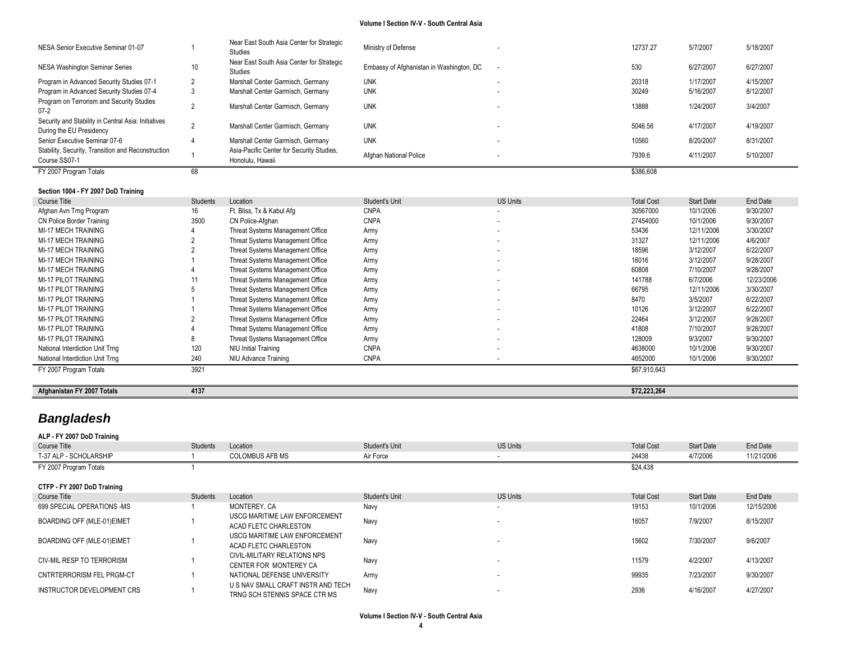| NESA Senior Executive Seminar 01-07                                             |    | Near East South Asia Center for Strategic<br>Studies          | Ministry of Defense                      | 12737.27  | 5/7/2007  | 5/18/2007 |
|---------------------------------------------------------------------------------|----|---------------------------------------------------------------|------------------------------------------|-----------|-----------|-----------|
| NESA Washington Seminar Series                                                  | 10 | Near East South Asia Center for Strategic<br>Studies          | Embassy of Afghanistan in Washington, DC | 530       | 6/27/2007 | 6/27/2007 |
| Program in Advanced Security Studies 07-1                                       |    | Marshall Center Garmisch, Germany                             | <b>UNK</b>                               | 20318     | 1/17/2007 | 4/15/2007 |
| Program in Advanced Security Studies 07-4                                       |    | Marshall Center Garmisch, Germany                             | <b>UNK</b>                               | 30249     | 5/16/2007 | 8/12/2007 |
| Program on Terrorism and Security Studies<br>$07-2$                             |    | Marshall Center Garmisch, Germany                             | <b>UNK</b>                               | 13888     | 1/24/2007 | 3/4/2007  |
| Security and Stability in Central Asia: Initiatives<br>During the EU Presidency |    | Marshall Center Garmisch, Germany                             | <b>UNK</b>                               | 5046.56   | 4/17/2007 | 4/19/2007 |
| Senior Executive Seminar 07-6                                                   |    | Marshall Center Garmisch, Germany                             | <b>UNK</b>                               | 10560     | 8/20/2007 | 8/31/2007 |
| Stability, Security, Transition and Reconstruction<br>Course SS07-1             |    | Asia-Pacific Center for Security Studies,<br>Honolulu, Hawaii | Afghan National Police                   | 7939.6    | 4/11/2007 | 5/10/2007 |
| FY 2007 Program Totals                                                          | 68 |                                                               |                                          | \$386,608 |           |           |

### **Section 1004 - FY 2007 DoD Training**

| Course Title                    | Students | Location                         | Student's Unit | <b>US Units</b>          | <b>Total Cost</b> | <b>Start Date</b> | End Date   |
|---------------------------------|----------|----------------------------------|----------------|--------------------------|-------------------|-------------------|------------|
| Afghan Avn Trng Program         | 16       | Ft. Bliss, Tx & Kabul Afg        | <b>CNPA</b>    | $\overline{\phantom{a}}$ | 30567000          | 10/1/2006         | 9/30/2007  |
| CN Police Border Training       | 3500     | CN Police-Afghan                 | <b>CNPA</b>    | $\sim$                   | 27454000          | 10/1/2006         | 9/30/2007  |
| MI-17 MECH TRAINING             |          | Threat Systems Management Office | Army           | $\sim$                   | 53436             | 12/11/2006        | 3/30/2007  |
| MI-17 MECH TRAINING             |          | Threat Systems Management Office | Army           | $\sim$                   | 31327             | 12/11/2006        | 4/6/2007   |
| <b>MI-17 MECH TRAINING</b>      |          | Threat Systems Management Office | Army           | $\sim$                   | 18596             | 3/12/2007         | 6/22/2007  |
| MI-17 MECH TRAINING             |          | Threat Systems Management Office | Army           | $\sim$                   | 16016             | 3/12/2007         | 9/28/2007  |
| MI-17 MECH TRAINING             |          | Threat Systems Management Office | Army           | $\sim$                   | 60808             | 7/10/2007         | 9/28/2007  |
| <b>MI-17 PILOT TRAINING</b>     |          | Threat Systems Management Office | Army           | $\overline{\phantom{a}}$ | 141788            | 6/7/2006          | 12/23/2006 |
| MI-17 PILOT TRAINING            |          | Threat Systems Management Office | Army           | $\sim$                   | 66795             | 12/11/2006        | 3/30/2007  |
| <b>MI-17 PILOT TRAINING</b>     |          | Threat Systems Management Office | Army           | $\overline{\phantom{a}}$ | 8470              | 3/5/2007          | 6/22/2007  |
| <b>MI-17 PILOT TRAINING</b>     |          | Threat Systems Management Office | Army           | $\sim$                   | 10126             | 3/12/2007         | 6/22/2007  |
| <b>MI-17 PILOT TRAINING</b>     |          | Threat Systems Management Office | Army           | $\sim$                   | 22464             | 3/12/2007         | 9/28/2007  |
| <b>MI-17 PILOT TRAINING</b>     |          | Threat Systems Management Office | Army           | $\overline{\phantom{a}}$ | 41808             | 7/10/2007         | 9/28/2007  |
| <b>MI-17 PILOT TRAINING</b>     |          | Threat Systems Management Office | Army           | $\overline{\phantom{a}}$ | 128009            | 9/3/2007          | 9/30/2007  |
| National Interdiction Unit Trng | 120      | NIU Initial Training             | <b>CNPA</b>    | $\sim$                   | 4638000           | 10/1/2006         | 9/30/2007  |
| National Interdiction Unit Trng | 240      | NIU Advance Training             | <b>CNPA</b>    |                          | 4652000           | 10/1/2006         | 9/30/2007  |
| FY 2007 Program Totals          | 3921     |                                  |                |                          | \$67,910,643      |                   |            |

**Afghanistan FY 2007 Totals 4137 \$72,223,264**

# *Bangladesh*

### **ALP - FY 2007 DoD Training** Course Title Students Students Location Students Unit Student's Unit US Units Unit US Units Total Cost Start Date End Date T-37 ALP - SCHOLARSHIP 1 COLOMBUS AFB MS Air Force - 24438 4/7/2006 11/21/2006 FY 2007 Program Totals **1** \$24,438 **CTFP - FY 2007 DoD Training** Course Title Students Students Location Students Unit Student's Unit US Units Unit US Units Total Cost Start Date End Date 099 SPECIAL OPERATIONS -MS 12/15/2006 12/15/2006 12:05/2006 12:05/2006 12:05/2006 12:05/2006 12:05/2006 12:05/ BOARDING OFF (MLE-01)EIMET 1 USCG MARITIME LAW ENFORCEMENT USCG MARITIME LAW ENFORCEMENT NAVY NAVY NAVY RESERVED BY A LOCAL CONSUMING THE STATE OF THE 2007 2007 2007 8/15/2007<br>ACAD FLETC CHARLESTON BOARDING OFF (MLE-01) EIMET 1 USCG MARITIME LAW ENFORCEMENT USCG MARITIME LAW ENFORCEMENT Navy Navy Report of the CHARLESTON MARITIME OF MARITIME LAW ENGLOST 196/2007 19<br>ACAD FLETC CHARLESTON CIV-MIL RESP TO TERRORISM 1 CIVIL-MILITARY RELATIONS NPS CENTER FOR MONTEREY CAN CONTROLLER MANY NAVY CHARGE AND RELEASED AND RELEASED AND MANY MANUSCULPER FOR MONTEREY CA CNTRTERRORISM FEL PRGM-CT **1** NATIONAL DEFENSE UNIVERSITY Army **Army 2002 CONTRTERT ARMY 5002007** 9/30/2007 9/30/2007 INSTRUCTOR DEVELOPMENT CRS
1 U S NAV SMALL CRAFT INSTR AND TECH US NAV SMALL CRAFT INSTRIAND TECHNOLOGY NAVY NAVY RELATED ASSESS TO A 2008 ALL 2007 4/27/2007 4/27/2007 4/27/2007<br>TRNG SCH STENNIS SPACE CTR MS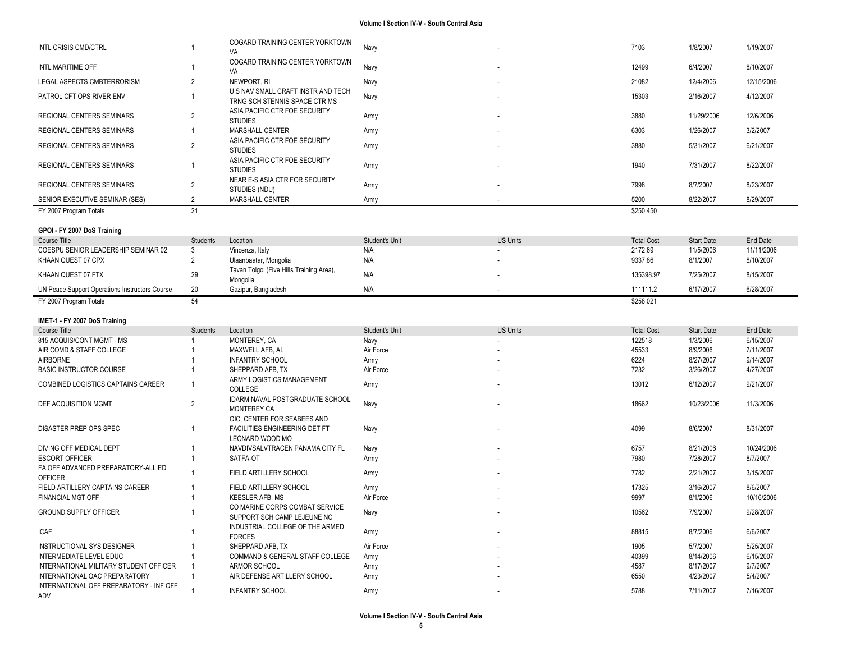| INTL CRISIS CMD/CTRL                                 |                 | COGARD TRAINING CENTER YORKTOWN<br>VA                               | Navy           |                 | 7103              | 1/8/2007          | 1/19/2007  |
|------------------------------------------------------|-----------------|---------------------------------------------------------------------|----------------|-----------------|-------------------|-------------------|------------|
| INTL MARITIME OFF                                    |                 | COGARD TRAINING CENTER YORKTOWN<br>VA                               | Navy           |                 | 12499             | 6/4/2007          | 8/10/2007  |
| LEGAL ASPECTS CMBTERRORISM                           | 2               | NEWPORT, RI                                                         | Navy           |                 | 21082             | 12/4/2006         | 12/15/2006 |
| PATROL CFT OPS RIVER ENV                             | 1               | U S NAV SMALL CRAFT INSTR AND TECH<br>TRNG SCH STENNIS SPACE CTR MS | Navy           |                 | 15303             | 2/16/2007         | 4/12/2007  |
| REGIONAL CENTERS SEMINARS                            | $\overline{2}$  | ASIA PACIFIC CTR FOE SECURITY<br><b>STUDIES</b>                     | Army           |                 | 3880              | 11/29/2006        | 12/6/2006  |
| REGIONAL CENTERS SEMINARS                            | 1               | MARSHALL CENTER                                                     | Army           |                 | 6303              | 1/26/2007         | 3/2/2007   |
| REGIONAL CENTERS SEMINARS                            | 2               | ASIA PACIFIC CTR FOE SECURITY<br><b>STUDIES</b>                     | Army           |                 | 3880              | 5/31/2007         | 6/21/2007  |
| REGIONAL CENTERS SEMINARS                            | 1               | ASIA PACIFIC CTR FOE SECURITY<br><b>STUDIES</b>                     | Army           |                 | 1940              | 7/31/2007         | 8/22/2007  |
| REGIONAL CENTERS SEMINARS                            | 2               | NEAR E-S ASIA CTR FOR SECURITY<br>STUDIES (NDU)                     | Army           |                 | 7998              | 8/7/2007          | 8/23/2007  |
| SENIOR EXECUTIVE SEMINAR (SES)                       | $\overline{2}$  | MARSHALL CENTER                                                     | Army           |                 | 5200              | 8/22/2007         | 8/29/2007  |
| FY 2007 Program Totals                               | 21              |                                                                     |                |                 | \$250,450         |                   |            |
| GPOI - FY 2007 DoS Training                          |                 |                                                                     |                |                 |                   |                   |            |
| Course Title                                         | <b>Students</b> | Location                                                            | Student's Unit | <b>US Units</b> | <b>Total Cost</b> | <b>Start Date</b> | End Date   |
| COESPU SENIOR LEADERSHIP SEMINAR 02                  | 3               | Vincenza, Italy                                                     | N/A            |                 | 2172.69           | 11/5/2006         | 11/11/2006 |
| KHAAN QUEST 07 CPX                                   | $\overline{2}$  | Ulaanbaatar, Mongolia                                               | N/A            |                 | 9337.86           | 8/1/2007          | 8/10/2007  |
| KHAAN QUEST 07 FTX                                   | 29              | Tavan Tolgoi (Five Hills Training Area),<br>Mongolia                | N/A            |                 | 135398.97         | 7/25/2007         | 8/15/2007  |
| UN Peace Support Operations Instructors Course       | 20              | Gazipur, Bangladesh                                                 | N/A            |                 | 111111.2          | 6/17/2007         | 6/28/2007  |
| FY 2007 Program Totals                               | 54              |                                                                     |                |                 | \$258,021         |                   |            |
|                                                      |                 |                                                                     |                |                 |                   |                   |            |
|                                                      |                 |                                                                     |                |                 |                   |                   |            |
| IMET-1 - FY 2007 DoS Training                        |                 |                                                                     |                |                 |                   |                   |            |
| <b>Course Title</b>                                  | Students        | Location                                                            | Student's Unit | <b>US Units</b> | <b>Total Cost</b> | <b>Start Date</b> | End Date   |
| 815 ACQUIS/CONT MGMT - MS                            |                 | MONTEREY, CA                                                        | Navy           |                 | 122518            | 1/3/2006          | 6/15/2007  |
| AIR COMD & STAFF COLLEGE                             |                 | MAXWELL AFB, AL                                                     | Air Force      |                 | 45533             | 8/9/2006          | 7/11/2007  |
| AIRBORNE                                             |                 | <b>INFANTRY SCHOOL</b>                                              | Army           |                 | 6224              | 8/27/2007         | 9/14/2007  |
| <b>BASIC INSTRUCTOR COURSE</b>                       |                 | SHEPPARD AFB, TX<br>ARMY LOGISTICS MANAGEMENT                       | Air Force      |                 | 7232              | 3/26/2007         | 4/27/2007  |
| COMBINED LOGISTICS CAPTAINS CAREER                   | $\overline{1}$  | COLLEGE                                                             | Army           |                 | 13012             | 6/12/2007         | 9/21/2007  |
| DEF ACQUISITION MGMT                                 | 2               | IDARM NAVAL POSTGRADUATE SCHOOL                                     | Navy           |                 | 18662             | 10/23/2006        | 11/3/2006  |
|                                                      |                 | MONTEREY CA<br>OIC, CENTER FOR SEABEES AND                          |                |                 |                   |                   |            |
| DISASTER PREP OPS SPEC                               | 1               | FACILITIES ENGINEERING DET FT                                       | Navy           |                 | 4099              | 8/6/2007          | 8/31/2007  |
| DIVING OFF MEDICAL DEPT                              |                 | LEONARD WOOD MO<br>NAVDIVSALVTRACEN PANAMA CITY FL                  |                |                 | 6757              | 8/21/2006         | 10/24/2006 |
| <b>ESCORT OFFICER</b>                                | 1               | SATFA-OT                                                            | Navy<br>Army   |                 | 7980              | 7/28/2007         | 8/7/2007   |
| FA OFF ADVANCED PREPARATORY-ALLIED<br><b>OFFICER</b> | 1               | FIELD ARTILLERY SCHOOL                                              | Army           |                 | 7782              | 2/21/2007         | 3/15/2007  |
| FIELD ARTILLERY CAPTAINS CAREER                      |                 | FIELD ARTILLERY SCHOOL                                              | Army           |                 | 17325             | 3/16/2007         | 8/6/2007   |
| FINANCIAL MGT OFF                                    |                 | KEESLER AFB, MS                                                     | Air Force      |                 | 9997              | 8/1/2006          | 10/16/2006 |
| <b>GROUND SUPPLY OFFICER</b>                         |                 | CO MARINE CORPS COMBAT SERVICE<br>SUPPORT SCH CAMP LEJEUNE NC       | Navy           |                 | 10562             | 7/9/2007          | 9/28/2007  |
| <b>ICAF</b>                                          |                 | INDUSTRIAL COLLEGE OF THE ARMED<br><b>FORCES</b>                    | Army           |                 | 88815             | 8/7/2006          | 6/6/2007   |
| <b>INSTRUCTIONAL SYS DESIGNER</b>                    |                 | SHEPPARD AFB, TX                                                    | Air Force      |                 | 1905              | 5/7/2007          | 5/25/2007  |
| INTERMEDIATE LEVEL EDUC                              |                 | COMMAND & GENERAL STAFF COLLEGE                                     | Army           |                 | 40399             | 8/14/2006         | 6/15/2007  |
| INTERNATIONAL MILITARY STUDENT OFFICER               |                 | ARMOR SCHOOL                                                        | Army           |                 | 4587              | 8/17/2007         | 9/7/2007   |
| INTERNATIONAL OAC PREPARATORY                        | $\mathbf{1}$    | AIR DEFENSE ARTILLERY SCHOOL                                        | Army           |                 | 6550              | 4/23/2007         | 5/4/2007   |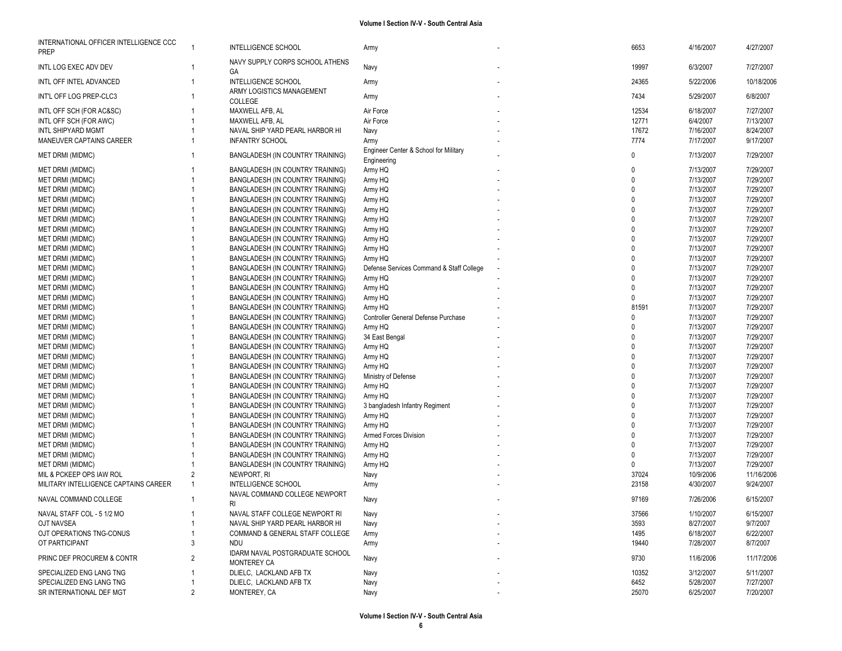|  |  |  |  | Volume I Section IV-V - South Central Asia |  |
|--|--|--|--|--------------------------------------------|--|
|--|--|--|--|--------------------------------------------|--|

| INTERNATIONAL OFFICER INTELLIGENCE CCC<br><b>PREP</b> | -1             | <b>INTELLIGENCE SCHOOL</b>                  | Army                                                 | 6653              | 4/16/2007 | 4/27/2007  |
|-------------------------------------------------------|----------------|---------------------------------------------|------------------------------------------------------|-------------------|-----------|------------|
| INTL LOG EXEC ADV DEV                                 |                | NAVY SUPPLY CORPS SCHOOL ATHENS<br>GA       | Navy                                                 | 19997             | 6/3/2007  | 7/27/2007  |
| INTL OFF INTEL ADVANCED                               | -1             | INTELLIGENCE SCHOOL                         | Army                                                 | 24365             | 5/22/2006 | 10/18/2006 |
| INT'L OFF LOG PREP-CLC3                               |                | ARMY LOGISTICS MANAGEMENT<br><b>COLLEGE</b> | Army                                                 | 7434              | 5/29/2007 | 6/8/2007   |
| INTL OFF SCH (FOR AC&SC)                              |                | MAXWELL AFB, AL                             | Air Force                                            | 12534             | 6/18/2007 | 7/27/2007  |
| INTL OFF SCH (FOR AWC)                                |                | MAXWELL AFB, AL                             | Air Force                                            | 12771             | 6/4/2007  | 7/13/2007  |
| INTL SHIPYARD MGMT                                    |                | NAVAL SHIP YARD PEARL HARBOR HI             | Navy                                                 | 17672             | 7/16/2007 | 8/24/2007  |
| MANEUVER CAPTAINS CAREER                              |                | <b>INFANTRY SCHOOL</b>                      | Army                                                 | 7774              | 7/17/2007 | 9/17/2007  |
| MET DRMI (MIDMC)                                      | 1              | BANGLADESH (IN COUNTRY TRAINING)            | Engineer Center & School for Military<br>Engineering | $\mathbf{0}$      | 7/13/2007 | 7/29/2007  |
| MET DRMI (MIDMC)                                      |                | BANGLADESH (IN COUNTRY TRAINING)            | Army HQ                                              | $\mathbf 0$       | 7/13/2007 | 7/29/2007  |
| MET DRMI (MIDMC)                                      |                | BANGLADESH (IN COUNTRY TRAINING)            | Army HQ                                              | $\mathbf 0$       | 7/13/2007 | 7/29/2007  |
| MET DRMI (MIDMC)                                      |                | BANGLADESH (IN COUNTRY TRAINING)            | Army HQ                                              | $\Omega$          | 7/13/2007 | 7/29/2007  |
| MET DRMI (MIDMC)                                      |                | BANGLADESH (IN COUNTRY TRAINING)            | Army HQ                                              | $\Omega$          | 7/13/2007 | 7/29/2007  |
| MET DRMI (MIDMC)                                      |                | BANGLADESH (IN COUNTRY TRAINING)            | Army HQ                                              | $\Omega$          | 7/13/2007 | 7/29/2007  |
| MET DRMI (MIDMC)                                      |                | BANGLADESH (IN COUNTRY TRAINING)            | Army HQ                                              | $\Omega$          | 7/13/2007 | 7/29/2007  |
| MET DRMI (MIDMC)                                      |                | BANGLADESH (IN COUNTRY TRAINING)            | Army HQ                                              | $\Omega$          | 7/13/2007 | 7/29/2007  |
| MET DRMI (MIDMC)                                      |                | BANGLADESH (IN COUNTRY TRAINING)            | Army HQ                                              | $\Omega$          | 7/13/2007 | 7/29/2007  |
| MET DRMI (MIDMC)                                      |                | BANGLADESH (IN COUNTRY TRAINING)            | Army HQ                                              | $\Omega$          | 7/13/2007 | 7/29/2007  |
| MET DRMI (MIDMC)                                      |                | BANGLADESH (IN COUNTRY TRAINING)            | Army HQ                                              | $\mathbf{0}$      | 7/13/2007 | 7/29/2007  |
| MET DRMI (MIDMC)                                      |                | BANGLADESH (IN COUNTRY TRAINING)            | Defense Services Command & Staff College             | $\Omega$          | 7/13/2007 | 7/29/2007  |
| MET DRMI (MIDMC)                                      |                | BANGLADESH (IN COUNTRY TRAINING)            | Army HQ                                              | $\Omega$          | 7/13/2007 | 7/29/2007  |
| MET DRMI (MIDMC)                                      |                | BANGLADESH (IN COUNTRY TRAINING)            | Army HQ                                              | $\Omega$          | 7/13/2007 | 7/29/2007  |
| MET DRMI (MIDMC)                                      |                |                                             |                                                      | $\Omega$          | 7/13/2007 | 7/29/2007  |
|                                                       |                | BANGLADESH (IN COUNTRY TRAINING)            | Army HQ                                              |                   |           |            |
| MET DRMI (MIDMC)                                      |                | BANGLADESH (IN COUNTRY TRAINING)            | Army HQ                                              | 81591<br>$\Omega$ | 7/13/2007 | 7/29/2007  |
| MET DRMI (MIDMC)                                      |                | BANGLADESH (IN COUNTRY TRAINING)            | Controller General Defense Purchase                  |                   | 7/13/2007 | 7/29/2007  |
| MET DRMI (MIDMC)                                      |                | BANGLADESH (IN COUNTRY TRAINING)            | Army HQ                                              | $\Omega$          | 7/13/2007 | 7/29/2007  |
| MET DRMI (MIDMC)                                      |                | BANGLADESH (IN COUNTRY TRAINING)            | 34 East Bengal                                       | $\Omega$          | 7/13/2007 | 7/29/2007  |
| MET DRMI (MIDMC)                                      |                | BANGLADESH (IN COUNTRY TRAINING)            | Army HQ                                              | $\Omega$          | 7/13/2007 | 7/29/2007  |
| <b>MET DRMI (MIDMC)</b>                               |                | BANGLADESH (IN COUNTRY TRAINING)            | Army HQ                                              | $\Omega$          | 7/13/2007 | 7/29/2007  |
| MET DRMI (MIDMC)                                      |                | BANGLADESH (IN COUNTRY TRAINING)            | Army HQ                                              | $\Omega$          | 7/13/2007 | 7/29/2007  |
| MET DRMI (MIDMC)                                      |                | BANGLADESH (IN COUNTRY TRAINING)            | Ministry of Defense                                  | $\Omega$          | 7/13/2007 | 7/29/2007  |
| MET DRMI (MIDMC)                                      |                | BANGLADESH (IN COUNTRY TRAINING)            | Army HQ                                              | $\Omega$          | 7/13/2007 | 7/29/2007  |
| MET DRMI (MIDMC)                                      |                | BANGLADESH (IN COUNTRY TRAINING)            | Army HQ                                              | $\Omega$          | 7/13/2007 | 7/29/2007  |
| MET DRMI (MIDMC)                                      |                | BANGLADESH (IN COUNTRY TRAINING)            | 3 bangladesh Infantry Regiment                       | $\Omega$          | 7/13/2007 | 7/29/2007  |
| MET DRMI (MIDMC)                                      |                | BANGLADESH (IN COUNTRY TRAINING)            | Army HQ                                              | $\mathbf 0$       | 7/13/2007 | 7/29/2007  |
| <b>MET DRMI (MIDMC)</b>                               |                | BANGLADESH (IN COUNTRY TRAINING)            | Army HQ                                              | $\Omega$          | 7/13/2007 | 7/29/2007  |
| <b>MET DRMI (MIDMC)</b>                               |                | BANGLADESH (IN COUNTRY TRAINING)            | <b>Armed Forces Division</b>                         | $\mathbf{0}$      | 7/13/2007 | 7/29/2007  |
| <b>MET DRMI (MIDMC)</b>                               |                | BANGLADESH (IN COUNTRY TRAINING)            | Army HQ                                              | $\Omega$          | 7/13/2007 | 7/29/2007  |
| MET DRMI (MIDMC)                                      |                | BANGLADESH (IN COUNTRY TRAINING)            | Army HQ                                              | $\Omega$          | 7/13/2007 | 7/29/2007  |
| <b>MET DRMI (MIDMC)</b>                               |                | BANGLADESH (IN COUNTRY TRAINING)            | Army HQ                                              | $\Omega$          | 7/13/2007 | 7/29/2007  |
| MIL & PCKEEP OPS IAW ROL                              | 2              | NEWPORT, RI                                 | Navy                                                 | 37024             | 10/9/2006 | 11/16/2006 |
| MILITARY INTELLIGENCE CAPTAINS CAREER                 | $\mathbf{1}$   | <b>INTELLIGENCE SCHOOL</b>                  | Army                                                 | 23158             | 4/30/2007 | 9/24/2007  |
| NAVAL COMMAND COLLEGE                                 |                | NAVAL COMMAND COLLEGE NEWPORT<br>RI         | Navy                                                 | 97169             | 7/26/2006 | 6/15/2007  |
| NAVAL STAFF COL - 5 1/2 MO                            |                | NAVAL STAFF COLLEGE NEWPORT RI              | Navy                                                 | 37566             | 1/10/2007 | 6/15/2007  |
| OJT NAVSEA                                            | $\mathbf{1}$   | NAVAL SHIP YARD PEARL HARBOR HI             | Navy                                                 | 3593              | 8/27/2007 | 9/7/2007   |
| OJT OPERATIONS TNG-CONUS                              |                | COMMAND & GENERAL STAFF COLLEGE             | Army                                                 | 1495              | 6/18/2007 | 6/22/2007  |
| OT PARTICIPANT                                        | 3              | <b>NDU</b>                                  | Army                                                 | 19440             | 7/28/2007 | 8/7/2007   |
|                                                       |                | IDARM NAVAL POSTGRADUATE SCHOOL             |                                                      |                   |           |            |
| PRINC DEF PROCUREM & CONTR                            | $\overline{2}$ | <b>MONTEREY CA</b>                          | Navy                                                 | 9730              | 11/6/2006 | 11/17/2006 |
| SPECIALIZED ENG LANG TNG                              |                | DLIELC, LACKLAND AFB TX                     | Navy                                                 | 10352             | 3/12/2007 | 5/11/2007  |
| SPECIALIZED ENG LANG TNG                              |                | DLIELC, LACKLAND AFB TX                     | Navy                                                 | 6452              | 5/28/2007 | 7/27/2007  |
| SR INTERNATIONAL DEF MGT                              | 2              | MONTEREY, CA                                | Navy                                                 | 25070             | 6/25/2007 | 7/20/2007  |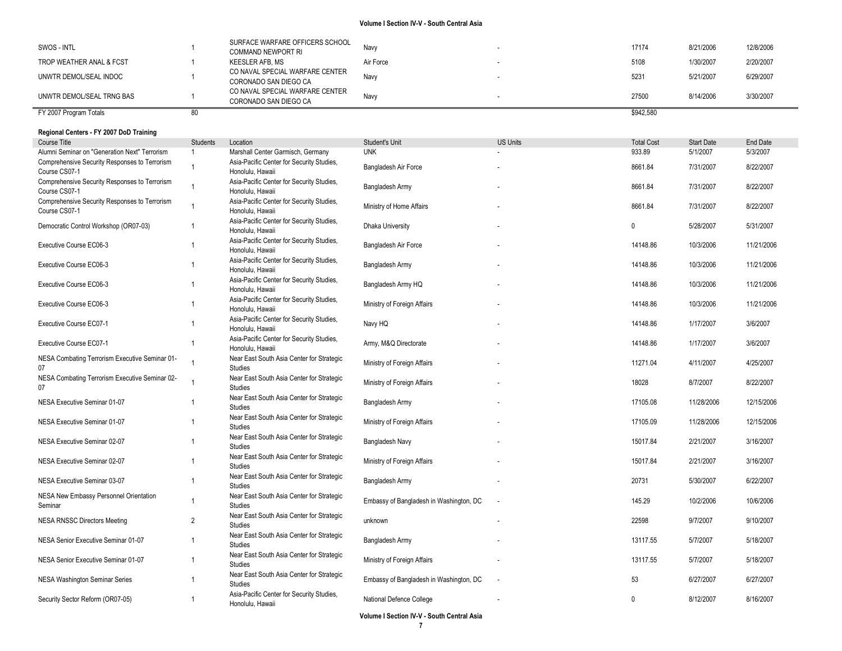| FY 2007 Program Totals    |                                                              |           | \$942,580 |           |           |
|---------------------------|--------------------------------------------------------------|-----------|-----------|-----------|-----------|
| UNWTR DEMOL/SEAL TRNG BAS | CO NAVAL SPECIAL WARFARE CENTER<br>CORONADO SAN DIEGO CA     | Navy      | 27500     | 8/14/2006 | 3/30/2007 |
| UNWTR DEMOL/SEAL INDOC    | CO NAVAL SPECIAL WARFARE CENTER<br>CORONADO SAN DIEGO CA     | Navy      | 5231      | 5/21/2007 | 6/29/2007 |
| TROP WEATHER ANAL & FCST  | KEESLER AFB. MS                                              | Air Force | 5108      | 1/30/2007 | 2/20/2007 |
| SWOS - INTL               | SURFACE WARFARE OFFICERS SCHOOL<br><b>COMMAND NEWPORT RI</b> | Navy      | 17174     | 8/21/2006 | 12/8/2006 |

### **Regional Centers - FY 2007 DoD Training**

| Course Title                                                   | <b>Students</b> | Location                                                      | Student's Unit                          | <b>US Units</b> | <b>Total Cost</b> | <b>Start Date</b> | End Date   |
|----------------------------------------------------------------|-----------------|---------------------------------------------------------------|-----------------------------------------|-----------------|-------------------|-------------------|------------|
| Alumni Seminar on "Generation Next" Terrorism                  | $\overline{1}$  | Marshall Center Garmisch, Germany                             | <b>UNK</b>                              |                 | 933.89            | 5/1/2007          | 5/3/2007   |
| Comprehensive Security Responses to Terrorism<br>Course CS07-1 | 1               | Asia-Pacific Center for Security Studies,<br>Honolulu, Hawaii | Bangladesh Air Force                    |                 | 8661.84           | 7/31/2007         | 8/22/2007  |
| Comprehensive Security Responses to Terrorism<br>Course CS07-1 | $\mathbf{1}$    | Asia-Pacific Center for Security Studies,<br>Honolulu, Hawaii | Bangladesh Army                         |                 | 8661.84           | 7/31/2007         | 8/22/2007  |
| Comprehensive Security Responses to Terrorism<br>Course CS07-1 | $\overline{1}$  | Asia-Pacific Center for Security Studies,<br>Honolulu, Hawaii | Ministry of Home Affairs                |                 | 8661.84           | 7/31/2007         | 8/22/2007  |
| Democratic Control Workshop (OR07-03)                          | $\overline{1}$  | Asia-Pacific Center for Security Studies,<br>Honolulu, Hawaii | Dhaka University                        |                 | $\mathbf{0}$      | 5/28/2007         | 5/31/2007  |
| Executive Course EC06-3                                        | $\mathbf{1}$    | Asia-Pacific Center for Security Studies,<br>Honolulu, Hawaii | Bangladesh Air Force                    |                 | 14148.86          | 10/3/2006         | 11/21/2006 |
| Executive Course EC06-3                                        | 1               | Asia-Pacific Center for Security Studies,<br>Honolulu, Hawaii | Bangladesh Army                         |                 | 14148.86          | 10/3/2006         | 11/21/2006 |
| Executive Course EC06-3                                        |                 | Asia-Pacific Center for Security Studies,<br>Honolulu, Hawaii | Bangladesh Army HQ                      |                 | 14148.86          | 10/3/2006         | 11/21/2006 |
| Executive Course EC06-3                                        | 1               | Asia-Pacific Center for Security Studies,<br>Honolulu, Hawaii | Ministry of Foreign Affairs             |                 | 14148.86          | 10/3/2006         | 11/21/2006 |
| Executive Course EC07-1                                        | $\overline{1}$  | Asia-Pacific Center for Security Studies,<br>Honolulu, Hawaii | Navy HQ                                 |                 | 14148.86          | 1/17/2007         | 3/6/2007   |
| Executive Course EC07-1                                        | $\overline{1}$  | Asia-Pacific Center for Security Studies,<br>Honolulu, Hawaii | Army, M&Q Directorate                   |                 | 14148.86          | 1/17/2007         | 3/6/2007   |
| NESA Combating Terrorism Executive Seminar 01-<br>07           |                 | Near East South Asia Center for Strategic<br><b>Studies</b>   | Ministry of Foreign Affairs             |                 | 11271.04          | 4/11/2007         | 4/25/2007  |
| NESA Combating Terrorism Executive Seminar 02-<br>07           | 1               | Near East South Asia Center for Strategic<br><b>Studies</b>   | Ministry of Foreign Affairs             |                 | 18028             | 8/7/2007          | 8/22/2007  |
| NESA Executive Seminar 01-07                                   | 1               | Near East South Asia Center for Strategic<br><b>Studies</b>   | Bangladesh Army                         |                 | 17105.08          | 11/28/2006        | 12/15/2006 |
| NESA Executive Seminar 01-07                                   | 1               | Near East South Asia Center for Strategic<br>Studies          | Ministry of Foreign Affairs             |                 | 17105.09          | 11/28/2006        | 12/15/2006 |
| NESA Executive Seminar 02-07                                   | 1               | Near East South Asia Center for Strategic<br><b>Studies</b>   | Bangladesh Navy                         |                 | 15017.84          | 2/21/2007         | 3/16/2007  |
| NESA Executive Seminar 02-07                                   | 1               | Near East South Asia Center for Strategic<br>Studies          | Ministry of Foreign Affairs             |                 | 15017.84          | 2/21/2007         | 3/16/2007  |
| NESA Executive Seminar 03-07                                   | 1               | Near East South Asia Center for Strategic<br>Studies          | Bangladesh Army                         |                 | 20731             | 5/30/2007         | 6/22/2007  |
| NESA New Embassy Personnel Orientation<br>Seminar              | $\mathbf{1}$    | Near East South Asia Center for Strategic<br><b>Studies</b>   | Embassy of Bangladesh in Washington, DC | $\blacksquare$  | 145.29            | 10/2/2006         | 10/6/2006  |
| <b>NESA RNSSC Directors Meeting</b>                            | $\overline{2}$  | Near East South Asia Center for Strategic<br>Studies          | unknown                                 |                 | 22598             | 9/7/2007          | 9/10/2007  |
| NESA Senior Executive Seminar 01-07                            | $\overline{1}$  | Near East South Asia Center for Strategic<br><b>Studies</b>   | Bangladesh Army                         |                 | 13117.55          | 5/7/2007          | 5/18/2007  |
| NESA Senior Executive Seminar 01-07                            | $\overline{1}$  | Near East South Asia Center for Strategic<br><b>Studies</b>   | Ministry of Foreign Affairs             |                 | 13117.55          | 5/7/2007          | 5/18/2007  |
| <b>NESA Washington Seminar Series</b>                          |                 | Near East South Asia Center for Strategic<br><b>Studies</b>   | Embassy of Bangladesh in Washington, DC |                 | 53                | 6/27/2007         | 6/27/2007  |
| Security Sector Reform (OR07-05)                               |                 | Asia-Pacific Center for Security Studies,<br>Honolulu, Hawaii | National Defence College                |                 | $\mathbf{0}$      | 8/12/2007         | 8/16/2007  |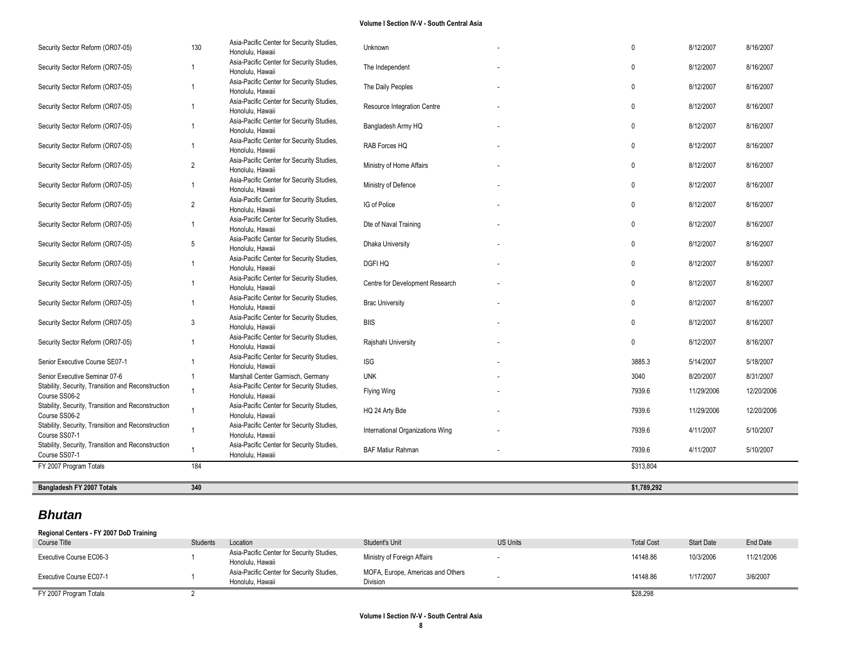| Bangladesh FY 2007 Totals                                                           | 340            |                                                                                   |                                  | \$1,789,292  |            |            |
|-------------------------------------------------------------------------------------|----------------|-----------------------------------------------------------------------------------|----------------------------------|--------------|------------|------------|
| FY 2007 Program Totals                                                              | 184            |                                                                                   |                                  | \$313,804    |            |            |
| Stability, Security, Transition and Reconstruction<br>Course SS07-1                 | 1              | Asia-Pacific Center for Security Studies,<br>Honolulu, Hawaii                     | <b>BAF Matiur Rahman</b>         | 7939.6       | 4/11/2007  | 5/10/2007  |
| Stability, Security, Transition and Reconstruction<br>Course SS07-1                 |                | Asia-Pacific Center for Security Studies,<br>Honolulu, Hawaii                     | International Organizations Wing | 7939.6       | 4/11/2007  | 5/10/2007  |
| Stability, Security, Transition and Reconstruction<br>Course SS06-2                 |                | Asia-Pacific Center for Security Studies,<br>Honolulu, Hawaii                     | HQ 24 Arty Bde                   | 7939.6       | 11/29/2006 | 12/20/2006 |
| Course SS06-2                                                                       |                | Honolulu, Hawaii                                                                  | Flying Wing                      | 7939.6       | 11/29/2006 | 12/20/2006 |
| Senior Executive Seminar 07-6<br>Stability, Security, Transition and Reconstruction |                | Marshall Center Garmisch, Germany<br>Asia-Pacific Center for Security Studies,    | <b>UNK</b>                       | 3040         | 8/20/2007  | 8/31/2007  |
| Senior Executive Course SE07-1                                                      |                | Asia-Pacific Center for Security Studies,<br>Honolulu, Hawaii                     | $\textsf{ISG}$                   | 3885.3       | 5/14/2007  | 5/18/2007  |
| Security Sector Reform (OR07-05)                                                    |                | Asia-Pacific Center for Security Studies,<br>Honolulu, Hawaii                     | Rajshahi University              | $\mathbf{0}$ | 8/12/2007  | 8/16/2007  |
| Security Sector Reform (OR07-05)                                                    | 3              | Asia-Pacific Center for Security Studies,<br>Honolulu, Hawaii                     | <b>BIIS</b>                      | $\mathbf 0$  | 8/12/2007  | 8/16/2007  |
| Security Sector Reform (OR07-05)                                                    |                | Asia-Pacific Center for Security Studies,<br>Honolulu, Hawaii                     | <b>Brac University</b>           | $\mathbf{0}$ | 8/12/2007  | 8/16/2007  |
| Security Sector Reform (OR07-05)                                                    |                | Honolulu, Hawaii<br>Asia-Pacific Center for Security Studies,<br>Honolulu, Hawaii | Centre for Development Research  | $\mathbf{0}$ | 8/12/2007  | 8/16/2007  |
| Security Sector Reform (OR07-05)                                                    |                | Honolulu, Hawaii<br>Asia-Pacific Center for Security Studies,                     | <b>DGFI HQ</b>                   | $\mathbf{0}$ | 8/12/2007  | 8/16/2007  |
| Security Sector Reform (OR07-05)                                                    | 5              | Honolulu, Hawaii<br>Asia-Pacific Center for Security Studies,                     | Dhaka University                 | $\mathbf 0$  | 8/12/2007  | 8/16/2007  |
| Security Sector Reform (OR07-05)                                                    |                | Honolulu, Hawaii<br>Asia-Pacific Center for Security Studies,                     | Dte of Naval Training            | $\mathbf{0}$ | 8/12/2007  | 8/16/2007  |
| Security Sector Reform (OR07-05)                                                    | $\overline{2}$ | Honolulu, Hawaii<br>Asia-Pacific Center for Security Studies,                     | IG of Police                     | $\mathbf{0}$ | 8/12/2007  | 8/16/2007  |
| Security Sector Reform (OR07-05)                                                    |                | Honolulu, Hawaii<br>Asia-Pacific Center for Security Studies,                     | Ministry of Defence              | $\mathbf 0$  | 8/12/2007  | 8/16/2007  |
| Security Sector Reform (OR07-05)                                                    | $\overline{2}$ | Honolulu, Hawaii<br>Asia-Pacific Center for Security Studies,                     | Ministry of Home Affairs         | $\mathbf{0}$ | 8/12/2007  | 8/16/2007  |
| Security Sector Reform (OR07-05)                                                    |                | Honolulu, Hawaii<br>Asia-Pacific Center for Security Studies,                     | RAB Forces HQ                    | $\mathbf 0$  | 8/12/2007  | 8/16/2007  |
| Security Sector Reform (OR07-05)                                                    |                | Asia-Pacific Center for Security Studies,                                         | Bangladesh Army HQ               | $\mathbf{0}$ | 8/12/2007  | 8/16/2007  |
| Security Sector Reform (OR07-05)                                                    |                | Asia-Pacific Center for Security Studies,<br>Honolulu, Hawaii                     | Resource Integration Centre      | $\mathbf 0$  | 8/12/2007  | 8/16/2007  |
| Security Sector Reform (OR07-05)                                                    |                | Honolulu, Hawaii<br>Asia-Pacific Center for Security Studies,<br>Honolulu, Hawaii | The Daily Peoples                | $\mathbf{0}$ | 8/12/2007  | 8/16/2007  |
| Security Sector Reform (OR07-05)                                                    |                | Honolulu, Hawaii<br>Asia-Pacific Center for Security Studies,                     | The Independent                  | $\mathbf{0}$ | 8/12/2007  | 8/16/2007  |
| Security Sector Reform (OR07-05)                                                    | 130            | Asia-Pacific Center for Security Studies,                                         | Unknown                          | $\mathbf{0}$ | 8/12/2007  | 8/16/2007  |

# *Bhutan*

| Regional Centers - FY 2007 DoD Training |                 |                                                               |                                               |                 |                   |                   |            |
|-----------------------------------------|-----------------|---------------------------------------------------------------|-----------------------------------------------|-----------------|-------------------|-------------------|------------|
| Course Title                            | <b>Students</b> | Location                                                      | Student's Unit                                | <b>US Units</b> | <b>Total Cost</b> | <b>Start Date</b> | End Date   |
| Executive Course EC06-3                 |                 | Asia-Pacific Center for Security Studies,<br>Honolulu, Hawaii | Ministry of Foreign Affairs                   |                 | 14148.86          | 10/3/2006         | 11/21/2006 |
| Executive Course EC07-1                 |                 | Asia-Pacific Center for Security Studies,<br>Honolulu, Hawaii | MOFA, Europe, Americas and Others<br>Division |                 | 14148.86          | 1/17/2007         | 3/6/2007   |
| FY 2007 Program Totals                  |                 |                                                               |                                               |                 | \$28,298          |                   |            |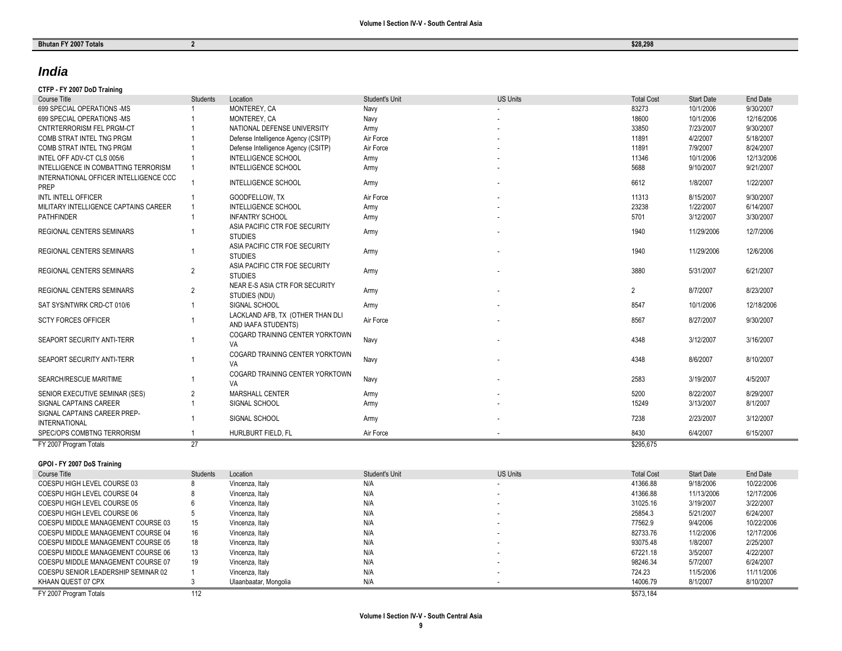# *India*

# **CTFP - FY 2007 DoD Training**

| Course Title                                   | <b>Students</b> | Location                                                | Student's Unit | <b>US Units</b> | <b>Total Cost</b> | <b>Start Date</b> | End Date   |
|------------------------------------------------|-----------------|---------------------------------------------------------|----------------|-----------------|-------------------|-------------------|------------|
| 699 SPECIAL OPERATIONS -MS                     |                 | MONTEREY, CA                                            | Navy           |                 | 83273             | 10/1/2006         | 9/30/2007  |
| 699 SPECIAL OPERATIONS -MS                     |                 | MONTEREY, CA                                            | Navy           |                 | 18600             | 10/1/2006         | 12/16/2006 |
| <b>CNTRTERRORISM FEL PRGM-CT</b>               |                 | NATIONAL DEFENSE UNIVERSITY                             | Army           |                 | 33850             | 7/23/2007         | 9/30/2007  |
| COMB STRAT INTEL TNG PRGM                      |                 | Defense Intelligence Agency (CSITP)                     | Air Force      |                 | 11891             | 4/2/2007          | 5/18/2007  |
| COMB STRAT INTEL TNG PRGM                      |                 | Defense Intelligence Agency (CSITP)                     | Air Force      |                 | 11891             | 7/9/2007          | 8/24/2007  |
| INTEL OFF ADV-CT CLS 005/6                     |                 | <b>INTELLIGENCE SCHOOL</b>                              | Army           |                 | 11346             | 10/1/2006         | 12/13/2006 |
| INTELLIGENCE IN COMBATTING TERRORISM           |                 | <b>INTELLIGENCE SCHOOL</b>                              | Army           |                 | 5688              | 9/10/2007         | 9/21/2007  |
| INTERNATIONAL OFFICER INTELLIGENCE CCC<br>PREP |                 | <b>INTELLIGENCE SCHOOL</b>                              | Army           |                 | 6612              | 1/8/2007          | 1/22/2007  |
| <b>INTL INTELL OFFICER</b>                     |                 | GOODFELLOW, TX                                          | Air Force      |                 | 11313             | 8/15/2007         | 9/30/2007  |
| MILITARY INTELLIGENCE CAPTAINS CAREER          |                 | <b>INTELLIGENCE SCHOOL</b>                              | Army           |                 | 23238             | 1/22/2007         | 6/14/2007  |
| <b>PATHFINDER</b>                              |                 | <b>INFANTRY SCHOOL</b>                                  | Army           |                 | 5701              | 3/12/2007         | 3/30/2007  |
| <b>REGIONAL CENTERS SEMINARS</b>               |                 | ASIA PACIFIC CTR FOE SECURITY<br><b>STUDIES</b>         | Army           |                 | 1940              | 11/29/2006        | 12/7/2006  |
| <b>REGIONAL CENTERS SEMINARS</b>               |                 | ASIA PACIFIC CTR FOE SECURITY<br><b>STUDIES</b>         | Army           |                 | 1940              | 11/29/2006        | 12/6/2006  |
| <b>REGIONAL CENTERS SEMINARS</b>               | 2               | ASIA PACIFIC CTR FOE SECURITY<br><b>STUDIES</b>         | Army           |                 | 3880              | 5/31/2007         | 6/21/2007  |
| <b>REGIONAL CENTERS SEMINARS</b>               | 2               | NEAR E-S ASIA CTR FOR SECURITY<br>STUDIES (NDU)         | Army           |                 | 2                 | 8/7/2007          | 8/23/2007  |
| SAT SYS/NTWRK CRD-CT 010/6                     |                 | SIGNAL SCHOOL                                           | Army           |                 | 8547              | 10/1/2006         | 12/18/2006 |
| <b>SCTY FORCES OFFICER</b>                     |                 | LACKLAND AFB, TX (OTHER THAN DLI<br>AND IAAFA STUDENTS) | Air Force      |                 | 8567              | 8/27/2007         | 9/30/2007  |
| SEAPORT SECURITY ANTI-TERR                     |                 | COGARD TRAINING CENTER YORKTOWN<br>VA                   | Navy           |                 | 4348              | 3/12/2007         | 3/16/2007  |
| SEAPORT SECURITY ANTI-TERR                     |                 | COGARD TRAINING CENTER YORKTOWN<br>VA                   | Navy           |                 | 4348              | 8/6/2007          | 8/10/2007  |
| SEARCH/RESCUE MARITIME                         |                 | COGARD TRAINING CENTER YORKTOWN<br>VA                   | Navy           |                 | 2583              | 3/19/2007         | 4/5/2007   |
| SENIOR EXECUTIVE SEMINAR (SES)                 |                 | MARSHALL CENTER                                         | Army           |                 | 5200              | 8/22/2007         | 8/29/2007  |
| SIGNAL CAPTAINS CAREER                         |                 | SIGNAL SCHOOL                                           | Army           |                 | 15249             | 3/13/2007         | 8/1/2007   |
| SIGNAL CAPTAINS CAREER PREP-                   |                 |                                                         |                |                 |                   |                   |            |
| <b>INTERNATIONAL</b>                           |                 | SIGNAL SCHOOL                                           | Army           |                 | 7238              | 2/23/2007         | 3/12/2007  |
| SPEC/OPS COMBTNG TERRORISM                     |                 | HURLBURT FIELD. FL                                      | Air Force      |                 | 8430              | 6/4/2007          | 6/15/2007  |
| FY 2007 Program Totals                         | 27              |                                                         |                |                 | \$295.675         |                   |            |

# **GPOI - FY 2007 DoS Training**

| Course Title                        | <b>Students</b> | Location              | Student's Unit | <b>US Units</b> | <b>Total Cost</b> | <b>Start Date</b> | End Date   |
|-------------------------------------|-----------------|-----------------------|----------------|-----------------|-------------------|-------------------|------------|
| COESPU HIGH LEVEL COURSE 03         |                 | Vincenza, Italy       | N/A            |                 | 41366.88          | 9/18/2006         | 10/22/2006 |
| COESPU HIGH LEVEL COURSE 04         |                 | Vincenza, Italy       | N/A            |                 | 41366.88          | 11/13/2006        | 12/17/2006 |
| COESPU HIGH LEVEL COURSE 05         |                 | Vincenza, Italy       | N/A            |                 | 31025.16          | 3/19/2007         | 3/22/2007  |
| COESPU HIGH LEVEL COURSE 06         |                 | Vincenza, Italy       | N/A            |                 | 25854.3           | 5/21/2007         | 6/24/2007  |
| COESPU MIDDLE MANAGEMENT COURSE 03  | 15              | Vincenza, Italy       | N/A            |                 | 77562.9           | 9/4/2006          | 10/22/2006 |
| COESPU MIDDLE MANAGEMENT COURSE 04  | 16              | Vincenza, Italy       | N/A            |                 | 82733.76          | 11/2/2006         | 12/17/2006 |
| COESPU MIDDLE MANAGEMENT COURSE 05  | 18              | Vincenza, Italy       | N/A            |                 | 93075.48          | 1/8/2007          | 2/25/2007  |
| COESPU MIDDLE MANAGEMENT COURSE 06  | 13              | Vincenza, Italy       | N/A            |                 | 67221.18          | 3/5/2007          | 4/22/2007  |
| COESPU MIDDLE MANAGEMENT COURSE 07  | 19              | Vincenza, Italy       | N/A            |                 | 98246.34          | 5/7/2007          | 6/24/2007  |
| COESPU SENIOR LEADERSHIP SEMINAR 02 |                 | Vincenza, Italy       | N/A            |                 | 724.23            | 11/5/2006         | 11/11/2006 |
| KHAAN OUEST 07 CPX                  |                 | Ulaanbaatar, Mongolia | N/A            |                 | 14006.79          | 8/1/2007          | 8/10/2007  |
| FY 2007 Program Totals              | 112             |                       |                |                 | \$573.184         |                   |            |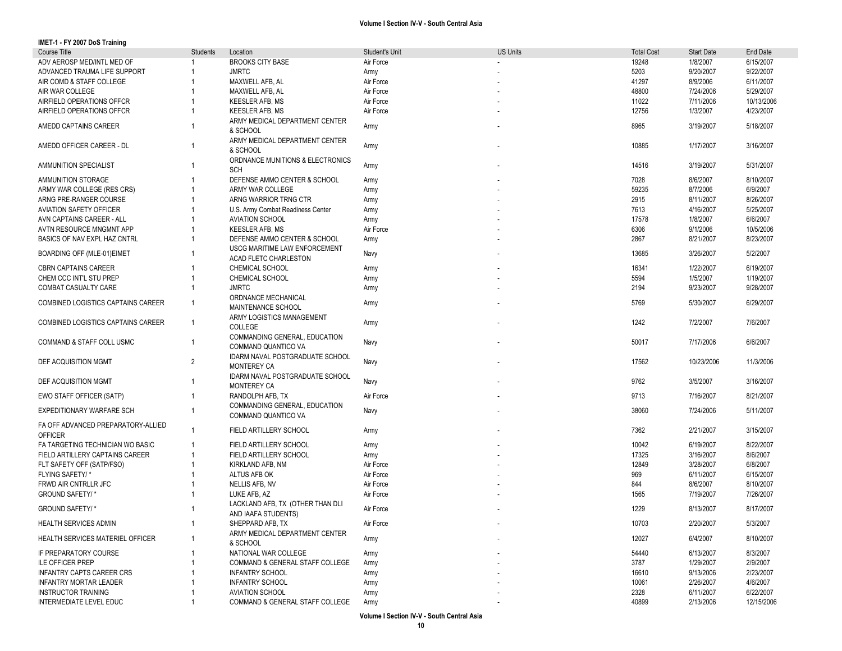| IMET-1 - FY 2007 DoS Training      |                |                                            |                |                 |                   |                   |            |
|------------------------------------|----------------|--------------------------------------------|----------------|-----------------|-------------------|-------------------|------------|
| Course Title                       | Students       | Location                                   | Student's Unit | <b>US Units</b> | <b>Total Cost</b> | <b>Start Date</b> | End Date   |
| ADV AEROSP MED/INTL MED OF         |                | <b>BROOKS CITY BASE</b>                    | Air Force      |                 | 19248             | 1/8/2007          | 6/15/2007  |
| ADVANCED TRAUMA LIFE SUPPORT       |                | <b>JMRTC</b>                               | Army           |                 | 5203              | 9/20/2007         | 9/22/2007  |
| AIR COMD & STAFF COLLEGE           |                | MAXWELL AFB, AL                            | Air Force      |                 | 41297             | 8/9/2006          | 6/11/2007  |
| AIR WAR COLLEGE                    |                | MAXWELL AFB, AL                            | Air Force      |                 | 48800             | 7/24/2006         | 5/29/2007  |
| AIRFIELD OPERATIONS OFFCR          |                | <b>KEESLER AFB, MS</b>                     | Air Force      |                 | 11022             | 7/11/2006         | 10/13/2006 |
| AIRFIELD OPERATIONS OFFCR          |                | <b>KEESLER AFB, MS</b>                     | Air Force      |                 | 12756             | 1/3/2007          | 4/23/2007  |
|                                    |                | ARMY MEDICAL DEPARTMENT CENTER             |                |                 |                   |                   |            |
| AMEDD CAPTAINS CAREER              |                |                                            | Army           |                 | 8965              | 3/19/2007         | 5/18/2007  |
|                                    |                | & SCHOOL                                   |                |                 |                   |                   |            |
| AMEDD OFFICER CAREER - DL          | -1             | ARMY MEDICAL DEPARTMENT CENTER<br>& SCHOOL | Army           |                 | 10885             | 1/17/2007         | 3/16/2007  |
|                                    |                |                                            |                |                 |                   |                   |            |
| AMMUNITION SPECIALIST              |                | ORDNANCE MUNITIONS & ELECTRONICS           | Army           |                 | 14516             | 3/19/2007         | 5/31/2007  |
|                                    |                | <b>SCH</b>                                 |                |                 |                   |                   |            |
| AMMUNITION STORAGE                 |                | DEFENSE AMMO CENTER & SCHOOL               | Army           |                 | 7028              | 8/6/2007          | 8/10/2007  |
| ARMY WAR COLLEGE (RES CRS)         |                | ARMY WAR COLLEGE                           | Army           |                 | 59235             | 8/7/2006          | 6/9/2007   |
| ARNG PRE-RANGER COURSE             |                | ARNG WARRIOR TRNG CTR                      | Army           |                 | 2915              | 8/11/2007         | 8/26/2007  |
| AVIATION SAFETY OFFICER            |                | U.S. Army Combat Readiness Center          | Army           |                 | 7613              | 4/16/2007         | 5/25/2007  |
| AVN CAPTAINS CAREER - ALL          |                | <b>AVIATION SCHOOL</b>                     | Army           |                 | 17578             | 1/8/2007          | 6/6/2007   |
| AVTN RESOURCE MNGMNT APP           |                | KEESLER AFB, MS                            | Air Force      |                 | 6306              | 9/1/2006          | 10/5/2006  |
| BASICS OF NAV EXPL HAZ CNTRL       |                | DEFENSE AMMO CENTER & SCHOOL               | Army           |                 | 2867              | 8/21/2007         | 8/23/2007  |
|                                    |                | USCG MARITIME LAW ENFORCEMENT              |                |                 |                   |                   |            |
| BOARDING OFF (MLE-01)EIMET         |                | ACAD FLETC CHARLESTON                      | Navy           |                 | 13685             | 3/26/2007         | 5/2/2007   |
| <b>CBRN CAPTAINS CAREER</b>        |                | CHEMICAL SCHOOL                            | Army           |                 | 16341             | 1/22/2007         | 6/19/2007  |
| CHEM CCC INT'L STU PREP            |                | CHEMICAL SCHOOL                            | Army           |                 | 5594              | 1/5/2007          | 1/19/2007  |
|                                    |                |                                            |                |                 |                   |                   |            |
| COMBAT CASUALTY CARE               |                | <b>JMRTC</b>                               | Army           |                 | 2194              | 9/23/2007         | 9/28/2007  |
| COMBINED LOGISTICS CAPTAINS CAREER | $\overline{1}$ | ORDNANCE MECHANICAL                        | Army           |                 | 5769              | 5/30/2007         | 6/29/2007  |
|                                    |                | MAINTENANCE SCHOOL                         |                |                 |                   |                   |            |
| COMBINED LOGISTICS CAPTAINS CAREER | $\overline{1}$ | ARMY LOGISTICS MANAGEMENT                  | Army           |                 | 1242              | 7/2/2007          | 7/6/2007   |
|                                    |                | COLLEGE                                    |                |                 |                   |                   |            |
| COMMAND & STAFF COLL USMC          | $\overline{1}$ | COMMANDING GENERAL, EDUCATION              |                |                 | 50017             | 7/17/2006         | 6/6/2007   |
|                                    |                | COMMAND QUANTICO VA                        | Navy           |                 |                   |                   |            |
|                                    |                | IDARM NAVAL POSTGRADUATE SCHOOL            |                |                 |                   |                   |            |
| DEF ACQUISITION MGMT               | 2              | <b>MONTEREY CA</b>                         | Navy           |                 | 17562             | 10/23/2006        | 11/3/2006  |
|                                    |                | IDARM NAVAL POSTGRADUATE SCHOOL            |                |                 |                   |                   |            |
| DEF ACQUISITION MGMT               |                | <b>MONTEREY CA</b>                         | Navy           |                 | 9762              | 3/5/2007          | 3/16/2007  |
| EWO STAFF OFFICER (SATP)           |                | RANDOLPH AFB, TX                           | Air Force      |                 | 9713              | 7/16/2007         | 8/21/2007  |
|                                    |                | COMMANDING GENERAL, EDUCATION              |                |                 |                   |                   |            |
| EXPEDITIONARY WARFARE SCH          | -1             |                                            | Navy           |                 | 38060             | 7/24/2006         | 5/11/2007  |
|                                    |                | COMMAND QUANTICO VA                        |                |                 |                   |                   |            |
| FA OFF ADVANCED PREPARATORY-ALLIED | $\overline{1}$ | FIELD ARTILLERY SCHOOL                     | Army           |                 | 7362              | 2/21/2007         | 3/15/2007  |
| <b>OFFICER</b>                     |                |                                            |                |                 |                   |                   |            |
| FA TARGETING TECHNICIAN WO BASIC   |                | FIELD ARTILLERY SCHOOL                     | Army           |                 | 10042             | 6/19/2007         | 8/22/2007  |
| FIELD ARTILLERY CAPTAINS CAREER    |                | FIELD ARTILLERY SCHOOL                     | Army           |                 | 17325             | 3/16/2007         | 8/6/2007   |
| FLT SAFETY OFF (SATP/FSO)          |                | KIRKLAND AFB, NM                           | Air Force      |                 | 12849             | 3/28/2007         | 6/8/2007   |
| FLYING SAFETY/*                    |                | ALTUS AFB OK                               | Air Force      |                 | 969               | 6/11/2007         | 6/15/2007  |
| FRWD AIR CNTRLLR JFC               |                | NELLIS AFB, NV                             | Air Force      |                 | 844               | 8/6/2007          | 8/10/2007  |
| GROUND SAFETY/*                    |                | LUKE AFB, AZ                               | Air Force      |                 | 1565              | 7/19/2007         | 7/26/2007  |
|                                    |                | LACKLAND AFB, TX (OTHER THAN DLI           |                |                 |                   |                   |            |
| GROUND SAFETY/*                    |                | AND IAAFA STUDENTS)                        | Air Force      |                 | 1229              | 8/13/2007         | 8/17/2007  |
| HEALTH SERVICES ADMIN              |                | SHEPPARD AFB, TX                           | Air Force      |                 | 10703             | 2/20/2007         | 5/3/2007   |
|                                    |                |                                            |                |                 |                   |                   |            |
| HEALTH SERVICES MATERIEL OFFICER   |                | ARMY MEDICAL DEPARTMENT CENTER             | Army           |                 | 12027             | 6/4/2007          | 8/10/2007  |
|                                    |                | & SCHOOL                                   |                |                 |                   |                   |            |
| IF PREPARATORY COURSE              |                | NATIONAL WAR COLLEGE                       | Army           |                 | 54440             | 6/13/2007         | 8/3/2007   |
| ILE OFFICER PREP                   |                | COMMAND & GENERAL STAFF COLLEGE            | Army           |                 | 3787              | 1/29/2007         | 2/9/2007   |
| <b>INFANTRY CAPTS CAREER CRS</b>   |                | <b>INFANTRY SCHOOL</b>                     | Army           |                 | 16610             | 9/13/2006         | 2/23/2007  |
| <b>INFANTRY MORTAR LEADER</b>      |                | <b>INFANTRY SCHOOL</b>                     | Army           |                 | 10061             | 2/26/2007         | 4/6/2007   |
| <b>INSTRUCTOR TRAINING</b>         |                | <b>AVIATION SCHOOL</b>                     | Army           |                 | 2328              | 6/11/2007         | 6/22/2007  |
| INTERMEDIATE LEVEL EDUC            |                | COMMAND & GENERAL STAFF COLLEGE            | Army           |                 | 40899             | 2/13/2006         | 12/15/2006 |
|                                    |                |                                            |                |                 |                   |                   |            |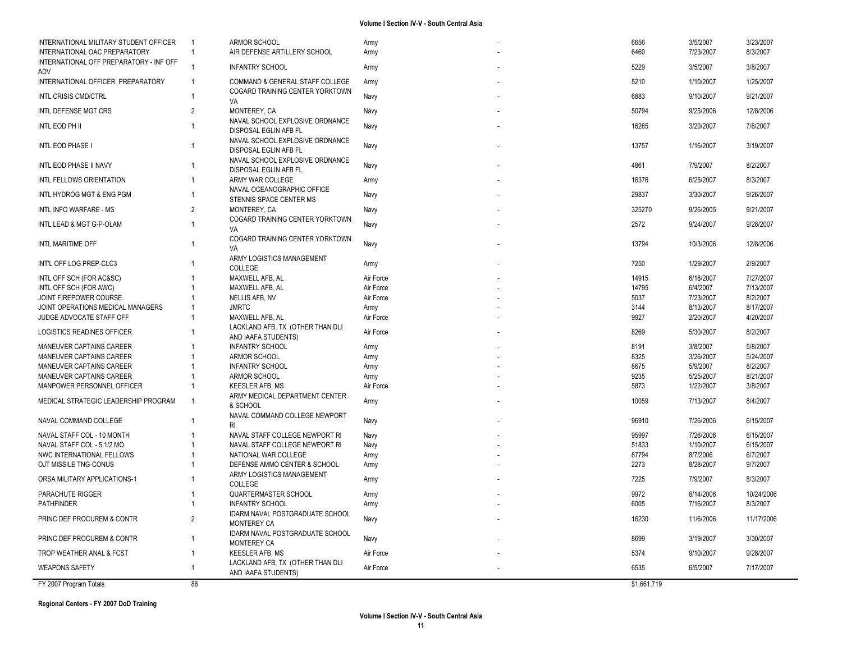| INTERNATIONAL MILITARY STUDENT OFFICER         | $\overline{1}$ | <b>ARMOR SCHOOL</b>                                      | Army      | 6656        | 3/5/2007  | 3/23/2007  |
|------------------------------------------------|----------------|----------------------------------------------------------|-----------|-------------|-----------|------------|
| INTERNATIONAL OAC PREPARATORY                  | $\mathbf{1}$   | AIR DEFENSE ARTILLERY SCHOOL                             | Army      | 6460        | 7/23/2007 | 8/3/2007   |
| INTERNATIONAL OFF PREPARATORY - INF OFF<br>ADV | 1              | <b>INFANTRY SCHOOL</b>                                   | Army      | 5229        | 3/5/2007  | 3/8/2007   |
| INTERNATIONAL OFFICER PREPARATORY              | $\mathbf{1}$   | COMMAND & GENERAL STAFF COLLEGE                          | Army      | 5210        | 1/10/2007 | 1/25/2007  |
| <b>INTL CRISIS CMD/CTRL</b>                    | 1              | COGARD TRAINING CENTER YORKTOWN<br>VA                    | Navy      | 6883        | 9/10/2007 | 9/21/2007  |
| INTL DEFENSE MGT CRS                           | $\overline{2}$ | MONTEREY, CA                                             | Navy      | 50794       | 9/25/2006 | 12/8/2006  |
| INTL EOD PH II                                 | 1              | NAVAL SCHOOL EXPLOSIVE ORDNANCE<br>DISPOSAL EGLIN AFB FL | Navy      | 16265       | 3/20/2007 | 7/6/2007   |
| INTL EOD PHASE I                               | 1              | NAVAL SCHOOL EXPLOSIVE ORDNANCE<br>DISPOSAL EGLIN AFB FL | Navy      | 13757       | 1/16/2007 | 3/19/2007  |
| INTL EOD PHASE II NAVY                         | 1              | NAVAL SCHOOL EXPLOSIVE ORDNANCE<br>DISPOSAL EGLIN AFB FL | Navy      | 4861        | 7/9/2007  | 8/2/2007   |
| INTL FELLOWS ORIENTATION                       | 1              | ARMY WAR COLLEGE                                         | Army      | 16376       | 6/25/2007 | 8/3/2007   |
| INTL HYDROG MGT & ENG PGM                      | 1              | NAVAL OCEANOGRAPHIC OFFICE<br>STENNIS SPACE CENTER MS    | Navy      | 29837       | 3/30/2007 | 9/26/2007  |
| INTL INFO WARFARE - MS                         | $\overline{2}$ | MONTEREY, CA                                             | Navy      | 325270      | 9/26/2005 | 9/21/2007  |
| INTL LEAD & MGT G-P-OLAM                       | $\mathbf{1}$   | COGARD TRAINING CENTER YORKTOWN<br>VA                    | Navy      | 2572        | 9/24/2007 | 9/28/2007  |
| INTL MARITIME OFF                              | 1              | COGARD TRAINING CENTER YORKTOWN<br>VA                    | Navy      | 13794       | 10/3/2006 | 12/8/2006  |
| INT'L OFF LOG PREP-CLC3                        | 1              | ARMY LOGISTICS MANAGEMENT<br>COLLEGE                     | Army      | 7250        | 1/29/2007 | 2/9/2007   |
| INTL OFF SCH (FOR AC&SC)                       |                | MAXWELL AFB, AL                                          | Air Force | 14915       | 6/18/2007 | 7/27/2007  |
| INTL OFF SCH (FOR AWC)                         | 1              | MAXWELL AFB, AL                                          | Air Force | 14795       | 6/4/2007  | 7/13/2007  |
| JOINT FIREPOWER COURSE                         | 1              | NELLIS AFB, NV                                           | Air Force | 5037        | 7/23/2007 | 8/2/2007   |
| JOINT OPERATIONS MEDICAL MANAGERS              | 1              | <b>JMRTC</b>                                             | Army      | 3144        | 8/13/2007 | 8/17/2007  |
| JUDGE ADVOCATE STAFF OFF                       | 1              | MAXWELL AFB, AL                                          | Air Force | 9927        | 2/20/2007 | 4/20/2007  |
| LOGISTICS READINES OFFICER                     |                | LACKLAND AFB, TX (OTHER THAN DLI<br>AND IAAFA STUDENTS)  | Air Force | 8269        | 5/30/2007 | 8/2/2007   |
| MANEUVER CAPTAINS CAREER                       |                | <b>INFANTRY SCHOOL</b>                                   | Army      | 8191        | 3/8/2007  | 5/8/2007   |
| MANEUVER CAPTAINS CAREER                       |                | ARMOR SCHOOL                                             | Army      | 8325        | 3/26/2007 | 5/24/2007  |
| MANEUVER CAPTAINS CAREER                       |                | <b>INFANTRY SCHOOL</b>                                   | Army      | 8675        | 5/9/2007  | 8/2/2007   |
| MANEUVER CAPTAINS CAREER                       | 1              | ARMOR SCHOOL                                             | Army      | 9235        | 5/25/2007 | 8/21/2007  |
| MANPOWER PERSONNEL OFFICER                     | 1              | <b>KEESLER AFB, MS</b>                                   | Air Force | 5873        | 1/22/2007 | 3/8/2007   |
|                                                | $\mathbf{1}$   | ARMY MEDICAL DEPARTMENT CENTER                           |           |             |           |            |
| MEDICAL STRATEGIC LEADERSHIP PROGRAM           |                | & SCHOOL                                                 | Army      | 10059       | 7/13/2007 | 8/4/2007   |
| NAVAL COMMAND COLLEGE                          | 1              | NAVAL COMMAND COLLEGE NEWPORT<br><b>RI</b>               | Navy      | 96910       | 7/26/2006 | 6/15/2007  |
| NAVAL STAFF COL - 10 MONTH                     | 1              | NAVAL STAFF COLLEGE NEWPORT RI                           | Navy      | 95997       | 7/26/2006 | 6/15/2007  |
| NAVAL STAFF COL - 5 1/2 MO                     | 1              | NAVAL STAFF COLLEGE NEWPORT RI                           | Navy      | 51833       | 1/10/2007 | 6/15/2007  |
| NWC INTERNATIONAL FELLOWS                      |                | NATIONAL WAR COLLEGE                                     | Army      | 87794       | 8/7/2006  | 6/7/2007   |
| OJT MISSILE TNG-CONUS                          |                | DEFENSE AMMO CENTER & SCHOOL                             | Army      | 2273        | 8/28/2007 | 9/7/2007   |
| ORSA MILITARY APPLICATIONS-1                   |                | ARMY LOGISTICS MANAGEMENT<br>COLLEGE                     | Army      | 7225        | 7/9/2007  | 8/3/2007   |
| <b>PARACHUTE RIGGER</b>                        |                | QUARTERMASTER SCHOOL                                     | Army      | 9972        | 8/14/2006 | 10/24/2006 |
| <b>PATHFINDER</b>                              | 1              | <b>INFANTRY SCHOOL</b>                                   | Army      | 6005        | 7/16/2007 | 8/3/2007   |
| PRINC DEF PROCUREM & CONTR                     | $\overline{2}$ | <b>IDARM NAVAL POSTGRADUATE SCHOOL</b><br>MONTEREY CA    | Navy      | 16230       | 11/6/2006 | 11/17/2006 |
| PRINC DEF PROCUREM & CONTR                     | 1              | IDARM NAVAL POSTGRADUATE SCHOOL<br>MONTEREY CA           | Navy      | 8699        | 3/19/2007 | 3/30/2007  |
| TROP WEATHER ANAL & FCST                       | 1              | <b>KEESLER AFB, MS</b>                                   | Air Force | 5374        | 9/10/2007 | 9/28/2007  |
| <b>WEAPONS SAFETY</b>                          | $\mathbf{1}$   | LACKLAND AFB, TX (OTHER THAN DLI<br>AND IAAFA STUDENTS)  | Air Force | 6535        | 6/5/2007  | 7/17/2007  |
| FY 2007 Program Totals                         | 86             |                                                          |           | \$1,661,719 |           |            |
|                                                |                |                                                          |           |             |           |            |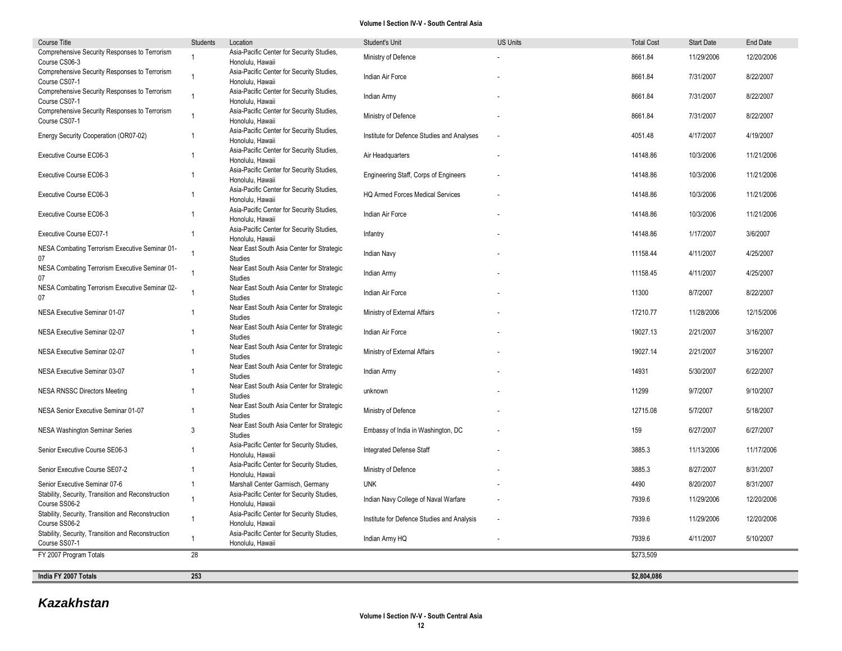| Course Title                                                        | Students       | Location                                                      | Student's Unit                             | <b>US Units</b> | <b>Total Cost</b> | <b>Start Date</b> | <b>End Date</b> |
|---------------------------------------------------------------------|----------------|---------------------------------------------------------------|--------------------------------------------|-----------------|-------------------|-------------------|-----------------|
| Comprehensive Security Responses to Terrorism<br>Course CS06-3      | $\overline{1}$ | Asia-Pacific Center for Security Studies,<br>Honolulu, Hawaii | Ministry of Defence                        |                 | 8661.84           | 11/29/2006        | 12/20/2006      |
| Comprehensive Security Responses to Terrorism<br>Course CS07-1      | $\mathbf{1}$   | Asia-Pacific Center for Security Studies,<br>Honolulu, Hawaii | Indian Air Force                           |                 | 8661.84           | 7/31/2007         | 8/22/2007       |
| Comprehensive Security Responses to Terrorism<br>Course CS07-1      | $\mathbf{1}$   | Asia-Pacific Center for Security Studies,<br>Honolulu, Hawaii | Indian Army                                |                 | 8661.84           | 7/31/2007         | 8/22/2007       |
| Comprehensive Security Responses to Terrorism<br>Course CS07-1      | $\overline{1}$ | Asia-Pacific Center for Security Studies,<br>Honolulu, Hawaii | Ministry of Defence                        |                 | 8661.84           | 7/31/2007         | 8/22/2007       |
| Energy Security Cooperation (OR07-02)                               | $\overline{1}$ | Asia-Pacific Center for Security Studies,<br>Honolulu, Hawaii | Institute for Defence Studies and Analyses |                 | 4051.48           | 4/17/2007         | 4/19/2007       |
| Executive Course EC06-3                                             | $\overline{1}$ | Asia-Pacific Center for Security Studies,<br>Honolulu, Hawaii | Air Headquarters                           |                 | 14148.86          | 10/3/2006         | 11/21/2006      |
| Executive Course EC06-3                                             | $\overline{1}$ | Asia-Pacific Center for Security Studies,<br>Honolulu, Hawaii | Engineering Staff, Corps of Engineers      |                 | 14148.86          | 10/3/2006         | 11/21/2006      |
| Executive Course EC06-3                                             | $\overline{1}$ | Asia-Pacific Center for Security Studies,<br>Honolulu, Hawaii | <b>HQ Armed Forces Medical Services</b>    |                 | 14148.86          | 10/3/2006         | 11/21/2006      |
| Executive Course EC06-3                                             | $\overline{1}$ | Asia-Pacific Center for Security Studies,<br>Honolulu, Hawaii | Indian Air Force                           |                 | 14148.86          | 10/3/2006         | 11/21/2006      |
| Executive Course EC07-1                                             | $\mathbf{1}$   | Asia-Pacific Center for Security Studies,<br>Honolulu, Hawaii | Infantry                                   |                 | 14148.86          | 1/17/2007         | 3/6/2007        |
| NESA Combating Terrorism Executive Seminar 01-<br>07                | $\mathbf{1}$   | Near East South Asia Center for Strategic<br>Studies          | Indian Navy                                |                 | 11158.44          | 4/11/2007         | 4/25/2007       |
| NESA Combating Terrorism Executive Seminar 01-<br>07                | $\mathbf{1}$   | Near East South Asia Center for Strategic<br>Studies          | Indian Army                                |                 | 11158.45          | 4/11/2007         | 4/25/2007       |
| NESA Combating Terrorism Executive Seminar 02-<br>07                |                | Near East South Asia Center for Strategic<br>Studies          | Indian Air Force                           |                 | 11300             | 8/7/2007          | 8/22/2007       |
| NESA Executive Seminar 01-07                                        | $\overline{1}$ | Near East South Asia Center for Strategic<br>Studies          | Ministry of External Affairs               |                 | 17210.77          | 11/28/2006        | 12/15/2006      |
| NESA Executive Seminar 02-07                                        | $\overline{1}$ | Near East South Asia Center for Strategic<br>Studies          | Indian Air Force                           |                 | 19027.13          | 2/21/2007         | 3/16/2007       |
| NESA Executive Seminar 02-07                                        | $\mathbf{1}$   | Near East South Asia Center for Strategic<br>Studies          | Ministry of External Affairs               |                 | 19027.14          | 2/21/2007         | 3/16/2007       |
| NESA Executive Seminar 03-07                                        | $\mathbf{1}$   | Near East South Asia Center for Strategic<br>Studies          | Indian Army                                |                 | 14931             | 5/30/2007         | 6/22/2007       |
| <b>NESA RNSSC Directors Meeting</b>                                 | $\mathbf 1$    | Near East South Asia Center for Strategic<br>Studies          | unknown                                    |                 | 11299             | 9/7/2007          | 9/10/2007       |
| NESA Senior Executive Seminar 01-07                                 | $\mathbf{1}$   | Near East South Asia Center for Strategic<br>Studies          | Ministry of Defence                        |                 | 12715.08          | 5/7/2007          | 5/18/2007       |
| <b>NESA Washington Seminar Series</b>                               | 3              | Near East South Asia Center for Strategic<br>Studies          | Embassy of India in Washington, DC         |                 | 159               | 6/27/2007         | 6/27/2007       |
| Senior Executive Course SE06-3                                      | $\overline{1}$ | Asia-Pacific Center for Security Studies,<br>Honolulu, Hawaii | Integrated Defense Staff                   |                 | 3885.3            | 11/13/2006        | 11/17/2006      |
| Senior Executive Course SE07-2                                      | $\overline{1}$ | Asia-Pacific Center for Security Studies,<br>Honolulu, Hawaii | Ministry of Defence                        |                 | 3885.3            | 8/27/2007         | 8/31/2007       |
| Senior Executive Seminar 07-6                                       | $\mathbf{1}$   | Marshall Center Garmisch, Germany                             | <b>UNK</b>                                 |                 | 4490              | 8/20/2007         | 8/31/2007       |
| Stability, Security, Transition and Reconstruction<br>Course SS06-2 | $\mathbf{1}$   | Asia-Pacific Center for Security Studies,<br>Honolulu, Hawaii | Indian Navy College of Naval Warfare       |                 | 7939.6            | 11/29/2006        | 12/20/2006      |
| Stability, Security, Transition and Reconstruction<br>Course SS06-2 | $\mathbf{1}$   | Asia-Pacific Center for Security Studies,<br>Honolulu, Hawaii | Institute for Defence Studies and Analysis | ÷,              | 7939.6            | 11/29/2006        | 12/20/2006      |
| Stability, Security, Transition and Reconstruction<br>Course SS07-1 | $\mathbf{1}$   | Asia-Pacific Center for Security Studies,<br>Honolulu, Hawaii | Indian Army HQ                             |                 | 7939.6            | 4/11/2007         | 5/10/2007       |
| FY 2007 Program Totals                                              | 28             |                                                               |                                            |                 | \$273,509         |                   |                 |
| India FY 2007 Totals                                                | 253            |                                                               |                                            |                 | \$2,804,086       |                   |                 |

# *Kazakhstan*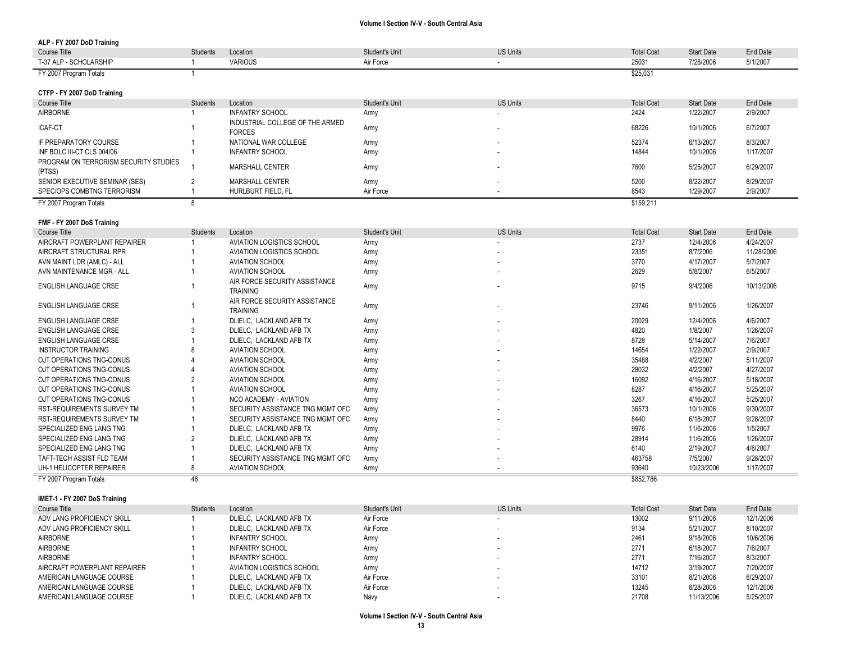| ALP - FY 2007 DoD Training                      |          |                                                  |                |                          |                   |                   |           |
|-------------------------------------------------|----------|--------------------------------------------------|----------------|--------------------------|-------------------|-------------------|-----------|
| Course Title                                    | Students | Location                                         | Student's Unit | <b>US Units</b>          | <b>Total Cost</b> | <b>Start Date</b> | End Date  |
| T-37 ALP - SCHOLARSHIP                          |          | <b>VARIOUS</b>                                   | Air Force      | $\overline{\phantom{a}}$ | 25031             | 7/28/2006         | 5/1/2007  |
| FY 2007 Program Totals                          |          |                                                  |                |                          | \$25,031          |                   |           |
| CTFP - FY 2007 DoD Training                     |          |                                                  |                |                          |                   |                   |           |
| Course Title                                    | Students | Location                                         | Student's Unit | <b>US Units</b>          | <b>Total Cost</b> | <b>Start Date</b> | End Date  |
| <b>AIRBORNE</b>                                 |          | <b>INFANTRY SCHOOL</b>                           | Army           | . .                      | 2424              | 1/22/2007         | 2/9/2007  |
| ICAF-CT                                         |          | INDUSTRIAL COLLEGE OF THE ARMED<br><b>FORCES</b> | Army           |                          | 68226             | 10/1/2006         | 6/7/2007  |
| IF PREPARATORY COURSE                           |          | NATIONAL WAR COLLEGE                             | Army           | . .                      | 52374             | 6/13/2007         | 8/3/2007  |
| INF BOLC III-CT CLS 004/06                      |          | <b>INFANTRY SCHOOL</b>                           | Army           | . .                      | 14844             | 10/1/2006         | 1/17/2007 |
| PROGRAM ON TERRORISM SECURITY STUDIES<br>(PTSS) |          | <b>MARSHALL CENTER</b>                           | Army           | . .                      | 7600              | 5/25/2007         | 6/29/2007 |
| SENIOR EXECUTIVE SEMINAR (SES)                  |          | <b>MARSHALL CENTER</b>                           | Army           | . .                      | 5200              | 8/22/2007         | 8/29/2007 |
| SPEC/OPS COMBTNG TERRORISM                      |          | HURLBURT FIELD, FL                               | Air Force      | $\sim$                   | 8543              | 1/29/2007         | 2/9/2007  |
| FY 2007 Program Totals                          |          |                                                  |                |                          | \$159,211         |                   |           |

# **FMF - FY 2007 DoS Training**

| <b>Course Title</b>               | Students | Location                                         | Student's Unit | <b>US Units</b> | <b>Total Cost</b> | <b>Start Date</b> | End Date   |
|-----------------------------------|----------|--------------------------------------------------|----------------|-----------------|-------------------|-------------------|------------|
| AIRCRAFT POWERPLANT REPAIRER      |          | AVIATION LOGISTICS SCHOOL                        | Army           |                 | 2737              | 12/4/2006         | 4/24/2007  |
| AIRCRAFT STRUCTURAL RPR           |          | AVIATION LOGISTICS SCHOOL                        | Army           | ۰.              | 23351             | 8/7/2006          | 11/28/2006 |
| AVN MAINT LDR (AMLC) - ALL        |          | <b>AVIATION SCHOOL</b>                           | Army           |                 | 3770              | 4/17/2007         | 5/7/2007   |
| AVN MAINTENANCE MGR - ALL         |          | <b>AVIATION SCHOOL</b>                           | Army           |                 | 2629              | 5/8/2007          | 6/5/2007   |
| ENGLISH LANGUAGE CRSE             |          | AIR FORCE SECURITY ASSISTANCE<br>TRAINING        | Army           |                 | 9715              | 9/4/2006          | 10/13/2006 |
| ENGLISH LANGUAGE CRSE             |          | AIR FORCE SECURITY ASSISTANCE<br><b>TRAINING</b> | Army           | ٠               | 23746             | 9/11/2006         | 1/26/2007  |
| <b>ENGLISH LANGUAGE CRSE</b>      |          | DLIELC, LACKLAND AFB TX                          | Army           | ٠               | 20029             | 12/4/2006         | 4/6/2007   |
| <b>ENGLISH LANGUAGE CRSE</b>      |          | DLIELC. LACKLAND AFB TX                          | Army           |                 | 4820              | 1/8/2007          | 1/26/2007  |
| <b>ENGLISH LANGUAGE CRSE</b>      |          | DLIELC. LACKLAND AFB TX                          | Army           |                 | 8728              | 5/14/2007         | 7/6/2007   |
| <b>INSTRUCTOR TRAINING</b>        |          | <b>AVIATION SCHOOL</b>                           | Army           |                 | 14654             | 1/22/2007         | 2/9/2007   |
| OJT OPERATIONS TNG-CONUS          |          | <b>AVIATION SCHOOL</b>                           | Army           |                 | 35488             | 4/2/2007          | 5/11/2007  |
| OJT OPERATIONS TNG-CONUS          |          | <b>AVIATION SCHOOL</b>                           | Army           |                 | 28032             | 4/2/2007          | 4/27/2007  |
| OJT OPERATIONS TNG-CONUS          |          | <b>AVIATION SCHOOL</b>                           | Army           |                 | 16092             | 4/16/2007         | 5/18/2007  |
| OJT OPERATIONS TNG-CONUS          |          | <b>AVIATION SCHOOL</b>                           | Army           |                 | 8287              | 4/16/2007         | 5/25/2007  |
| OJT OPERATIONS TNG-CONUS          |          | <b>NCO ACADEMY - AVIATION</b>                    | Army           |                 | 3267              | 4/16/2007         | 5/25/2007  |
| <b>RST-REQUIREMENTS SURVEY TM</b> |          | SECURITY ASSISTANCE TNG MGMT OFC                 | Army           |                 | 36573             | 10/1/2006         | 9/30/2007  |
| <b>RST-REQUIREMENTS SURVEY TM</b> |          | SECURITY ASSISTANCE TNG MGMT OFC                 | Army           |                 | 8440              | 6/18/2007         | 9/28/2007  |
| SPECIALIZED ENG LANG TNG          |          | DLIELC, LACKLAND AFB TX                          | Army           | ٠               | 9976              | 11/6/2006         | 1/5/2007   |
| SPECIALIZED ENG LANG TNG          |          | DLIELC, LACKLAND AFB TX                          | Army           |                 | 28914             | 11/6/2006         | 1/26/2007  |
| SPECIALIZED ENG LANG TNG          |          | DLIELC, LACKLAND AFB TX                          | Army           |                 | 6140              | 2/19/2007         | 4/6/2007   |
| TAFT-TECH ASSIST FLD TEAM         |          | SECURITY ASSISTANCE TNG MGMT OFC                 | Army           |                 | 463758            | 7/5/2007          | 9/28/2007  |
| UH-1 HELICOPTER REPAIRER          |          | <b>AVIATION SCHOOL</b>                           | Army           |                 | 93640             | 10/23/2006        | 1/17/2007  |
| FY 2007 Program Totals            | 46       |                                                  |                |                 | \$852,786         |                   |            |

## **IMET-1 - FY 2007 DoS Training**

| Course Title                 | <b>Students</b> | Location                  | Student's Unit | <b>US Units</b> | <b>Total Cost</b> | <b>Start Date</b> | End Date  |
|------------------------------|-----------------|---------------------------|----------------|-----------------|-------------------|-------------------|-----------|
| ADV LANG PROFICIENCY SKILL   |                 | DLIELC. LACKLAND AFB TX   | Air Force      |                 | 13002             | 9/11/2006         | 12/1/2006 |
| ADV LANG PROFICIENCY SKILL   |                 | DLIELC. LACKLAND AFB TX   | Air Force      |                 | 9134              | 5/21/2007         | 8/10/2007 |
| AIRBORNE                     |                 | <b>INFANTRY SCHOOL</b>    | Army           |                 | 2461              | 9/18/2006         | 10/6/2006 |
| AIRBORNE                     |                 | <b>INFANTRY SCHOOL</b>    | Army           |                 | 2771              | 6/18/2007         | 7/6/2007  |
| AIRBORNE                     |                 | <b>INFANTRY SCHOOL</b>    | Army           |                 | 2771              | 7/16/2007         | 8/3/2007  |
| AIRCRAFT POWERPLANT REPAIRER |                 | AVIATION LOGISTICS SCHOOL | Army           |                 | 14712             | 3/19/2007         | 7/20/2007 |
| AMERICAN LANGUAGE COURSE     |                 | DLIELC. LACKLAND AFB TX   | Air Force      |                 | 33101             | 8/21/2006         | 6/29/2007 |
| AMERICAN LANGUAGE COURSE     |                 | DLIELC. LACKLAND AFB TX   | Air Force      |                 | 13245             | 8/28/2006         | 12/1/2006 |
| AMERICAN LANGUAGE COURSE     |                 | DLIELC. LACKLAND AFB TX   | Navy           |                 | 21708             | 11/13/2006        | 5/25/2007 |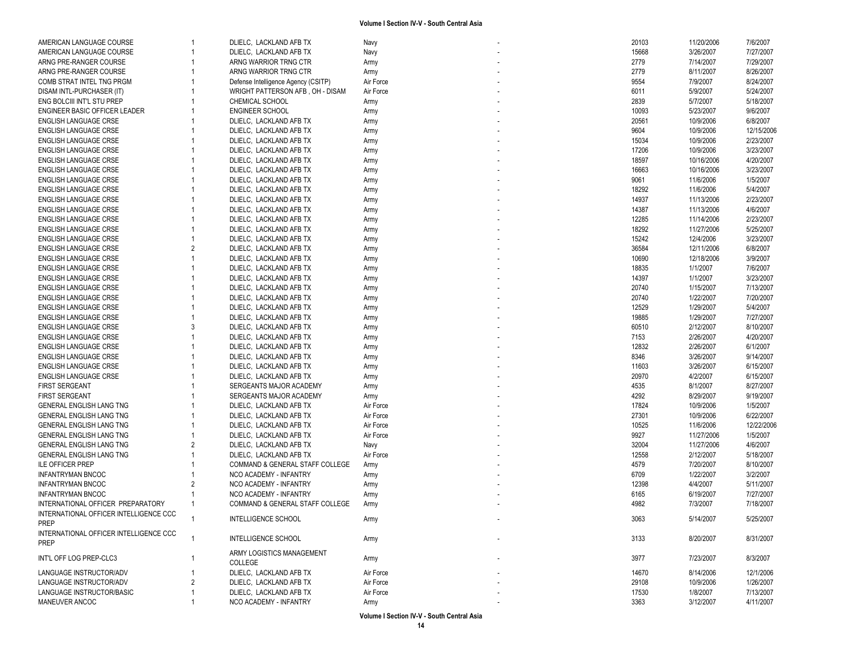| AMERICAN LANGUAGE COURSE               |                | DLIELC, LACKLAND AFB TX              | Navy         | 20103 | 11/20/2006 | 7/6/2007   |
|----------------------------------------|----------------|--------------------------------------|--------------|-------|------------|------------|
| AMERICAN LANGUAGE COURSE               |                | DLIELC, LACKLAND AFB TX              | Navy         | 15668 | 3/26/2007  | 7/27/2007  |
| ARNG PRE-RANGER COURSE                 |                | ARNG WARRIOR TRNG CTR                | Army         | 2779  | 7/14/2007  | 7/29/2007  |
| ARNG PRE-RANGER COURSE                 |                | ARNG WARRIOR TRNG CTR                | Army         | 2779  | 8/11/2007  | 8/26/2007  |
| COMB STRAT INTEL TNG PRGM              |                | Defense Intelligence Agency (CSITP)  | Air Force    | 9554  | 7/9/2007   | 8/24/2007  |
| DISAM INTL-PURCHASER (IT)              |                | WRIGHT PATTERSON AFB, OH - DISAM     | Air Force    | 6011  | 5/9/2007   | 5/24/2007  |
| ENG BOLCIII INT'L STU PREP             |                | CHEMICAL SCHOOL                      | Army         | 2839  | 5/7/2007   | 5/18/2007  |
| ENGINEER BASIC OFFICER LEADER          |                | <b>ENGINEER SCHOOL</b>               | Army         | 10093 | 5/23/2007  | 9/6/2007   |
| ENGLISH LANGUAGE CRSE                  |                | DLIELC, LACKLAND AFB TX              | Army         | 20561 | 10/9/2006  | 6/8/2007   |
| <b>ENGLISH LANGUAGE CRSE</b>           |                | DLIELC, LACKLAND AFB TX              | Army         | 9604  | 10/9/2006  | 12/15/2006 |
| ENGLISH LANGUAGE CRSE                  |                | DLIELC, LACKLAND AFB TX              | Army         | 15034 | 10/9/2006  | 2/23/2007  |
| <b>ENGLISH LANGUAGE CRSE</b>           |                | DLIELC, LACKLAND AFB TX              | Army         | 17206 | 10/9/2006  | 3/23/2007  |
| ENGLISH LANGUAGE CRSE                  |                | DLIELC, LACKLAND AFB TX              | Army         | 18597 | 10/16/2006 | 4/20/2007  |
| <b>ENGLISH LANGUAGE CRSE</b>           |                | DLIELC, LACKLAND AFB TX              |              | 16663 | 10/16/2006 | 3/23/2007  |
| <b>ENGLISH LANGUAGE CRSE</b>           |                | DLIELC, LACKLAND AFB TX              | Army<br>Army | 9061  | 11/6/2006  | 1/5/2007   |
| <b>ENGLISH LANGUAGE CRSE</b>           |                | DLIELC, LACKLAND AFB TX              |              | 18292 | 11/6/2006  |            |
|                                        |                |                                      | Army         |       |            | 5/4/2007   |
| ENGLISH LANGUAGE CRSE                  |                | DLIELC, LACKLAND AFB TX              | Army         | 14937 | 11/13/2006 | 2/23/2007  |
| ENGLISH LANGUAGE CRSE                  |                | DLIELC, LACKLAND AFB TX              | Army         | 14387 | 11/13/2006 | 4/6/2007   |
| <b>ENGLISH LANGUAGE CRSE</b>           |                | DLIELC, LACKLAND AFB TX              | Army         | 12285 | 11/14/2006 | 2/23/2007  |
| <b>ENGLISH LANGUAGE CRSE</b>           |                | DLIELC, LACKLAND AFB TX              | Army         | 18292 | 11/27/2006 | 5/25/2007  |
| ENGLISH LANGUAGE CRSE                  |                | DLIELC, LACKLAND AFB TX              | Army         | 15242 | 12/4/2006  | 3/23/2007  |
| <b>ENGLISH LANGUAGE CRSE</b>           | 2              | DLIELC, LACKLAND AFB TX              | Army         | 36584 | 12/11/2006 | 6/8/2007   |
| <b>ENGLISH LANGUAGE CRSE</b>           |                | DLIELC, LACKLAND AFB TX              | Army         | 10690 | 12/18/2006 | 3/9/2007   |
| ENGLISH LANGUAGE CRSE                  |                | DLIELC, LACKLAND AFB TX              | Army         | 18835 | 1/1/2007   | 7/6/2007   |
| ENGLISH LANGUAGE CRSE                  |                | DLIELC, LACKLAND AFB TX              | Army         | 14397 | 1/1/2007   | 3/23/2007  |
| <b>ENGLISH LANGUAGE CRSE</b>           |                | DLIELC, LACKLAND AFB TX              | Army         | 20740 | 1/15/2007  | 7/13/2007  |
| <b>ENGLISH LANGUAGE CRSE</b>           |                | DLIELC, LACKLAND AFB TX              | Army         | 20740 | 1/22/2007  | 7/20/2007  |
| <b>ENGLISH LANGUAGE CRSE</b>           |                | DLIELC, LACKLAND AFB TX              | Army         | 12529 | 1/29/2007  | 5/4/2007   |
| ENGLISH LANGUAGE CRSE                  |                | DLIELC, LACKLAND AFB TX              | Army         | 19885 | 1/29/2007  | 7/27/2007  |
| ENGLISH LANGUAGE CRSE                  | 3              | DLIELC, LACKLAND AFB TX              | Army         | 60510 | 2/12/2007  | 8/10/2007  |
| ENGLISH LANGUAGE CRSE                  |                | DLIELC, LACKLAND AFB TX              | Army         | 7153  | 2/26/2007  | 4/20/2007  |
| <b>ENGLISH LANGUAGE CRSE</b>           |                | DLIELC, LACKLAND AFB TX              | Army         | 12832 | 2/26/2007  | 6/1/2007   |
| ENGLISH LANGUAGE CRSE                  |                | DLIELC, LACKLAND AFB TX              | Army         | 8346  | 3/26/2007  | 9/14/2007  |
| <b>ENGLISH LANGUAGE CRSE</b>           |                | DLIELC, LACKLAND AFB TX              | Army         | 11603 | 3/26/2007  | 6/15/2007  |
| <b>ENGLISH LANGUAGE CRSE</b>           |                | DLIELC, LACKLAND AFB TX              | Army         | 20970 | 4/2/2007   | 6/15/2007  |
| <b>FIRST SERGEANT</b>                  |                | SERGEANTS MAJOR ACADEMY              | Army         | 4535  | 8/1/2007   | 8/27/2007  |
| <b>FIRST SERGEANT</b>                  |                | SERGEANTS MAJOR ACADEMY              | Army         | 4292  | 8/29/2007  | 9/19/2007  |
| GENERAL ENGLISH LANG TNG               |                | DLIELC, LACKLAND AFB TX              | Air Force    | 17824 | 10/9/2006  | 1/5/2007   |
| GENERAL ENGLISH LANG TNG               |                | DLIELC, LACKLAND AFB TX              | Air Force    | 27301 | 10/9/2006  | 6/22/2007  |
| GENERAL ENGLISH LANG TNG               |                | DLIELC, LACKLAND AFB TX              | Air Force    | 10525 | 11/6/2006  | 12/22/2006 |
| GENERAL ENGLISH LANG TNG               |                | DLIELC, LACKLAND AFB TX              | Air Force    | 9927  | 11/27/2006 | 1/5/2007   |
| GENERAL ENGLISH LANG TNG               | 2              | DLIELC, LACKLAND AFB TX              | Navy         | 32004 | 11/27/2006 | 4/6/2007   |
| GENERAL ENGLISH LANG TNG               |                | DLIELC, LACKLAND AFB TX              | Air Force    | 12558 | 2/12/2007  | 5/18/2007  |
| <b>ILE OFFICER PREP</b>                |                | COMMAND & GENERAL STAFF COLLEGE      |              | 4579  | 7/20/2007  | 8/10/2007  |
|                                        |                | NCO ACADEMY - INFANTRY               | Army         | 6709  | 1/22/2007  | 3/2/2007   |
| <b>INFANTRYMAN BNCOC</b>               |                |                                      | Army         |       |            |            |
| <b>INFANTRYMAN BNCOC</b>               | 2              | NCO ACADEMY - INFANTRY               | Army         | 12398 | 4/4/2007   | 5/11/2007  |
| <b>INFANTRYMAN BNCOC</b>               |                | NCO ACADEMY - INFANTRY               | Army         | 6165  | 6/19/2007  | 7/27/2007  |
| INTERNATIONAL OFFICER PREPARATORY      | $\overline{1}$ | COMMAND & GENERAL STAFF COLLEGE      | Army         | 4982  | 7/3/2007   | 7/18/2007  |
| INTERNATIONAL OFFICER INTELLIGENCE CCC | $\overline{1}$ | INTELLIGENCE SCHOOL                  | Army         | 3063  | 5/14/2007  | 5/25/2007  |
| <b>PREP</b>                            |                |                                      |              |       |            |            |
| INTERNATIONAL OFFICER INTELLIGENCE CCC |                | INTELLIGENCE SCHOOL                  | Army         | 3133  | 8/20/2007  | 8/31/2007  |
| <b>PREP</b>                            |                |                                      |              |       |            |            |
| INT'L OFF LOG PREP-CLC3                |                | ARMY LOGISTICS MANAGEMENT<br>COLLEGE | Army         | 3977  | 7/23/2007  | 8/3/2007   |
|                                        |                |                                      |              |       |            |            |
| LANGUAGE INSTRUCTOR/ADV                |                | DLIELC, LACKLAND AFB TX              | Air Force    | 14670 | 8/14/2006  | 12/1/2006  |
| LANGUAGE INSTRUCTOR/ADV                | 2              | DLIELC, LACKLAND AFB TX              | Air Force    | 29108 | 10/9/2006  | 1/26/2007  |
| LANGUAGE INSTRUCTOR/BASIC              |                | DLIELC, LACKLAND AFB TX              | Air Force    | 17530 | 1/8/2007   | 7/13/2007  |
| MANEUVER ANCOC                         |                | NCO ACADEMY - INFANTRY               | Army         | 3363  | 3/12/2007  | 4/11/2007  |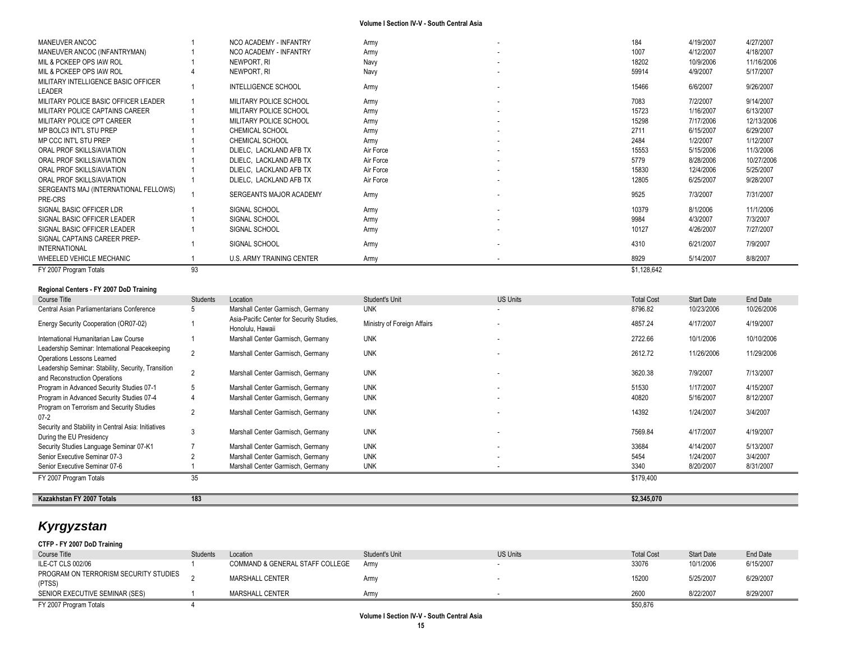| MANEUVER ANCOC                                       |    | NCO ACADEMY - INFANTRY     | Army      |                          | 184         | 4/19/2007 | 4/27/2007  |
|------------------------------------------------------|----|----------------------------|-----------|--------------------------|-------------|-----------|------------|
| MANEUVER ANCOC (INFANTRYMAN)                         |    | NCO ACADEMY - INFANTRY     | Army      |                          | 1007        | 4/12/2007 | 4/18/2007  |
| MIL & PCKEEP OPS IAW ROL                             |    | NEWPORT. RI                | Navy      |                          | 18202       | 10/9/2006 | 11/16/2006 |
| MIL & PCKEEP OPS IAW ROL                             |    | Newport, RI                | Navy      |                          | 59914       | 4/9/2007  | 5/17/2007  |
| MILITARY INTELLIGENCE BASIC OFFICER<br>LEADER        |    | <b>INTELLIGENCE SCHOOL</b> | Army      |                          | 15466       | 6/6/2007  | 9/26/2007  |
| MILITARY POLICE BASIC OFFICER LEADER                 |    | MILITARY POLICE SCHOOL     | Army      | $\overline{\phantom{a}}$ | 7083        | 7/2/2007  | 9/14/2007  |
| MILITARY POLICE CAPTAINS CAREER                      |    | MILITARY POLICE SCHOOL     | Army      |                          | 15723       | 1/16/2007 | 6/13/2007  |
| MILITARY POLICE CPT CAREER                           |    | MILITARY POLICE SCHOOL     | Army      | $\overline{\phantom{a}}$ | 15298       | 7/17/2006 | 12/13/2006 |
| MP BOLC3 INT'L STU PREP                              |    | <b>CHEMICAL SCHOOL</b>     | Army      |                          | 2711        | 6/15/2007 | 6/29/2007  |
| MP CCC INT'L STU PREP                                |    | <b>CHEMICAL SCHOOL</b>     | Army      |                          | 2484        | 1/2/2007  | 1/12/2007  |
| ORAL PROF SKILLS/AVIATION                            |    | DLIELC, LACKLAND AFB TX    | Air Force |                          | 15553       | 5/15/2006 | 11/3/2006  |
| ORAL PROF SKILLS/AVIATION                            |    | DLIELC. LACKLAND AFB TX    | Air Force |                          | 5779        | 8/28/2006 | 10/27/2006 |
| ORAL PROF SKILLS/AVIATION                            |    | DLIELC. LACKLAND AFB TX    | Air Force |                          | 15830       | 12/4/2006 | 5/25/2007  |
| ORAL PROF SKILLS/AVIATION                            |    | DLIELC, LACKLAND AFB TX    | Air Force |                          | 12805       | 6/25/2007 | 9/28/2007  |
| SERGEANTS MAJ (INTERNATIONAL FELLOWS)<br>PRE-CRS     |    | SERGEANTS MAJOR ACADEMY    | Army      |                          | 9525        | 7/3/2007  | 7/31/2007  |
| SIGNAL BASIC OFFICER LDR                             |    | SIGNAL SCHOOL              | Army      |                          | 10379       | 8/1/2006  | 11/1/2006  |
| SIGNAL BASIC OFFICER LEADER                          |    | SIGNAL SCHOOL              | Army      |                          | 9984        | 4/3/2007  | 7/3/2007   |
| SIGNAL BASIC OFFICER LEADER                          |    | SIGNAL SCHOOL              | Army      |                          | 10127       | 4/26/2007 | 7/27/2007  |
| SIGNAL CAPTAINS CAREER PREP-<br><b>INTERNATIONAL</b> |    | SIGNAL SCHOOL              | Army      |                          | 4310        | 6/21/2007 | 7/9/2007   |
| WHEELED VEHICLE MECHANIC                             |    | U.S. ARMY TRAINING CENTER  | Army      |                          | 8929        | 5/14/2007 | 8/8/2007   |
| FY 2007 Program Totals                               | 93 |                            |           |                          | \$1,128,642 |           |            |

# **Regional Centers - FY 2007 DoD Training**

| Course Title                                                                         | Students       | Location                                                      | <b>Student's Unit</b>       | US Units                 | <b>Total Cost</b> | <b>Start Date</b> | End Date   |
|--------------------------------------------------------------------------------------|----------------|---------------------------------------------------------------|-----------------------------|--------------------------|-------------------|-------------------|------------|
| Central Asian Parliamentarians Conference                                            | 5              | Marshall Center Garmisch, Germany                             | <b>UNK</b>                  |                          | 8796.82           | 10/23/2006        | 10/26/2006 |
| Energy Security Cooperation (OR07-02)                                                |                | Asia-Pacific Center for Security Studies,<br>Honolulu, Hawaii | Ministry of Foreign Affairs |                          | 4857.24           | 4/17/2007         | 4/19/2007  |
| International Humanitarian Law Course                                                |                | Marshall Center Garmisch, Germany                             | <b>UNK</b>                  |                          | 2722.66           | 10/1/2006         | 10/10/2006 |
| Leadership Seminar: International Peacekeeping<br>Operations Lessons Learned         | $\overline{2}$ | Marshall Center Garmisch, Germany                             | <b>UNK</b>                  |                          | 2612.72           | 11/26/2006        | 11/29/2006 |
| Leadership Seminar: Stability, Security, Transition<br>and Reconstruction Operations | $\overline{2}$ | Marshall Center Garmisch, Germany                             | <b>UNK</b>                  |                          | 3620.38           | 7/9/2007          | 7/13/2007  |
| Program in Advanced Security Studies 07-1                                            | 5              | Marshall Center Garmisch, Germany                             | <b>UNK</b>                  | $\overline{\phantom{a}}$ | 51530             | 1/17/2007         | 4/15/2007  |
| Program in Advanced Security Studies 07-4                                            | 4              | Marshall Center Garmisch, Germany                             | <b>UNK</b>                  | ۰                        | 40820             | 5/16/2007         | 8/12/2007  |
| Program on Terrorism and Security Studies<br>$07 - 2$                                | $\overline{2}$ | Marshall Center Garmisch, Germany                             | <b>UNK</b>                  |                          | 14392             | 1/24/2007         | 3/4/2007   |
| Security and Stability in Central Asia: Initiatives<br>During the EU Presidency      | 3              | Marshall Center Garmisch, Germany                             | <b>UNK</b>                  |                          | 7569.84           | 4/17/2007         | 4/19/2007  |
| Security Studies Language Seminar 07-K1                                              |                | Marshall Center Garmisch, Germany                             | <b>UNK</b>                  | ٠                        | 33684             | 4/14/2007         | 5/13/2007  |
| Senior Executive Seminar 07-3                                                        |                | Marshall Center Garmisch, Germany                             | <b>UNK</b>                  | ٠                        | 5454              | 1/24/2007         | 3/4/2007   |
| Senior Executive Seminar 07-6                                                        |                | Marshall Center Garmisch, Germany                             | <b>UNK</b>                  |                          | 3340              | 8/20/2007         | 8/31/2007  |
| FY 2007 Program Totals                                                               | 35             |                                                               |                             |                          | \$179,400         |                   |            |
|                                                                                      |                |                                                               |                             |                          |                   |                   |            |
| Kazakhstan FY 2007 Totals                                                            | 183            |                                                               |                             |                          | \$2,345,070       |                   |            |

# *Kyrgyzstan*

| CTFP - FY 2007 DoD Training                     |                 |                                 |                |                 |                   |                   |           |
|-------------------------------------------------|-----------------|---------------------------------|----------------|-----------------|-------------------|-------------------|-----------|
| Course Title                                    | <b>Students</b> | Location                        | Student's Unit | <b>US Units</b> | <b>Total Cost</b> | <b>Start Date</b> | End Date  |
| ILE-CT CLS 002/06                               |                 | COMMAND & GENERAL STAFF COLLEGE | Army           |                 | 33076             | 10/1/2006         | 6/15/2007 |
| PROGRAM ON TERRORISM SECURITY STUDIES<br>(PTSS) |                 | <b>MARSHALL CENTER</b>          | Arm            |                 | 15200             | 5/25/2007         | 6/29/2007 |
| SENIOR EXECUTIVE SEMINAR (SES)                  |                 | <b>MARSHALL CENTER</b>          | Arm            |                 | 2600              | 8/22/2007         | 8/29/2007 |
| FY 2007 Program Totals                          |                 |                                 |                |                 | \$50,876          |                   |           |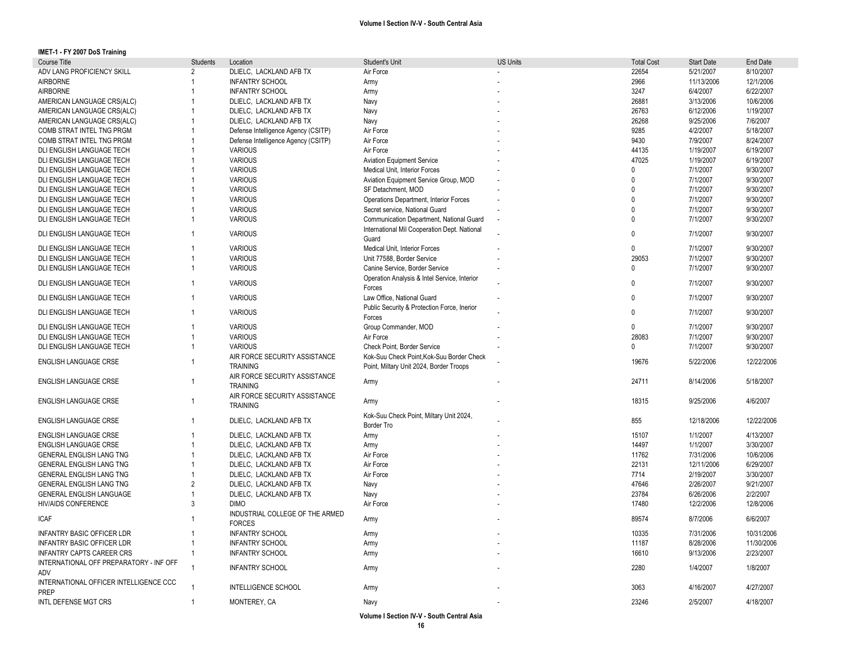**IMET-1 - FY 2007 DoS Training**

| Course Title                            | <b>Students</b> | Location                            | Student's Unit                               | <b>US Units</b> | <b>Total Cost</b> | <b>Start Date</b> | End Date   |
|-----------------------------------------|-----------------|-------------------------------------|----------------------------------------------|-----------------|-------------------|-------------------|------------|
| ADV LANG PROFICIENCY SKILL              | 2               | DLIELC, LACKLAND AFB TX             | Air Force                                    |                 | 22654             | 5/21/2007         | 8/10/2007  |
| <b>AIRBORNE</b>                         |                 | <b>INFANTRY SCHOOL</b>              | Army                                         |                 | 2966              | 11/13/2006        | 12/1/2006  |
| <b>AIRBORNE</b>                         |                 | <b>INFANTRY SCHOOL</b>              | Army                                         |                 | 3247              | 6/4/2007          | 6/22/2007  |
| AMERICAN LANGUAGE CRS(ALC)              | $\mathbf{1}$    | DLIELC, LACKLAND AFB TX             | Navy                                         |                 | 26881             | 3/13/2006         | 10/6/2006  |
| AMERICAN LANGUAGE CRS(ALC)              |                 | DLIELC, LACKLAND AFB TX             | Navy                                         |                 | 26763             | 6/12/2006         | 1/19/2007  |
| AMERICAN LANGUAGE CRS(ALC)              |                 | DLIELC, LACKLAND AFB TX             | Navy                                         |                 | 26268             | 9/25/2006         | 7/6/2007   |
| COMB STRAT INTEL TNG PRGM               | 1               | Defense Intelligence Agency (CSITP) | Air Force                                    |                 | 9285              | 4/2/2007          | 5/18/2007  |
| COMB STRAT INTEL TNG PRGM               |                 | Defense Intelligence Agency (CSITP) | Air Force                                    |                 | 9430              | 7/9/2007          | 8/24/2007  |
| DLI ENGLISH LANGUAGE TECH               |                 | <b>VARIOUS</b>                      | Air Force                                    |                 | 44135             | 1/19/2007         | 6/19/2007  |
| DLI ENGLISH LANGUAGE TECH               |                 | <b>VARIOUS</b>                      | <b>Aviation Equipment Service</b>            |                 | 47025             | 1/19/2007         | 6/19/2007  |
|                                         |                 | <b>VARIOUS</b>                      | Medical Unit, Interior Forces                |                 | 0                 | 7/1/2007          | 9/30/2007  |
| DLI ENGLISH LANGUAGE TECH               |                 |                                     |                                              |                 | $\Omega$          |                   |            |
| DLI ENGLISH LANGUAGE TECH               |                 | <b>VARIOUS</b>                      | Aviation Equipment Service Group, MOD        |                 | $\mathbf{0}$      | 7/1/2007          | 9/30/2007  |
| DLI ENGLISH LANGUAGE TECH               |                 | <b>VARIOUS</b>                      | SF Detachment. MOD                           |                 |                   | 7/1/2007          | 9/30/2007  |
| DLI ENGLISH LANGUAGE TECH               |                 | <b>VARIOUS</b>                      | Operations Department, Interior Forces       |                 | $\mathbf{0}$      | 7/1/2007          | 9/30/2007  |
| DLI ENGLISH LANGUAGE TECH               | $\mathbf{1}$    | <b>VARIOUS</b>                      | Secret service, National Guard               |                 | $\mathbf{0}$      | 7/1/2007          | 9/30/2007  |
| DLI ENGLISH LANGUAGE TECH               | 1               | <b>VARIOUS</b>                      | Communication Department, National Guard     |                 | $\Omega$          | 7/1/2007          | 9/30/2007  |
| DLI ENGLISH LANGUAGE TECH               | $\mathbf{1}$    | <b>VARIOUS</b>                      | International Mil Cooperation Dept. National |                 | $\Omega$          | 7/1/2007          | 9/30/2007  |
|                                         |                 |                                     | Guard                                        |                 |                   |                   |            |
| DLI ENGLISH LANGUAGE TECH               | 1               | <b>VARIOUS</b>                      | Medical Unit, Interior Forces                |                 | $\mathbf{0}$      | 7/1/2007          | 9/30/2007  |
| DLI ENGLISH LANGUAGE TECH               | $\mathbf{1}$    | <b>VARIOUS</b>                      | Unit 77588, Border Service                   |                 | 29053             | 7/1/2007          | 9/30/2007  |
| DLI ENGLISH LANGUAGE TECH               | $\mathbf{1}$    | <b>VARIOUS</b>                      | Canine Service, Border Service               |                 | $\mathbf{0}$      | 7/1/2007          | 9/30/2007  |
|                                         |                 |                                     | Operation Analysis & Intel Service, Interior |                 |                   |                   |            |
| DLI ENGLISH LANGUAGE TECH               | $\mathbf{1}$    | <b>VARIOUS</b>                      | Forces                                       |                 | $\mathbf{0}$      | 7/1/2007          | 9/30/2007  |
| DLI ENGLISH LANGUAGE TECH               | 1               | <b>VARIOUS</b>                      | Law Office, National Guard                   |                 | $\Omega$          | 7/1/2007          | 9/30/2007  |
|                                         |                 |                                     | Public Security & Protection Force, Inerior  |                 |                   |                   |            |
| DLI ENGLISH LANGUAGE TECH               | $\mathbf{1}$    | <b>VARIOUS</b>                      | Forces                                       |                 | $\mathbf{0}$      | 7/1/2007          | 9/30/2007  |
| DLI ENGLISH LANGUAGE TECH               | $\mathbf{1}$    | <b>VARIOUS</b>                      | Group Commander, MOD                         |                 | $\mathbf{0}$      | 7/1/2007          | 9/30/2007  |
| DLI ENGLISH LANGUAGE TECH               | $\mathbf{1}$    | <b>VARIOUS</b>                      | Air Force                                    |                 | 28083             | 7/1/2007          | 9/30/2007  |
| DLI ENGLISH LANGUAGE TECH               | $\mathbf{1}$    | <b>VARIOUS</b>                      | Check Point, Border Service                  |                 | $\Omega$          | 7/1/2007          | 9/30/2007  |
|                                         |                 | AIR FORCE SECURITY ASSISTANCE       | Kok-Suu Check Point, Kok-Suu Border Check    |                 |                   |                   |            |
| <b>ENGLISH LANGUAGE CRSE</b>            | $\mathbf{1}$    | <b>TRAINING</b>                     | Point, Miltary Unit 2024, Border Troops      |                 | 19676             | 5/22/2006         | 12/22/2006 |
|                                         |                 | AIR FORCE SECURITY ASSISTANCE       |                                              |                 |                   |                   |            |
| <b>ENGLISH LANGUAGE CRSE</b>            | $\mathbf{1}$    |                                     | Army                                         |                 | 24711             | 8/14/2006         | 5/18/2007  |
|                                         |                 | <b>TRAINING</b>                     |                                              |                 |                   |                   |            |
| ENGLISH LANGUAGE CRSE                   | $\mathbf{1}$    | AIR FORCE SECURITY ASSISTANCE       | Army                                         |                 | 18315             | 9/25/2006         | 4/6/2007   |
|                                         |                 | <b>TRAINING</b>                     |                                              |                 |                   |                   |            |
| <b>ENGLISH LANGUAGE CRSE</b>            | $\mathbf{1}$    | DLIELC, LACKLAND AFB TX             | Kok-Suu Check Point, Miltary Unit 2024,      |                 | 855               | 12/18/2006        | 12/22/2006 |
|                                         |                 |                                     | Border Tro                                   |                 |                   |                   |            |
| <b>ENGLISH LANGUAGE CRSE</b>            | 1               | DLIELC, LACKLAND AFB TX             | Army                                         |                 | 15107             | 1/1/2007          | 4/13/2007  |
| ENGLISH LANGUAGE CRSE                   | $\mathbf{1}$    | DLIELC, LACKLAND AFB TX             | Army                                         |                 | 14497             | 1/1/2007          | 3/30/2007  |
| GENERAL ENGLISH LANG TNG                |                 | DLIELC, LACKLAND AFB TX             | Air Force                                    |                 | 11762             | 7/31/2006         | 10/6/2006  |
| GENERAL ENGLISH LANG TNG                | $\mathbf{1}$    | DLIELC, LACKLAND AFB TX             | Air Force                                    |                 | 22131             | 12/11/2006        | 6/29/2007  |
| GENERAL ENGLISH LANG TNG                | 1               | DLIELC, LACKLAND AFB TX             | Air Force                                    |                 | 7714              | 2/19/2007         | 3/30/2007  |
| GENERAL ENGLISH LANG TNG                | 2               | DLIELC, LACKLAND AFB TX             | Navy                                         |                 | 47646             | 2/26/2007         | 9/21/2007  |
| GENERAL ENGLISH LANGUAGE                | $\mathbf{1}$    | DLIELC, LACKLAND AFB TX             | Navy                                         |                 | 23784             | 6/26/2006         | 2/2/2007   |
| <b>HIV/AIDS CONFERENCE</b>              | 3               | <b>DIMO</b>                         | Air Force                                    |                 | 17480             | 12/2/2006         | 12/8/2006  |
|                                         |                 | INDUSTRIAL COLLEGE OF THE ARMED     |                                              |                 |                   |                   |            |
| <b>ICAF</b>                             |                 | <b>FORCES</b>                       | Army                                         |                 | 89574             | 8/7/2006          | 6/6/2007   |
| <b>INFANTRY BASIC OFFICER LDR</b>       |                 | <b>INFANTRY SCHOOL</b>              | Army                                         |                 | 10335             | 7/31/2006         | 10/31/2006 |
| INFANTRY BASIC OFFICER LDR              | 1               | <b>INFANTRY SCHOOL</b>              | Army                                         |                 | 11187             | 8/28/2006         | 11/30/2006 |
| <b>INFANTRY CAPTS CAREER CRS</b>        | 1               | <b>INFANTRY SCHOOL</b>              | Army                                         |                 | 16610             | 9/13/2006         | 2/23/2007  |
| INTERNATIONAL OFF PREPARATORY - INF OFF |                 |                                     |                                              |                 |                   |                   |            |
|                                         | $\overline{1}$  | <b>INFANTRY SCHOOL</b>              | Army                                         |                 | 2280              | 1/4/2007          | 1/8/2007   |
| ADV                                     |                 |                                     |                                              |                 |                   |                   |            |
| INTERNATIONAL OFFICER INTELLIGENCE CCC  |                 | <b>INTELLIGENCE SCHOOL</b>          | Army                                         |                 | 3063              | 4/16/2007         | 4/27/2007  |
| <b>PREP</b>                             |                 |                                     |                                              |                 |                   |                   |            |
| INTL DEFENSE MGT CRS                    |                 | MONTEREY, CA                        | Navy                                         |                 | 23246             | 2/5/2007          | 4/18/2007  |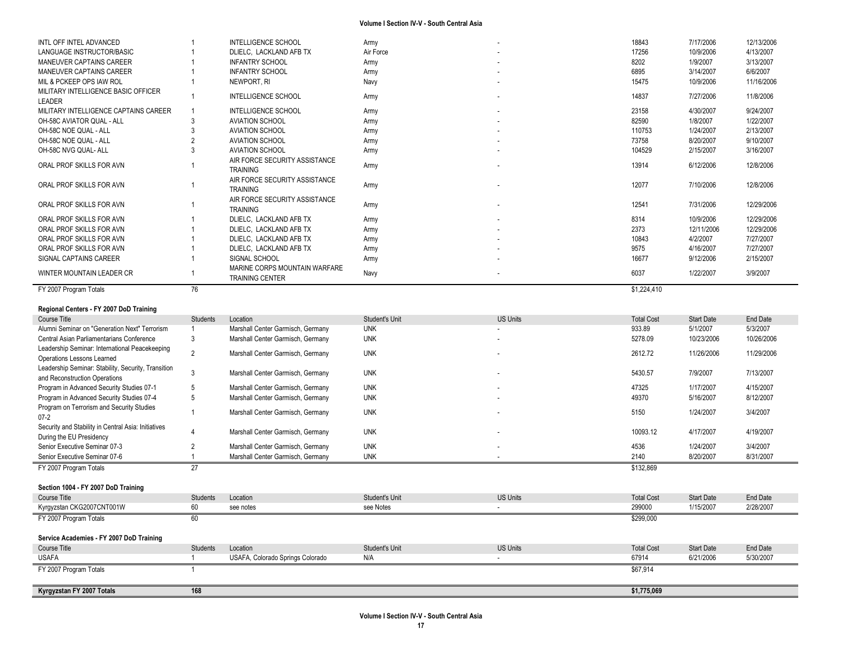| INTL OFF INTEL ADVANCED                             |                 | INTELLIGENCE SCHOOL                                     | Army           |                          | 18843             | 7/17/2006         | 12/13/2006 |
|-----------------------------------------------------|-----------------|---------------------------------------------------------|----------------|--------------------------|-------------------|-------------------|------------|
| LANGUAGE INSTRUCTOR/BASIC                           |                 | DLIELC, LACKLAND AFB TX                                 | Air Force      |                          | 17256             | 10/9/2006         | 4/13/2007  |
| MANEUVER CAPTAINS CAREER                            |                 | <b>INFANTRY SCHOOL</b>                                  | Army           |                          | 8202              | 1/9/2007          | 3/13/2007  |
| MANEUVER CAPTAINS CAREER                            | $\overline{1}$  | <b>INFANTRY SCHOOL</b>                                  | Army           |                          | 6895              | 3/14/2007         | 6/6/2007   |
| MIL & PCKEEP OPS IAW ROL                            | $\overline{1}$  | NEWPORT, RI                                             | Navy           |                          | 15475             | 10/9/2006         | 11/16/2006 |
| MILITARY INTELLIGENCE BASIC OFFICER                 | $\overline{1}$  | INTELLIGENCE SCHOOL                                     | Army           |                          | 14837             | 7/27/2006         | 11/8/2006  |
| LEADER                                              |                 |                                                         |                |                          |                   |                   |            |
| MILITARY INTELLIGENCE CAPTAINS CAREER               | $\overline{1}$  | INTELLIGENCE SCHOOL                                     | Army           |                          | 23158             | 4/30/2007         | 9/24/2007  |
| OH-58C AVIATOR QUAL - ALL                           | 3               | <b>AVIATION SCHOOL</b>                                  | Army           |                          | 82590             | 1/8/2007          | 1/22/2007  |
| OH-58C NOE QUAL - ALL                               | 3               | <b>AVIATION SCHOOL</b>                                  | Army           |                          | 110753            | 1/24/2007         | 2/13/2007  |
| OH-58C NOE QUAL - ALL                               | $\overline{2}$  | AVIATION SCHOOL                                         | Army           |                          | 73758             | 8/20/2007         | 9/10/2007  |
| OH-58C NVG QUAL- ALL                                | 3               | <b>AVIATION SCHOOL</b>                                  | Army           |                          | 104529            | 2/15/2007         | 3/16/2007  |
| ORAL PROF SKILLS FOR AVN                            |                 | AIR FORCE SECURITY ASSISTANCE                           | Army           |                          | 13914             | 6/12/2006         | 12/8/2006  |
|                                                     |                 | <b>TRAINING</b>                                         |                |                          |                   |                   |            |
| ORAL PROF SKILLS FOR AVN                            | $\overline{1}$  | AIR FORCE SECURITY ASSISTANCE                           | Army           |                          | 12077             | 7/10/2006         | 12/8/2006  |
|                                                     |                 | <b>TRAINING</b>                                         |                |                          |                   |                   |            |
| ORAL PROF SKILLS FOR AVN                            | -1              | AIR FORCE SECURITY ASSISTANCE                           | Army           |                          | 12541             | 7/31/2006         | 12/29/2006 |
|                                                     |                 | <b>TRAINING</b>                                         |                |                          |                   |                   |            |
| ORAL PROF SKILLS FOR AVN                            |                 | DLIELC, LACKLAND AFB TX                                 | Army           |                          | 8314              | 10/9/2006         | 12/29/2006 |
| ORAL PROF SKILLS FOR AVN                            |                 | DLIELC, LACKLAND AFB TX                                 | Army           |                          | 2373              | 12/11/2006        | 12/29/2006 |
| ORAL PROF SKILLS FOR AVN                            |                 | DLIELC, LACKLAND AFB TX                                 | Army           |                          | 10843             | 4/2/2007          | 7/27/2007  |
| ORAL PROF SKILLS FOR AVN                            | $\overline{1}$  | DLIELC, LACKLAND AFB TX                                 | Army           |                          | 9575              | 4/16/2007         | 7/27/2007  |
| SIGNAL CAPTAINS CAREER                              |                 | SIGNAL SCHOOL                                           | Army           |                          | 16677             | 9/12/2006         | 2/15/2007  |
| WINTER MOUNTAIN LEADER CR                           | -1              | MARINE CORPS MOUNTAIN WARFARE<br><b>TRAINING CENTER</b> | Navy           |                          | 6037              | 1/22/2007         | 3/9/2007   |
| FY 2007 Program Totals                              | 76              |                                                         |                |                          | \$1,224,410       |                   |            |
|                                                     |                 |                                                         |                |                          |                   |                   |            |
| Regional Centers - FY 2007 DoD Training             |                 |                                                         |                |                          |                   |                   |            |
| <b>Course Title</b>                                 | Students        | Location                                                | Student's Unit | <b>US Units</b>          | <b>Total Cost</b> | <b>Start Date</b> | End Date   |
| Alumni Seminar on "Generation Next" Terrorism       | -1              | Marshall Center Garmisch, Germany                       | <b>UNK</b>     |                          | 933.89            | 5/1/2007          | 5/3/2007   |
| Central Asian Parliamentarians Conference           | 3               | Marshall Center Garmisch, Germany                       | <b>UNK</b>     |                          | 5278.09           | 10/23/2006        | 10/26/2006 |
| Leadership Seminar: International Peacekeeping      | $\overline{2}$  | Marshall Center Garmisch, Germany                       | <b>UNK</b>     |                          | 2612.72           | 11/26/2006        | 11/29/2006 |
| Operations Lessons Learned                          |                 |                                                         |                |                          |                   |                   |            |
| Leadership Seminar: Stability, Security, Transition | 3               | Marshall Center Garmisch, Germany                       | <b>UNK</b>     |                          | 5430.57           | 7/9/2007          | 7/13/2007  |
| and Reconstruction Operations                       |                 |                                                         |                |                          |                   |                   |            |
| Program in Advanced Security Studies 07-1           | 5               | Marshall Center Garmisch, Germany                       | <b>UNK</b>     |                          | 47325             | 1/17/2007         | 4/15/2007  |
| Program in Advanced Security Studies 07-4           | 5               | Marshall Center Garmisch, Germany                       | <b>UNK</b>     |                          | 49370             | 5/16/2007         | 8/12/2007  |
| Program on Terrorism and Security Studies           | $\overline{1}$  | Marshall Center Garmisch, Germany                       | <b>UNK</b>     |                          | 5150              | 1/24/2007         | 3/4/2007   |
| $07-2$                                              |                 |                                                         |                |                          |                   |                   |            |
| Security and Stability in Central Asia: Initiatives | $\overline{4}$  | Marshall Center Garmisch, Germany                       | <b>UNK</b>     |                          | 10093.12          | 4/17/2007         | 4/19/2007  |
| During the EU Presidency                            |                 |                                                         |                |                          |                   |                   |            |
| Senior Executive Seminar 07-3                       | $\overline{2}$  | Marshall Center Garmisch, Germany                       | <b>UNK</b>     |                          | 4536              | 1/24/2007         | 3/4/2007   |
| Senior Executive Seminar 07-6                       | $\overline{1}$  | Marshall Center Garmisch, Germany                       | <b>UNK</b>     |                          | 2140              | 8/20/2007         | 8/31/2007  |
| FY 2007 Program Totals                              | 27              |                                                         |                |                          | \$132,869         |                   |            |
| Section 1004 - FY 2007 DoD Training                 |                 |                                                         |                |                          |                   |                   |            |
| <b>Course Title</b>                                 | Students        | Location                                                | Student's Unit | <b>US Units</b>          | <b>Total Cost</b> | <b>Start Date</b> | End Date   |
| Kyrgyzstan CKG2007CNT001W                           | 60              | see notes                                               | see Notes      | $\overline{\phantom{a}}$ | 299000            | 1/15/2007         | 2/28/2007  |
| FY 2007 Program Totals                              | 60              |                                                         |                |                          | \$299,000         |                   |            |
|                                                     |                 |                                                         |                |                          |                   |                   |            |
| Service Academies - FY 2007 DoD Training            |                 |                                                         |                |                          |                   |                   |            |
| Course Title                                        | <b>Students</b> | Location                                                | Student's Unit | <b>US Units</b>          | <b>Total Cost</b> | <b>Start Date</b> | End Date   |
| <b>USAFA</b>                                        |                 |                                                         |                |                          |                   |                   |            |
|                                                     | $\mathbf{1}$    | USAFA, Colorado Springs Colorado                        | N/A            | $\overline{\phantom{a}}$ | 67914             | 6/21/2006         | 5/30/2007  |
| FY 2007 Program Totals                              |                 |                                                         |                |                          | \$67,914          |                   |            |
|                                                     |                 |                                                         |                |                          |                   |                   |            |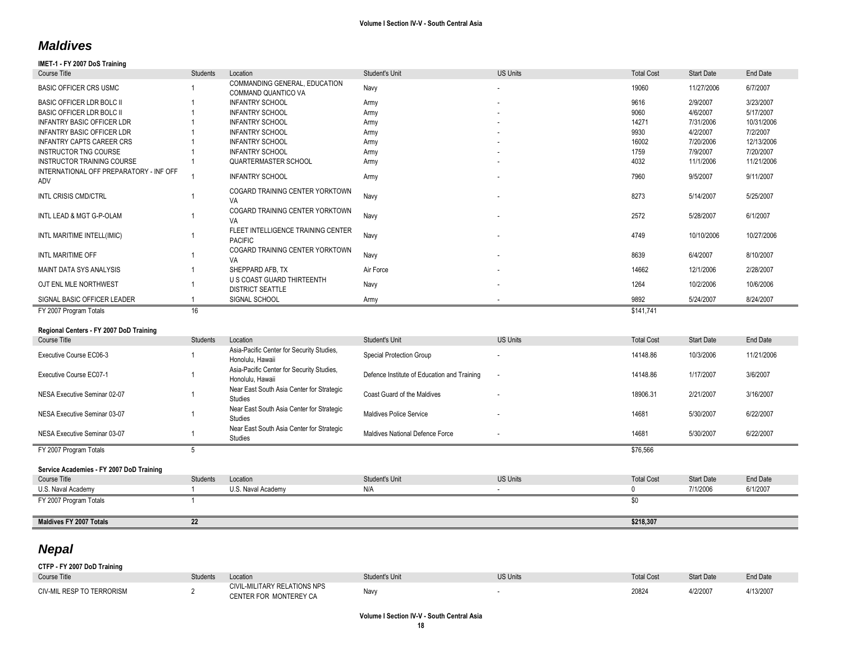# *Maldives*

## **IMET-1 - FY 2007 DoS Training**

| Course Title                                   | <b>Students</b> | Location                                                      | Student's Unit                              | <b>US Units</b>          | <b>Total Cost</b> | <b>Start Date</b> | End Date   |
|------------------------------------------------|-----------------|---------------------------------------------------------------|---------------------------------------------|--------------------------|-------------------|-------------------|------------|
| <b>BASIC OFFICER CRS USMC</b>                  |                 | COMMANDING GENERAL, EDUCATION<br>COMMAND QUANTICO VA          | Navy                                        |                          | 19060             | 11/27/2006        | 6/7/2007   |
| BASIC OFFICER LDR BOLC II                      |                 | <b>INFANTRY SCHOOL</b>                                        | Army                                        |                          | 9616              | 2/9/2007          | 3/23/2007  |
| BASIC OFFICER LDR BOLC II                      |                 | <b>INFANTRY SCHOOL</b>                                        | Army                                        |                          | 9060              | 4/6/2007          | 5/17/2007  |
| <b>INFANTRY BASIC OFFICER LDR</b>              |                 | <b>INFANTRY SCHOOL</b>                                        | Army                                        |                          | 14271             | 7/31/2006         | 10/31/2006 |
| <b>INFANTRY BASIC OFFICER LDR</b>              |                 | <b>INFANTRY SCHOOL</b>                                        | Army                                        |                          | 9930              | 4/2/2007          | 7/2/2007   |
| <b>INFANTRY CAPTS CAREER CRS</b>               |                 | <b>INFANTRY SCHOOL</b>                                        | Army                                        |                          | 16002             | 7/20/2006         | 12/13/2006 |
| <b>INSTRUCTOR TNG COURSE</b>                   |                 | <b>INFANTRY SCHOOL</b>                                        | Army                                        |                          | 1759              | 7/9/2007          | 7/20/2007  |
| <b>INSTRUCTOR TRAINING COURSE</b>              |                 | QUARTERMASTER SCHOOL                                          | Army                                        |                          | 4032              | 11/1/2006         | 11/21/2006 |
| INTERNATIONAL OFF PREPARATORY - INF OFF<br>ADV | $\overline{1}$  | <b>INFANTRY SCHOOL</b>                                        | Army                                        |                          | 7960              | 9/5/2007          | 9/11/2007  |
| INTL CRISIS CMD/CTRL                           |                 | COGARD TRAINING CENTER YORKTOWN<br>VA                         | Navy                                        |                          | 8273              | 5/14/2007         | 5/25/2007  |
| INTL LEAD & MGT G-P-OLAM                       | $\overline{1}$  | COGARD TRAINING CENTER YORKTOWN<br>VA                         | Navy                                        |                          | 2572              | 5/28/2007         | 6/1/2007   |
| INTL MARITIME INTELL(IMIC)                     | $\overline{1}$  | FLEET INTELLIGENCE TRAINING CENTER<br><b>PACIFIC</b>          | Navy                                        |                          | 4749              | 10/10/2006        | 10/27/2006 |
|                                                |                 | COGARD TRAINING CENTER YORKTOWN                               |                                             |                          |                   |                   |            |
| INTL MARITIME OFF                              | $\overline{1}$  | VA                                                            | Navy                                        |                          | 8639              | 6/4/2007          | 8/10/2007  |
| MAINT DATA SYS ANALYSIS                        | $\overline{1}$  | SHEPPARD AFB. TX<br>U S COAST GUARD THIRTEENTH                | Air Force                                   |                          | 14662             | 12/1/2006         | 2/28/2007  |
| OJT ENL MLE NORTHWEST                          |                 | <b>DISTRICT SEATTLE</b>                                       | Navy                                        |                          | 1264              | 10/2/2006         | 10/6/2006  |
| SIGNAL BASIC OFFICER LEADER                    | $\overline{1}$  | SIGNAL SCHOOL                                                 | Army                                        |                          | 9892              | 5/24/2007         | 8/24/2007  |
| FY 2007 Program Totals                         | 16              |                                                               |                                             |                          | \$141,741         |                   |            |
| Regional Centers - FY 2007 DoD Training        |                 |                                                               |                                             |                          |                   |                   |            |
| Course Title                                   | Students        | Location                                                      | Student's Unit                              | <b>US Units</b>          | <b>Total Cost</b> | <b>Start Date</b> | End Date   |
|                                                |                 | Asia-Pacific Center for Security Studies,                     |                                             |                          |                   |                   |            |
| Executive Course EC06-3                        |                 | Honolulu, Hawaii                                              | Special Protection Group                    |                          | 14148.86          | 10/3/2006         | 11/21/2006 |
| Executive Course EC07-1                        | $\overline{1}$  | Asia-Pacific Center for Security Studies,<br>Honolulu, Hawaii | Defence Institute of Education and Training |                          | 14148.86          | 1/17/2007         | 3/6/2007   |
| NESA Executive Seminar 02-07                   | $\overline{1}$  | Near East South Asia Center for Strategic<br>Studies          | Coast Guard of the Maldives                 |                          | 18906.31          | 2/21/2007         | 3/16/2007  |
|                                                |                 | Near East South Asia Center for Strategic                     |                                             |                          |                   |                   |            |
| NESA Executive Seminar 03-07                   | $\overline{1}$  | <b>Studies</b>                                                | <b>Maldives Police Service</b>              |                          | 14681             | 5/30/2007         | 6/22/2007  |
| NESA Executive Seminar 03-07                   | $\overline{1}$  | Near East South Asia Center for Strategic<br><b>Studies</b>   | Maldives National Defence Force             | $\overline{\phantom{a}}$ | 14681             | 5/30/2007         | 6/22/2007  |
| FY 2007 Program Totals                         | 5               |                                                               |                                             |                          | \$76,566          |                   |            |
|                                                |                 |                                                               |                                             |                          |                   |                   |            |
| Service Academies - FY 2007 DoD Training       |                 |                                                               |                                             |                          |                   |                   |            |
| <b>Course Title</b>                            | <b>Students</b> | Location                                                      | Student's Unit                              | <b>US Units</b>          | <b>Total Cost</b> | <b>Start Date</b> | End Date   |
| U.S. Naval Academy                             | $\overline{1}$  | U.S. Naval Academy                                            | N/A                                         | $\sim$                   | $\mathbf 0$       | 7/1/2006          | 6/1/2007   |
| FY 2007 Program Totals                         | $\overline{1}$  |                                                               |                                             |                          | $\overline{50}$   |                   |            |
|                                                |                 |                                                               |                                             |                          |                   |                   |            |
| Maldives FY 2007 Totals                        | $\overline{22}$ |                                                               |                                             |                          | \$218,307         |                   |            |

# *Nepal*

**CTFP - FY 2007 DoD Training** Course Title Students Students Location Students Unit Student's Unit US Units Unit US Units Total Cost Start Date End Date CIV-MIL RESP TO TERRORISM 2 CIVIL-MILITARY RELATIONS NPS CIVIL-MILITARY RELATIONS NPS<br>CENTER FOR MONTEREY CA Navy Navy Relations of the CENTER of the 20824 4/2/2007 4/13/2007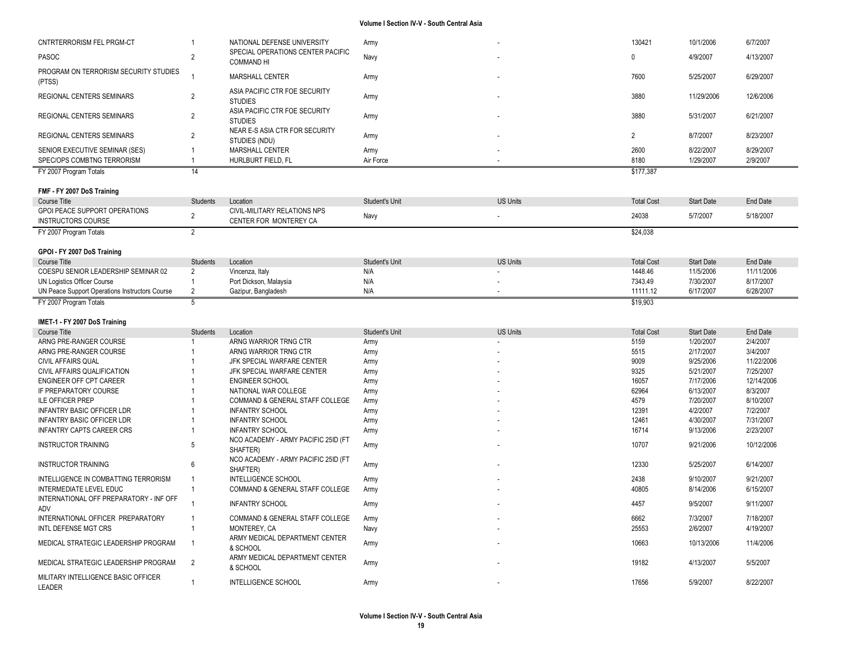| CNTRTERRORISM FEL PRGM-CT                                                   |                      | NATIONAL DEFENSE UNIVERSITY                            | Army              |                 | 130421            | 10/1/2006              | 6/7/2007              |
|-----------------------------------------------------------------------------|----------------------|--------------------------------------------------------|-------------------|-----------------|-------------------|------------------------|-----------------------|
| <b>PASOC</b>                                                                | $\overline{2}$       | SPECIAL OPERATIONS CENTER PACIFIC<br><b>COMMAND HI</b> | Navy              |                 | $\mathbf{0}$      | 4/9/2007               | 4/13/2007             |
| PROGRAM ON TERRORISM SECURITY STUDIES<br>(PTSS)                             |                      | MARSHALL CENTER                                        | Army              |                 | 7600              | 5/25/2007              | 6/29/2007             |
| REGIONAL CENTERS SEMINARS                                                   | $\overline{2}$       | ASIA PACIFIC CTR FOE SECURITY<br><b>STUDIES</b>        | Army              |                 | 3880              | 11/29/2006             | 12/6/2006             |
| <b>REGIONAL CENTERS SEMINARS</b>                                            | $\overline{2}$       | ASIA PACIFIC CTR FOE SECURITY<br><b>STUDIES</b>        | Army              |                 | 3880              | 5/31/2007              | 6/21/2007             |
| REGIONAL CENTERS SEMINARS                                                   | $\overline{2}$       | NEAR E-S ASIA CTR FOR SECURITY<br>STUDIES (NDU)        | Army              |                 | 2                 | 8/7/2007               | 8/23/2007             |
| SENIOR EXECUTIVE SEMINAR (SES)<br>SPEC/OPS COMBTNG TERRORISM                | -1<br>$\overline{1}$ | MARSHALL CENTER<br>HURLBURT FIELD, FL                  | Army<br>Air Force |                 | 2600<br>8180      | 8/22/2007<br>1/29/2007 | 8/29/2007<br>2/9/2007 |
| FY 2007 Program Totals                                                      | 14                   |                                                        |                   |                 | \$177,387         |                        |                       |
|                                                                             |                      |                                                        |                   |                 |                   |                        |                       |
| FMF - FY 2007 DoS Training<br>Course Title                                  | Students             | Location                                               | Student's Unit    | <b>US Units</b> | <b>Total Cost</b> | <b>Start Date</b>      | End Date              |
| <b>GPOI PEACE SUPPORT OPERATIONS</b>                                        |                      | CIVIL-MILITARY RELATIONS NPS                           |                   |                 |                   |                        |                       |
| <b>INSTRUCTORS COURSE</b>                                                   | $\overline{2}$       | CENTER FOR MONTEREY CA                                 | Navy              |                 | 24038             | 5/7/2007               | 5/18/2007             |
| FY 2007 Program Totals                                                      | $\overline{2}$       |                                                        |                   |                 | \$24,038          |                        |                       |
| GPOI - FY 2007 DoS Training                                                 |                      |                                                        |                   |                 |                   |                        |                       |
| Course Title                                                                | Students             | Location                                               | Student's Unit    | <b>US Units</b> | <b>Total Cost</b> | <b>Start Date</b>      | <b>End Date</b>       |
| COESPU SENIOR LEADERSHIP SEMINAR 02                                         | $\overline{2}$       | Vincenza, Italy                                        | N/A               |                 | 1448.46           | 11/5/2006              | 11/11/2006            |
| UN Logistics Officer Course                                                 |                      | Port Dickson, Malaysia                                 | N/A               |                 | 7343.49           | 7/30/2007              | 8/17/2007             |
| UN Peace Support Operations Instructors Course                              | $\overline{2}$       | Gazipur, Bangladesh                                    | N/A               |                 | 11111.12          | 6/17/2007              | 6/28/2007             |
| FY 2007 Program Totals                                                      | 5                    |                                                        |                   |                 | \$19,903          |                        |                       |
|                                                                             |                      |                                                        |                   |                 |                   |                        |                       |
|                                                                             |                      |                                                        |                   |                 |                   |                        |                       |
| IMET-1 - FY 2007 DoS Training                                               |                      |                                                        |                   |                 |                   |                        |                       |
| Course Title                                                                | <b>Students</b>      | Location                                               | Student's Unit    | <b>US Units</b> | <b>Total Cost</b> | <b>Start Date</b>      | <b>End Date</b>       |
| ARNG PRE-RANGER COURSE                                                      |                      | ARNG WARRIOR TRNG CTR                                  | Army              |                 | 5159              | 1/20/2007              | 2/4/2007              |
| ARNG PRE-RANGER COURSE                                                      |                      | ARNG WARRIOR TRNG CTR                                  | Army              |                 | 5515              | 2/17/2007              | 3/4/2007              |
| <b>CIVIL AFFAIRS QUAL</b>                                                   |                      | JFK SPECIAL WARFARE CENTER                             | Army              |                 | 9009              | 9/25/2006              | 11/22/2006            |
| CIVIL AFFAIRS QUALIFICATION                                                 |                      | JFK SPECIAL WARFARE CENTER                             | Army              |                 | 9325              | 5/21/2007              | 7/25/2007             |
| ENGINEER OFF CPT CAREER                                                     |                      | <b>ENGINEER SCHOOL</b>                                 | Army              |                 | 16057             | 7/17/2006              | 12/14/2006            |
| IF PREPARATORY COURSE                                                       |                      | NATIONAL WAR COLLEGE                                   | Army              |                 | 62964             | 6/13/2007              | 8/3/2007              |
| <b>ILE OFFICER PREP</b>                                                     |                      | COMMAND & GENERAL STAFF COLLEGE                        | Army              |                 | 4579              | 7/20/2007              | 8/10/2007             |
| <b>INFANTRY BASIC OFFICER LDR</b>                                           |                      | <b>INFANTRY SCHOOL</b>                                 | Army              |                 | 12391             | 4/2/2007               | 7/2/2007              |
| <b>INFANTRY BASIC OFFICER LDR</b>                                           |                      | <b>INFANTRY SCHOOL</b>                                 | Army              |                 | 12461             | 4/30/2007              | 7/31/2007             |
| <b>INFANTRY CAPTS CAREER CRS</b>                                            |                      | <b>INFANTRY SCHOOL</b>                                 | Army              |                 | 16714             | 9/13/2006              | 2/23/2007             |
| <b>INSTRUCTOR TRAINING</b>                                                  | 5                    | NCO ACADEMY - ARMY PACIFIC 25ID (FT<br>SHAFTER)        | Army              |                 | 10707             | 9/21/2006              | 10/12/2006            |
| <b>INSTRUCTOR TRAINING</b>                                                  | 6                    | NCO ACADEMY - ARMY PACIFIC 25ID (FT<br>SHAFTER)        | Army              |                 | 12330             | 5/25/2007              | 6/14/2007             |
| INTELLIGENCE IN COMBATTING TERRORISM                                        | $\overline{1}$       | INTELLIGENCE SCHOOL                                    | Army              |                 | 2438              | 9/10/2007              | 9/21/2007             |
| <b>INTERMEDIATE LEVEL EDUC</b>                                              | $\overline{1}$       | <b>COMMAND &amp; GENERAL STAFF COLLEGE</b>             | Army              |                 | 40805             | 8/14/2006              | 6/15/2007             |
| INTERNATIONAL OFF PREPARATORY - INF OFF<br>ADV                              | -1                   | <b>INFANTRY SCHOOL</b>                                 | Army              |                 | 4457              | 9/5/2007               | 9/11/2007             |
| INTERNATIONAL OFFICER PREPARATORY                                           | -1                   | COMMAND & GENERAL STAFF COLLEGE                        |                   |                 | 6662              | 7/3/2007               | 7/18/2007             |
| <b>INTL DEFENSE MGT CRS</b>                                                 |                      | MONTEREY, CA                                           | Army              |                 | 25553             | 2/6/2007               | 4/19/2007             |
| MEDICAL STRATEGIC LEADERSHIP PROGRAM                                        | -1                   | ARMY MEDICAL DEPARTMENT CENTER                         | Navy<br>Army      |                 | 10663             | 10/13/2006             | 11/4/2006             |
|                                                                             |                      | & SCHOOL                                               |                   |                 |                   |                        |                       |
| MEDICAL STRATEGIC LEADERSHIP PROGRAM<br>MILITARY INTELLIGENCE BASIC OFFICER | 2                    | ARMY MEDICAL DEPARTMENT CENTER<br>& SCHOOL             | Army              |                 | 19182             | 4/13/2007              | 5/5/2007              |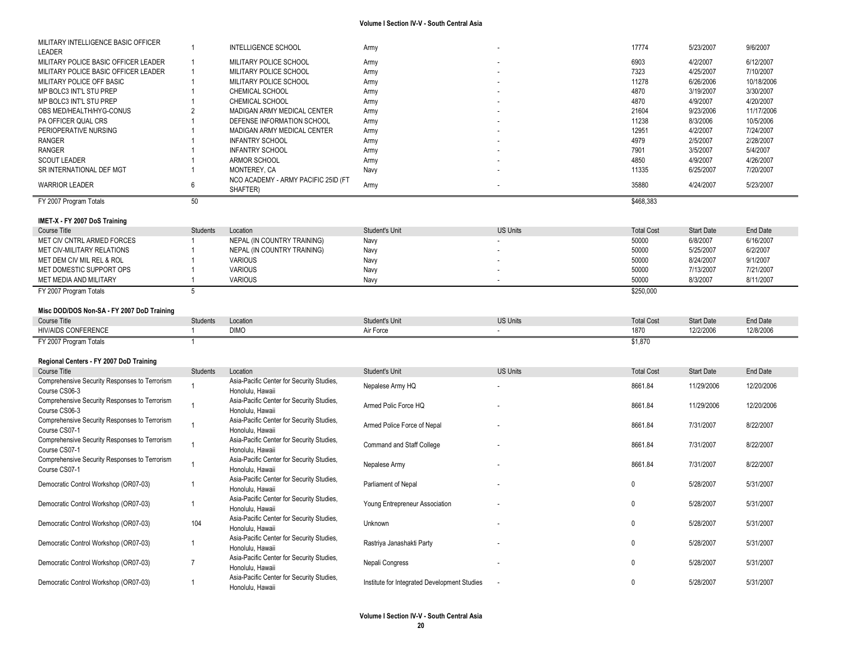| MILITARY INTELLIGENCE BASIC OFFICER<br>LEADER                  | $\mathbf 1$     | INTELLIGENCE SCHOOL                                           | Army                                         |                 | 17774             | 5/23/2007         | 9/6/2007        |
|----------------------------------------------------------------|-----------------|---------------------------------------------------------------|----------------------------------------------|-----------------|-------------------|-------------------|-----------------|
| MILITARY POLICE BASIC OFFICER LEADER                           | $\mathbf{1}$    | MILITARY POLICE SCHOOL                                        | Army                                         |                 | 6903              | 4/2/2007          | 6/12/2007       |
| MILITARY POLICE BASIC OFFICER LEADER                           | $\mathbf{1}$    | MILITARY POLICE SCHOOL                                        | Army                                         |                 | 7323              | 4/25/2007         | 7/10/2007       |
| MILITARY POLICE OFF BASIC                                      | $\overline{1}$  | MILITARY POLICE SCHOOL                                        | Army                                         |                 | 11278             | 6/26/2006         | 10/18/2006      |
| MP BOLC3 INT'L STU PREP                                        |                 | CHEMICAL SCHOOL                                               | Army                                         |                 | 4870              | 3/19/2007         | 3/30/2007       |
| MP BOLC3 INT'L STU PREP                                        | $\overline{1}$  | CHEMICAL SCHOOL                                               | Army                                         |                 | 4870              | 4/9/2007          | 4/20/2007       |
| OBS MED/HEALTH/HYG-CONUS                                       | $\overline{2}$  | MADIGAN ARMY MEDICAL CENTER                                   | Army                                         |                 | 21604             | 9/23/2006         | 11/17/2006      |
| PA OFFICER QUAL CRS                                            |                 | DEFENSE INFORMATION SCHOOL                                    | Army                                         |                 | 11238             | 8/3/2006          | 10/5/2006       |
| PERIOPERATIVE NURSING                                          |                 | MADIGAN ARMY MEDICAL CENTER                                   | Army                                         |                 | 12951             | 4/2/2007          | 7/24/2007       |
| <b>RANGER</b>                                                  |                 | <b>INFANTRY SCHOOL</b>                                        | Army                                         |                 | 4979              | 2/5/2007          | 2/28/2007       |
| <b>RANGER</b>                                                  |                 | <b>INFANTRY SCHOOL</b>                                        |                                              |                 | 7901              | 3/5/2007          | 5/4/2007        |
|                                                                |                 |                                                               | Army                                         |                 |                   |                   |                 |
| <b>SCOUT LEADER</b>                                            |                 | ARMOR SCHOOL                                                  | Army                                         |                 | 4850              | 4/9/2007          | 4/26/2007       |
| SR INTERNATIONAL DEF MGT                                       | $\mathbf{1}$    | MONTEREY, CA                                                  | Navy                                         |                 | 11335             | 6/25/2007         | 7/20/2007       |
| <b>WARRIOR LEADER</b>                                          | 6               | NCO ACADEMY - ARMY PACIFIC 25ID (FT                           | Army                                         |                 | 35880             | 4/24/2007         | 5/23/2007       |
|                                                                |                 | SHAFTER)                                                      |                                              |                 |                   |                   |                 |
| FY 2007 Program Totals                                         | 50              |                                                               |                                              |                 | \$468,383         |                   |                 |
|                                                                |                 |                                                               |                                              |                 |                   |                   |                 |
| IMET-X - FY 2007 DoS Training                                  |                 |                                                               |                                              |                 |                   |                   |                 |
| Course Title                                                   | Students        | Location                                                      | Student's Unit                               | <b>US Units</b> | <b>Total Cost</b> | <b>Start Date</b> | <b>End Date</b> |
| MET CIV CNTRL ARMED FORCES                                     | -1              | NEPAL (IN COUNTRY TRAINING)                                   | Navy                                         |                 | 50000             | 6/8/2007          | 6/16/2007       |
| MET CIV-MILITARY RELATIONS                                     |                 | NEPAL (IN COUNTRY TRAINING)                                   | Navy                                         |                 | 50000             | 5/25/2007         | 6/2/2007        |
| MET DEM CIV MIL REL & ROL                                      | -1              | <b>VARIOUS</b>                                                | Navy                                         |                 | 50000             | 8/24/2007         | 9/1/2007        |
| MET DOMESTIC SUPPORT OPS                                       | $\overline{1}$  | <b>VARIOUS</b>                                                | Navy                                         |                 | 50000             | 7/13/2007         | 7/21/2007       |
| MET MEDIA AND MILITARY                                         |                 | <b>VARIOUS</b>                                                | Navy                                         |                 | 50000             | 8/3/2007          | 8/11/2007       |
| FY 2007 Program Totals                                         | 5               |                                                               |                                              |                 | \$250,000         |                   |                 |
|                                                                |                 |                                                               |                                              |                 |                   |                   |                 |
| Misc DOD/DOS Non-SA - FY 2007 DoD Training                     |                 |                                                               |                                              |                 |                   |                   |                 |
|                                                                |                 |                                                               |                                              |                 |                   |                   |                 |
|                                                                |                 |                                                               |                                              |                 |                   |                   |                 |
| <b>Course Title</b>                                            | Students        | Location                                                      | Student's Unit                               | <b>US Units</b> | <b>Total Cost</b> | <b>Start Date</b> | End Date        |
| <b>HIV/AIDS CONFERENCE</b>                                     | $\overline{1}$  | <b>DIMO</b>                                                   | Air Force                                    | $\sim$          | 1870              | 12/2/2006         | 12/8/2006       |
| FY 2007 Program Totals                                         | $\mathbf{1}$    |                                                               |                                              |                 | \$1.870           |                   |                 |
|                                                                |                 |                                                               |                                              |                 |                   |                   |                 |
| Regional Centers - FY 2007 DoD Training                        |                 |                                                               |                                              |                 |                   |                   |                 |
| <b>Course Title</b>                                            | <b>Students</b> | Location                                                      | Student's Unit                               | <b>US Units</b> | <b>Total Cost</b> | <b>Start Date</b> | End Date        |
| Comprehensive Security Responses to Terrorism                  |                 | Asia-Pacific Center for Security Studies,                     |                                              |                 |                   |                   |                 |
| Course CS06-3                                                  | $\mathbf{1}$    | Honolulu, Hawaii                                              | Nepalese Army HQ                             |                 | 8661.84           | 11/29/2006        | 12/20/2006      |
| Comprehensive Security Responses to Terrorism                  |                 | Asia-Pacific Center for Security Studies,                     |                                              |                 |                   |                   |                 |
| Course CS06-3                                                  | $\overline{1}$  | Honolulu, Hawaii                                              | Armed Polic Force HQ                         |                 | 8661.84           | 11/29/2006        | 12/20/2006      |
|                                                                |                 |                                                               |                                              |                 |                   |                   |                 |
| Comprehensive Security Responses to Terrorism<br>Course CS07-1 | $\mathbf{1}$    | Asia-Pacific Center for Security Studies,<br>Honolulu, Hawaii | Armed Police Force of Nepal                  |                 | 8661.84           | 7/31/2007         | 8/22/2007       |
|                                                                |                 |                                                               |                                              |                 |                   |                   |                 |
| Comprehensive Security Responses to Terrorism                  | $\overline{1}$  | Asia-Pacific Center for Security Studies,                     | Command and Staff College                    |                 | 8661.84           | 7/31/2007         | 8/22/2007       |
| Course CS07-1                                                  |                 | Honolulu, Hawaii                                              |                                              |                 |                   |                   |                 |
| Comprehensive Security Responses to Terrorism                  | $\mathbf{1}$    | Asia-Pacific Center for Security Studies,                     | Nepalese Army                                |                 | 8661.84           | 7/31/2007         | 8/22/2007       |
| Course CS07-1                                                  |                 | Honolulu, Hawaii                                              |                                              |                 |                   |                   |                 |
| Democratic Control Workshop (OR07-03)                          | $\overline{1}$  | Asia-Pacific Center for Security Studies,                     | Parliament of Nepal                          |                 | 0                 | 5/28/2007         | 5/31/2007       |
|                                                                |                 | Honolulu, Hawaii                                              |                                              |                 |                   |                   |                 |
| Democratic Control Workshop (OR07-03)                          | $\mathbf{1}$    | Asia-Pacific Center for Security Studies,                     | Young Entrepreneur Association               |                 | 0                 | 5/28/2007         | 5/31/2007       |
|                                                                |                 | Honolulu, Hawaii                                              |                                              |                 |                   |                   |                 |
|                                                                |                 | Asia-Pacific Center for Security Studies,                     |                                              |                 |                   |                   |                 |
| Democratic Control Workshop (OR07-03)                          | 104             | Honolulu, Hawaii                                              | Unknown                                      |                 | 0                 | 5/28/2007         | 5/31/2007       |
|                                                                | $\overline{1}$  | Asia-Pacific Center for Security Studies,                     |                                              |                 |                   |                   |                 |
| Democratic Control Workshop (OR07-03)                          |                 | Honolulu, Hawaii                                              | Rastriya Janashakti Party                    |                 | 0                 | 5/28/2007         | 5/31/2007       |
|                                                                |                 | Asia-Pacific Center for Security Studies,                     |                                              |                 |                   |                   |                 |
| Democratic Control Workshop (OR07-03)                          | $\overline{7}$  | Honolulu, Hawaii                                              | Nepali Congress                              |                 | $\mathbf 0$       | 5/28/2007         | 5/31/2007       |
| Democratic Control Workshop (OR07-03)                          | $\mathbf{1}$    | Asia-Pacific Center for Security Studies,                     | Institute for Integrated Development Studies |                 | 0                 | 5/28/2007         | 5/31/2007       |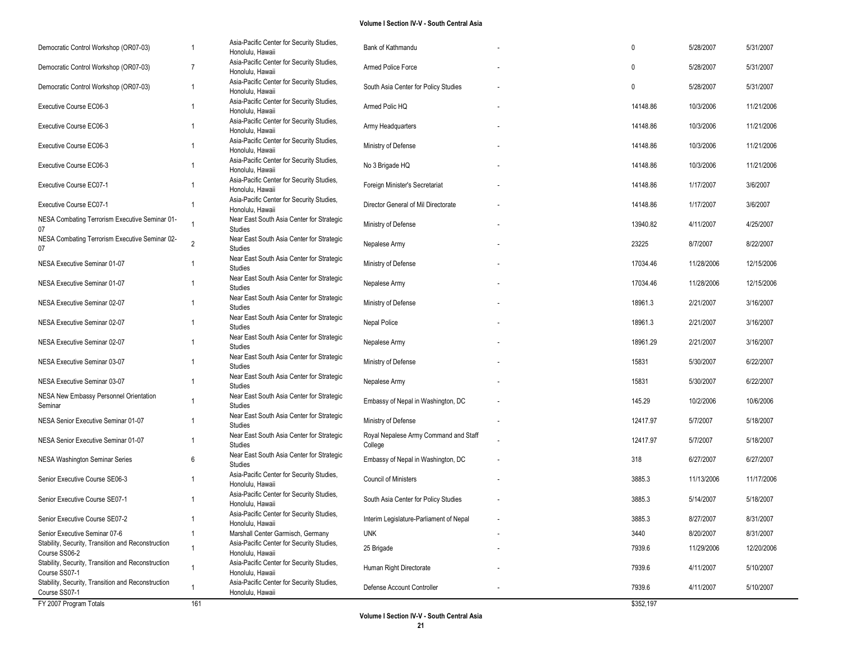| Democratic Control Workshop (OR07-03)                               | 1              | Asia-Pacific Center for Security Studies,<br>Honolulu, Hawaii | Bank of Kathmandu                                | 0         | 5/28/2007  | 5/31/2007  |
|---------------------------------------------------------------------|----------------|---------------------------------------------------------------|--------------------------------------------------|-----------|------------|------------|
| Democratic Control Workshop (OR07-03)                               | 7              | Asia-Pacific Center for Security Studies,<br>Honolulu, Hawaii | Armed Police Force                               | 0         | 5/28/2007  | 5/31/2007  |
| Democratic Control Workshop (OR07-03)                               | 1              | Asia-Pacific Center for Security Studies,<br>Honolulu, Hawaii | South Asia Center for Policy Studies             | 0         | 5/28/2007  | 5/31/2007  |
| Executive Course EC06-3                                             | -1             | Asia-Pacific Center for Security Studies,<br>Honolulu, Hawaii | Armed Polic HQ                                   | 14148.86  | 10/3/2006  | 11/21/2006 |
| Executive Course EC06-3                                             | -1             | Asia-Pacific Center for Security Studies,<br>Honolulu, Hawaii | Army Headquarters                                | 14148.86  | 10/3/2006  | 11/21/2006 |
| Executive Course EC06-3                                             | 1              | Asia-Pacific Center for Security Studies,<br>Honolulu, Hawaii | Ministry of Defense                              | 14148.86  | 10/3/2006  | 11/21/2006 |
| Executive Course EC06-3                                             | -1             | Asia-Pacific Center for Security Studies,<br>Honolulu, Hawaii | No 3 Brigade HQ                                  | 14148.86  | 10/3/2006  | 11/21/2006 |
| Executive Course EC07-1                                             | 1              | Asia-Pacific Center for Security Studies,<br>Honolulu, Hawaii | Foreign Minister's Secretariat                   | 14148.86  | 1/17/2007  | 3/6/2007   |
| Executive Course EC07-1                                             | 1              | Asia-Pacific Center for Security Studies,<br>Honolulu, Hawaii | Director General of Mil Directorate              | 14148.86  | 1/17/2007  | 3/6/2007   |
| NESA Combating Terrorism Executive Seminar 01-<br>07                | 1              | Near East South Asia Center for Strategic<br>Studies          | Ministry of Defense                              | 13940.82  | 4/11/2007  | 4/25/2007  |
| NESA Combating Terrorism Executive Seminar 02-<br>07                | $\overline{2}$ | Near East South Asia Center for Strategic<br>Studies          | Nepalese Army                                    | 23225     | 8/7/2007   | 8/22/2007  |
| NESA Executive Seminar 01-07                                        | 1              | Near East South Asia Center for Strategic<br>Studies          | Ministry of Defense                              | 17034.46  | 11/28/2006 | 12/15/2006 |
| NESA Executive Seminar 01-07                                        |                | Near East South Asia Center for Strategic<br>Studies          | Nepalese Army                                    | 17034.46  | 11/28/2006 | 12/15/2006 |
| NESA Executive Seminar 02-07                                        | 1              | Near East South Asia Center for Strategic<br>Studies          | Ministry of Defense                              | 18961.3   | 2/21/2007  | 3/16/2007  |
| NESA Executive Seminar 02-07                                        | 1              | Near East South Asia Center for Strategic<br>Studies          | Nepal Police                                     | 18961.3   | 2/21/2007  | 3/16/2007  |
| NESA Executive Seminar 02-07                                        |                | Near East South Asia Center for Strategic<br>Studies          | Nepalese Army                                    | 18961.29  | 2/21/2007  | 3/16/2007  |
| NESA Executive Seminar 03-07                                        | 1              | Near East South Asia Center for Strategic<br>Studies          | Ministry of Defense                              | 15831     | 5/30/2007  | 6/22/2007  |
| NESA Executive Seminar 03-07                                        | -1             | Near East South Asia Center for Strategic<br>Studies          | Nepalese Army                                    | 15831     | 5/30/2007  | 6/22/2007  |
| NESA New Embassy Personnel Orientation<br>Seminar                   | 1              | Near East South Asia Center for Strategic<br>Studies          | Embassy of Nepal in Washington, DC               | 145.29    | 10/2/2006  | 10/6/2006  |
| NESA Senior Executive Seminar 01-07                                 |                | Near East South Asia Center for Strategic<br>Studies          | Ministry of Defense                              | 12417.97  | 5/7/2007   | 5/18/2007  |
| NESA Senior Executive Seminar 01-07                                 | 1              | Near East South Asia Center for Strategic<br>Studies          | Royal Nepalese Army Command and Staff<br>College | 12417.97  | 5/7/2007   | 5/18/2007  |
| NESA Washington Seminar Series                                      | 6              | Near East South Asia Center for Strategic<br>Studies          | Embassy of Nepal in Washington, DC               | 318       | 6/27/2007  | 6/27/2007  |
| Senior Executive Course SE06-3                                      |                | Asia-Pacific Center for Security Studies,<br>Honolulu, Hawaii | <b>Council of Ministers</b>                      | 3885.3    | 11/13/2006 | 11/17/2006 |
| Senior Executive Course SE07-1                                      |                | Asia-Pacific Center for Security Studies,<br>Honolulu, Hawaii | South Asia Center for Policy Studies             | 3885.3    | 5/14/2007  | 5/18/2007  |
| Senior Executive Course SE07-2                                      |                | Asia-Pacific Center for Security Studies,<br>Honolulu, Hawaii | Interim Legislature-Parliament of Nepal          | 3885.3    | 8/27/2007  | 8/31/2007  |
| Senior Executive Seminar 07-6                                       | 1              | Marshall Center Garmisch, Germany                             | <b>UNK</b>                                       | 3440      | 8/20/2007  | 8/31/2007  |
| Stability, Security, Transition and Reconstruction<br>Course SS06-2 | $\overline{1}$ | Asia-Pacific Center for Security Studies,<br>Honolulu, Hawaii | 25 Brigade                                       | 7939.6    | 11/29/2006 | 12/20/2006 |
| Stability, Security, Transition and Reconstruction<br>Course SS07-1 | 1              | Asia-Pacific Center for Security Studies,<br>Honolulu, Hawaii | Human Right Directorate                          | 7939.6    | 4/11/2007  | 5/10/2007  |
| Stability, Security, Transition and Reconstruction<br>Course SS07-1 | 1              | Asia-Pacific Center for Security Studies,<br>Honolulu, Hawaii | Defense Account Controller                       | 7939.6    | 4/11/2007  | 5/10/2007  |
| FY 2007 Program Totals                                              | 161            |                                                               |                                                  | \$352,197 |            |            |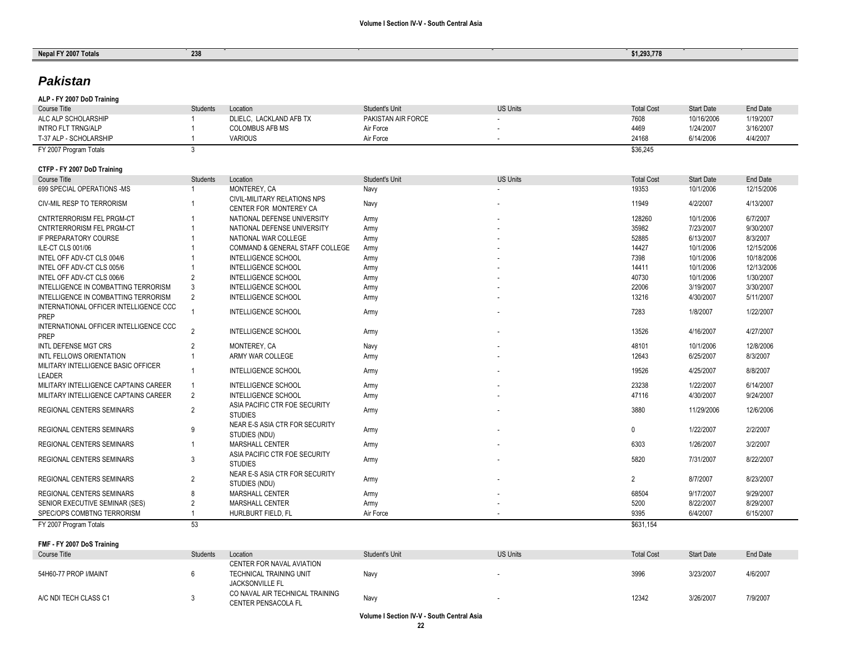| Nepal FY 2007 Totals                             | 238             |                                                   |                                      |                 | \$1,293,778       |                         |                        |
|--------------------------------------------------|-----------------|---------------------------------------------------|--------------------------------------|-----------------|-------------------|-------------------------|------------------------|
|                                                  |                 |                                                   |                                      |                 |                   |                         |                        |
| <b>Pakistan</b>                                  |                 |                                                   |                                      |                 |                   |                         |                        |
|                                                  |                 |                                                   |                                      |                 |                   |                         |                        |
| ALP - FY 2007 DoD Training                       |                 |                                                   |                                      | <b>US Units</b> |                   |                         |                        |
| <b>Course Title</b>                              | <b>Students</b> | Location                                          | Student's Unit<br>PAKISTAN AIR FORCE |                 | <b>Total Cost</b> | <b>Start Date</b>       | <b>End Date</b>        |
| ALC ALP SCHOLARSHIP<br><b>INTRO FLT TRNG/ALP</b> |                 | DLIELC, LACKLAND AFB TX<br><b>COLOMBUS AFB MS</b> | Air Force                            |                 | 7608<br>4469      | 10/16/2006<br>1/24/2007 | 1/19/2007<br>3/16/2007 |
| T-37 ALP - SCHOLARSHIP                           |                 | <b>VARIOUS</b>                                    | Air Force                            |                 | 24168             | 6/14/2006               | 4/4/2007               |
| FY 2007 Program Totals                           | 3               |                                                   |                                      |                 | \$36,245          |                         |                        |
|                                                  |                 |                                                   |                                      |                 |                   |                         |                        |
| CTFP - FY 2007 DoD Training                      |                 |                                                   |                                      |                 |                   |                         |                        |
| <b>Course Title</b>                              | <b>Students</b> | Location                                          | Student's Unit                       | <b>US Units</b> | <b>Total Cost</b> | <b>Start Date</b>       | <b>End Date</b>        |
| 699 SPECIAL OPERATIONS -MS                       | $\overline{1}$  | MONTEREY, CA                                      | Navy                                 |                 | 19353             | 10/1/2006               | 12/15/2006             |
| <b>CIV-MIL RESP TO TERRORISM</b>                 | 1               | CIVIL-MILITARY RELATIONS NPS                      | Navy                                 |                 | 11949             | 4/2/2007                | 4/13/2007              |
|                                                  |                 | CENTER FOR MONTEREY CA                            |                                      |                 |                   |                         |                        |
| CNTRTERRORISM FEL PRGM-CT                        | -1              | NATIONAL DEFENSE UNIVERSITY                       | Army                                 |                 | 128260            | 10/1/2006               | 6/7/2007               |
| <b>CNTRTERRORISM FEL PRGM-CT</b>                 |                 | NATIONAL DEFENSE UNIVERSITY                       | Army                                 |                 | 35982             | 7/23/2007               | 9/30/2007              |
| IF PREPARATORY COURSE                            |                 | NATIONAL WAR COLLEGE                              | Army                                 |                 | 52885             | 6/13/2007               | 8/3/2007               |
| ILE-CT CLS 001/06                                |                 | COMMAND & GENERAL STAFF COLLEGE                   | Army                                 |                 | 14427             | 10/1/2006               | 12/15/2006             |
| INTEL OFF ADV-CT CLS 004/6                       |                 | <b>INTELLIGENCE SCHOOL</b>                        | Army                                 |                 | 7398              | 10/1/2006               | 10/18/2006             |
| INTEL OFF ADV-CT CLS 005/6                       |                 | INTELLIGENCE SCHOOL                               | Army                                 |                 | 14411             | 10/1/2006               | 12/13/2006             |
| INTEL OFF ADV-CT CLS 006/6                       | $\overline{2}$  | <b>INTELLIGENCE SCHOOL</b>                        | Army                                 |                 | 40730             | 10/1/2006               | 1/30/2007              |
| INTELLIGENCE IN COMBATTING TERRORISM             | 3               | <b>INTELLIGENCE SCHOOL</b>                        | Army                                 |                 | 22006             | 3/19/2007               | 3/30/2007              |
| INTELLIGENCE IN COMBATTING TERRORISM             | 2               | <b>INTELLIGENCE SCHOOL</b>                        | Army                                 |                 | 13216             | 4/30/2007               | 5/11/2007              |
| INTERNATIONAL OFFICER INTELLIGENCE CCC           | 1               | <b>INTELLIGENCE SCHOOL</b>                        | Army                                 |                 | 7283              | 1/8/2007                | 1/22/2007              |
| PREP                                             |                 |                                                   |                                      |                 |                   |                         |                        |
| INTERNATIONAL OFFICER INTELLIGENCE CCC           | $\overline{2}$  | <b>INTELLIGENCE SCHOOL</b>                        | Army                                 |                 | 13526             | 4/16/2007               | 4/27/2007              |
| <b>PREP</b>                                      |                 |                                                   |                                      |                 |                   |                         |                        |
| <b>INTL DEFENSE MGT CRS</b>                      | $\overline{2}$  | MONTEREY, CA                                      | Navy                                 |                 | 48101             | 10/1/2006               | 12/8/2006              |
| INTL FELLOWS ORIENTATION                         | $\overline{1}$  | ARMY WAR COLLEGE                                  | Army                                 |                 | 12643             | 6/25/2007               | 8/3/2007               |
| MILITARY INTELLIGENCE BASIC OFFICER              | $\overline{1}$  | <b>INTELLIGENCE SCHOOL</b>                        | Army                                 |                 | 19526             | 4/25/2007               | 8/8/2007               |
| LEADER                                           |                 |                                                   |                                      |                 |                   |                         |                        |
| MILITARY INTELLIGENCE CAPTAINS CAREER            | $\overline{1}$  | <b>INTELLIGENCE SCHOOL</b>                        | Army                                 |                 | 23238             | 1/22/2007               | 6/14/2007              |
| MILITARY INTELLIGENCE CAPTAINS CAREER            | 2               | <b>INTELLIGENCE SCHOOL</b>                        | Army                                 |                 | 47116             | 4/30/2007               | 9/24/2007              |
| REGIONAL CENTERS SEMINARS                        | $\overline{2}$  | ASIA PACIFIC CTR FOE SECURITY                     | Army                                 |                 | 3880              | 11/29/2006              | 12/6/2006              |
|                                                  |                 | <b>STUDIES</b>                                    |                                      |                 |                   |                         |                        |
| <b>REGIONAL CENTERS SEMINARS</b>                 | 9               | NEAR E-S ASIA CTR FOR SECURITY                    | Army                                 |                 | $\mathbf 0$       | 1/22/2007               | 2/2/2007               |
|                                                  |                 | STUDIES (NDU)                                     |                                      |                 |                   |                         |                        |
| REGIONAL CENTERS SEMINARS                        | $\overline{1}$  | <b>MARSHALL CENTER</b>                            | Army                                 |                 | 6303              | 1/26/2007               | 3/2/2007               |
| <b>REGIONAL CENTERS SEMINARS</b>                 | 3               | ASIA PACIFIC CTR FOE SECURITY                     |                                      |                 | 5820              | 7/31/2007               | 8/22/2007              |
|                                                  |                 | <b>STUDIES</b>                                    | Army                                 |                 |                   |                         |                        |
| REGIONAL CENTERS SEMINARS                        | $\overline{2}$  | NEAR E-S ASIA CTR FOR SECURITY                    |                                      |                 | $\overline{2}$    | 8/7/2007                | 8/23/2007              |
|                                                  |                 | STUDIES (NDU)                                     | Army                                 |                 |                   |                         |                        |
| REGIONAL CENTERS SEMINARS                        | 8               | MARSHALL CENTER                                   | Army                                 |                 | 68504             | 9/17/2007               | 9/29/2007              |
| SENIOR EXECUTIVE SEMINAR (SES)                   | $\overline{2}$  | <b>MARSHALL CENTER</b>                            | Army                                 |                 | 5200              | 8/22/2007               | 8/29/2007              |
| SPEC/OPS COMBTNG TERRORISM                       |                 | HURLBURT FIELD, FL                                | Air Force                            |                 | 9395              | 6/4/2007                | 6/15/2007              |

**FMF - FY 2007 DoS Training**

| Course Title          | Students | Location                                                                       | Student's Unit | <b>US Units</b> | <b>Total Cost</b> | <b>Start Date</b> | End Date |
|-----------------------|----------|--------------------------------------------------------------------------------|----------------|-----------------|-------------------|-------------------|----------|
| 54H60-77 PROP I/MAINT |          | CENTER FOR NAVAL AVIATION<br>TECHNICAL TRAINING UNIT<br><b>JACKSONVILLE FL</b> | Navy           |                 | 3996              | 3/23/2007         | 4/6/2007 |
| A/C NDI TECH CLASS C1 |          | CO NAVAL AIR TECHNICAL TRAINING<br><b>CENTER PENSACOLA FL</b>                  | Nav            |                 | 12342             | 3/26/2007         | 7/9/2007 |

FY 2007 Program Totals **53** \$631,154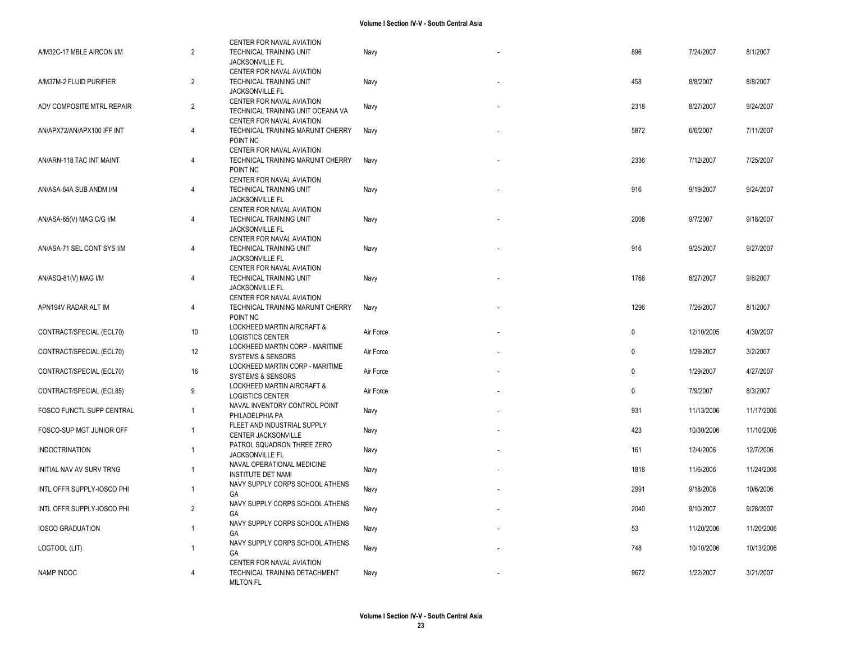| A/M32C-17 MBLE AIRCON I/M  | $\overline{2}$ | CENTER FOR NAVAL AVIATION<br>TECHNICAL TRAINING UNIT<br>JACKSONVILLE FL                     | Navy      | 896         | 7/24/2007  | 8/1/2007   |
|----------------------------|----------------|---------------------------------------------------------------------------------------------|-----------|-------------|------------|------------|
| A/M37M-2 FLUID PURIFIER    | 2              | CENTER FOR NAVAL AVIATION<br>TECHNICAL TRAINING UNIT<br>JACKSONVILLE FL                     | Navy      | 458         | 8/8/2007   | 8/8/2007   |
| ADV COMPOSITE MTRL REPAIR  | 2              | CENTER FOR NAVAL AVIATION<br>TECHNICAL TRAINING UNIT OCEANA VA<br>CENTER FOR NAVAL AVIATION | Navy      | 2318        | 8/27/2007  | 9/24/2007  |
| AN/APX72/AN/APX100 IFF INT | $\overline{4}$ | TECHNICAL TRAINING MARUNIT CHERRY<br>POINT NC                                               | Navy      | 5872        | 6/6/2007   | 7/11/2007  |
| AN/ARN-118 TAC INT MAINT   | $\overline{4}$ | CENTER FOR NAVAL AVIATION<br>TECHNICAL TRAINING MARUNIT CHERRY<br>POINT NC                  | Navy      | 2336        | 7/12/2007  | 7/25/2007  |
| AN/ASA-64A SUB ANDM I/M    | $\overline{4}$ | CENTER FOR NAVAL AVIATION<br><b>TECHNICAL TRAINING UNIT</b><br>JACKSONVILLE FL              | Navy      | 916         | 9/19/2007  | 9/24/2007  |
| AN/ASA-65(V) MAG C/G I/M   | $\overline{4}$ | CENTER FOR NAVAL AVIATION<br>TECHNICAL TRAINING UNIT<br>JACKSONVILLE FL                     | Navy      | 2008        | 9/7/2007   | 9/18/2007  |
| AN/ASA-71 SEL CONT SYS I/M | $\overline{4}$ | CENTER FOR NAVAL AVIATION<br>TECHNICAL TRAINING UNIT<br>JACKSONVILLE FL                     | Navy      | 916         | 9/25/2007  | 9/27/2007  |
| AN/ASQ-81(V) MAG I/M       | 4              | CENTER FOR NAVAL AVIATION<br><b>TECHNICAL TRAINING UNIT</b><br>JACKSONVILLE FL              | Navy      | 1768        | 8/27/2007  | 9/6/2007   |
| APN194V RADAR ALT IM       | $\overline{4}$ | CENTER FOR NAVAL AVIATION<br>TECHNICAL TRAINING MARUNIT CHERRY<br>POINT NC                  | Navy      | 1296        | 7/26/2007  | 8/1/2007   |
| CONTRACT/SPECIAL (ECL70)   | $10$           | LOCKHEED MARTIN AIRCRAFT &<br><b>LOGISTICS CENTER</b>                                       | Air Force | $\mathbf 0$ | 12/10/2005 | 4/30/2007  |
| CONTRACT/SPECIAL (ECL70)   | 12             | LOCKHEED MARTIN CORP - MARITIME<br><b>SYSTEMS &amp; SENSORS</b>                             | Air Force | $\mathbf 0$ | 1/29/2007  | 3/2/2007   |
| CONTRACT/SPECIAL (ECL70)   | 16             | LOCKHEED MARTIN CORP - MARITIME<br><b>SYSTEMS &amp; SENSORS</b>                             | Air Force | $\mathbf 0$ | 1/29/2007  | 4/27/2007  |
| CONTRACT/SPECIAL (ECL85)   | 9              | <b>LOCKHEED MARTIN AIRCRAFT &amp;</b><br><b>LOGISTICS CENTER</b>                            | Air Force | $\mathbf 0$ | 7/9/2007   | 8/3/2007   |
| FOSCO FUNCTL SUPP CENTRAL  | $\overline{1}$ | NAVAL INVENTORY CONTROL POINT<br>PHILADELPHIA PA                                            | Navy      | 931         | 11/13/2006 | 11/17/2006 |
| FOSCO-SUP MGT JUNIOR OFF   | $\overline{1}$ | FLEET AND INDUSTRIAL SUPPLY<br>CENTER JACKSONVILLE                                          | Navy      | 423         | 10/30/2006 | 11/10/2006 |
| <b>INDOCTRINATION</b>      | $\overline{1}$ | PATROL SQUADRON THREE ZERO<br>JACKSONVILLE FL                                               | Navy      | 161         | 12/4/2006  | 12/7/2006  |
| INITIAL NAV AV SURV TRNG   | $\overline{1}$ | NAVAL OPERATIONAL MEDICINE<br><b>INSTITUTE DET NAMI</b>                                     | Navy      | 1818        | 11/6/2006  | 11/24/2006 |
| INTL OFFR SUPPLY-IOSCO PHI | $\overline{1}$ | NAVY SUPPLY CORPS SCHOOL ATHENS<br>GA                                                       | Navy      | 2991        | 9/18/2006  | 10/6/2006  |
| INTL OFFR SUPPLY-IOSCO PHI | 2              | NAVY SUPPLY CORPS SCHOOL ATHENS<br>GA                                                       | Navy      | 2040        | 9/10/2007  | 9/28/2007  |
| <b>IOSCO GRADUATION</b>    | $\overline{1}$ | NAVY SUPPLY CORPS SCHOOL ATHENS<br>GA                                                       | Navy      | 53          | 11/20/2006 | 11/20/2006 |
| LOGTOOL (LIT)              | $\overline{1}$ | NAVY SUPPLY CORPS SCHOOL ATHENS<br>GA                                                       | Navy      | 748         | 10/10/2006 | 10/13/2006 |
| NAMP INDOC                 | $\overline{4}$ | CENTER FOR NAVAL AVIATION<br>TECHNICAL TRAINING DETACHMENT<br><b>MILTON FL</b>              | Navy      | 9672        | 1/22/2007  | 3/21/2007  |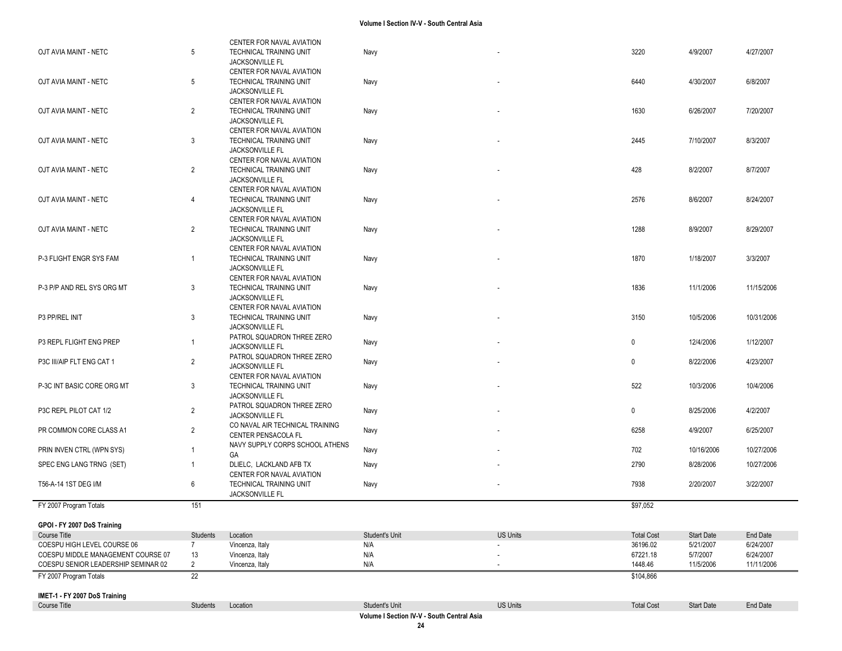|                                             |                            | CENTER FOR NAVAL AVIATION                            |                                            |                          |                               |                                |                       |
|---------------------------------------------|----------------------------|------------------------------------------------------|--------------------------------------------|--------------------------|-------------------------------|--------------------------------|-----------------------|
| OJT AVIA MAINT - NETC                       | 5                          | TECHNICAL TRAINING UNIT                              | Navy                                       |                          | 3220                          | 4/9/2007                       | 4/27/2007             |
|                                             |                            | JACKSONVILLE FL<br>CENTER FOR NAVAL AVIATION         |                                            |                          |                               |                                |                       |
| OJT AVIA MAINT - NETC                       | 5                          | TECHNICAL TRAINING UNIT                              | Navy                                       |                          | 6440                          | 4/30/2007                      | 6/8/2007              |
|                                             |                            | JACKSONVILLE FL                                      |                                            |                          |                               |                                |                       |
|                                             |                            | CENTER FOR NAVAL AVIATION                            |                                            |                          |                               |                                |                       |
| OJT AVIA MAINT - NETC                       | 2                          | TECHNICAL TRAINING UNIT                              | Navy                                       |                          | 1630                          | 6/26/2007                      | 7/20/2007             |
|                                             |                            | <b>JACKSONVILLE FL</b><br>CENTER FOR NAVAL AVIATION  |                                            |                          |                               |                                |                       |
| OJT AVIA MAINT - NETC                       | 3                          | TECHNICAL TRAINING UNIT                              | Navy                                       |                          | 2445                          | 7/10/2007                      | 8/3/2007              |
|                                             |                            | JACKSONVILLE FL                                      |                                            |                          |                               |                                |                       |
|                                             |                            | CENTER FOR NAVAL AVIATION                            |                                            |                          |                               |                                |                       |
| OJT AVIA MAINT - NETC                       | 2                          | <b>TECHNICAL TRAINING UNIT</b>                       | Navy                                       |                          | 428                           | 8/2/2007                       | 8/7/2007              |
|                                             |                            | JACKSONVILLE FL<br>CENTER FOR NAVAL AVIATION         |                                            |                          |                               |                                |                       |
| OJT AVIA MAINT - NETC                       | 4                          | TECHNICAL TRAINING UNIT                              | Navy                                       |                          | 2576                          | 8/6/2007                       | 8/24/2007             |
|                                             |                            | JACKSONVILLE FL                                      |                                            |                          |                               |                                |                       |
|                                             |                            | CENTER FOR NAVAL AVIATION                            |                                            |                          |                               |                                |                       |
| OJT AVIA MAINT - NETC                       | 2                          | TECHNICAL TRAINING UNIT                              | Navy                                       |                          | 1288                          | 8/9/2007                       | 8/29/2007             |
|                                             |                            | <b>JACKSONVILLE FL</b>                               |                                            |                          |                               |                                |                       |
| P-3 FLIGHT ENGR SYS FAM                     | $\mathbf{1}$               | CENTER FOR NAVAL AVIATION<br>TECHNICAL TRAINING UNIT | Navy                                       | $\overline{\phantom{a}}$ | 1870                          | 1/18/2007                      | 3/3/2007              |
|                                             |                            | JACKSONVILLE FL                                      |                                            |                          |                               |                                |                       |
|                                             |                            | CENTER FOR NAVAL AVIATION                            |                                            |                          |                               |                                |                       |
| P-3 P/P AND REL SYS ORG MT                  | 3                          | TECHNICAL TRAINING UNIT                              | Navy                                       |                          | 1836                          | 11/1/2006                      | 11/15/2006            |
|                                             |                            | JACKSONVILLE FL                                      |                                            |                          |                               |                                |                       |
| P3 PP/REL INIT                              | 3                          | CENTER FOR NAVAL AVIATION<br>TECHNICAL TRAINING UNIT | Navy                                       |                          | 3150                          | 10/5/2006                      | 10/31/2006            |
|                                             |                            | <b>JACKSONVILLE FL</b>                               |                                            |                          |                               |                                |                       |
| P3 REPL FLIGHT ENG PREP                     | $\mathbf{1}$               | PATROL SQUADRON THREE ZERO                           | Navy                                       |                          | $\pmb{0}$                     | 12/4/2006                      | 1/12/2007             |
|                                             |                            | <b>JACKSONVILLE FL</b>                               |                                            |                          |                               |                                |                       |
| P3C III/AIP FLT ENG CAT 1                   | 2                          | PATROL SQUADRON THREE ZERO                           | Navy                                       |                          | $\mathbf 0$                   | 8/22/2006                      | 4/23/2007             |
|                                             |                            | <b>JACKSONVILLE FL</b><br>CENTER FOR NAVAL AVIATION  |                                            |                          |                               |                                |                       |
| P-3C INT BASIC CORE ORG MT                  | 3                          | TECHNICAL TRAINING UNIT                              | Navy                                       |                          | 522                           | 10/3/2006                      | 10/4/2006             |
|                                             |                            | JACKSONVILLE FL                                      |                                            |                          |                               |                                |                       |
| P3C REPL PILOT CAT 1/2                      | 2                          | PATROL SQUADRON THREE ZERO                           | Navy                                       | $\overline{\phantom{a}}$ | $\mathbf 0$                   | 8/25/2006                      | 4/2/2007              |
|                                             |                            | JACKSONVILLE FL<br>CO NAVAL AIR TECHNICAL TRAINING   |                                            |                          |                               |                                |                       |
| PR COMMON CORE CLASS A1                     | 2                          | CENTER PENSACOLA FL                                  | Navy                                       |                          | 6258                          | 4/9/2007                       | 6/25/2007             |
|                                             |                            | NAVY SUPPLY CORPS SCHOOL ATHENS                      |                                            |                          |                               |                                |                       |
| PRIN INVEN CTRL (WPN SYS)                   | $\overline{1}$             | GA                                                   | Navy                                       |                          | 702                           | 10/16/2006                     | 10/27/2006            |
| SPEC ENG LANG TRNG (SET)                    | $\mathbf{1}$               | DLIELC, LACKLAND AFB TX                              | Navy                                       |                          | 2790                          | 8/28/2006                      | 10/27/2006            |
| T56-A-14 1ST DEG I/M                        | 6                          | CENTER FOR NAVAL AVIATION<br>TECHNICAL TRAINING UNIT | Navy                                       |                          | 7938                          | 2/20/2007                      | 3/22/2007             |
|                                             |                            | JACKSONVILLE FL                                      |                                            |                          |                               |                                |                       |
| FY 2007 Program Totals                      | 151                        |                                                      |                                            |                          | \$97,052                      |                                |                       |
|                                             |                            |                                                      |                                            |                          |                               |                                |                       |
| GPOI - FY 2007 DoS Training                 |                            | Location                                             | Student's Unit                             |                          |                               |                                |                       |
| Course Title<br>COESPU HIGH LEVEL COURSE 06 | Students<br>$\overline{7}$ | Vincenza, Italy                                      | N/A                                        | <b>US Units</b>          | <b>Total Cost</b><br>36196.02 | <b>Start Date</b><br>5/21/2007 | End Date<br>6/24/2007 |
| COESPU MIDDLE MANAGEMENT COURSE 07          | 13                         | Vincenza, Italy                                      | N/A                                        |                          | 67221.18                      | 5/7/2007                       | 6/24/2007             |
| COESPU SENIOR LEADERSHIP SEMINAR 02         | $\overline{2}$             | Vincenza, Italy                                      | N/A                                        |                          | 1448.46                       | 11/5/2006                      | 11/11/2006            |
| FY 2007 Program Totals                      | 22                         |                                                      |                                            |                          | \$104,866                     |                                |                       |
| IMET-1 - FY 2007 DoS Training               |                            |                                                      |                                            |                          |                               |                                |                       |
| Course Title                                | Students                   | Location                                             | Student's Unit                             | <b>US Units</b>          | <b>Total Cost</b>             | <b>Start Date</b>              | End Date              |
|                                             |                            |                                                      | Volume I Section IV-V - South Central Asia |                          |                               |                                |                       |

**24**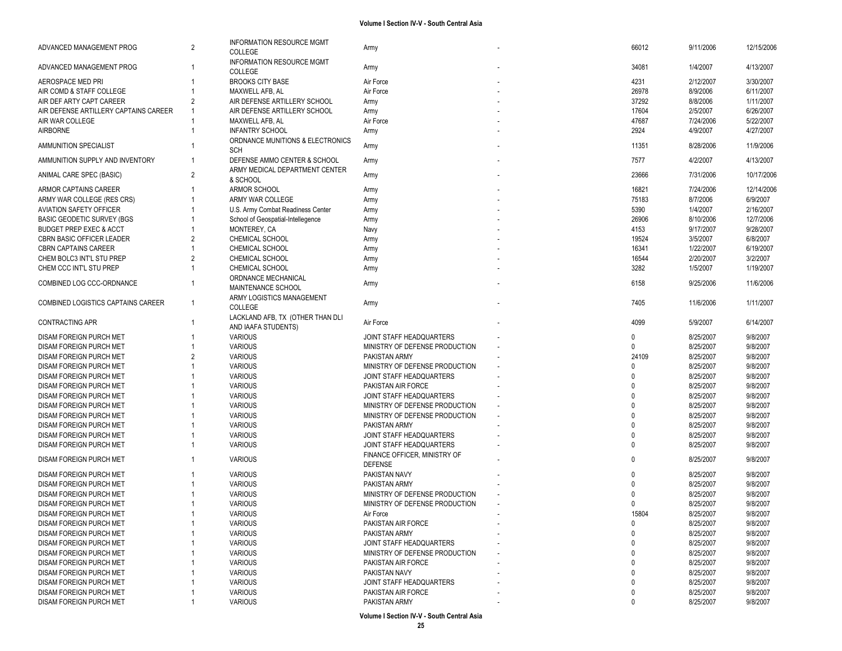| ADVANCED MANAGEMENT PROG                           | 2              | <b>INFORMATION RESOURCE MGMT</b><br><b>COLLEGE</b>      | Army                                | 66012            | 9/11/2006              | 12/15/2006           |
|----------------------------------------------------|----------------|---------------------------------------------------------|-------------------------------------|------------------|------------------------|----------------------|
| ADVANCED MANAGEMENT PROG                           |                | INFORMATION RESOURCE MGMT<br>COLLEGE                    | Army                                | 34081            | 1/4/2007               | 4/13/2007            |
| AEROSPACE MED PRI                                  |                | <b>BROOKS CITY BASE</b>                                 | Air Force                           | 4231             | 2/12/2007              | 3/30/2007            |
| AIR COMD & STAFF COLLEGE                           |                | MAXWELL AFB, AL                                         | Air Force                           | 26978            | 8/9/2006               | 6/11/2007            |
| AIR DEF ARTY CAPT CAREER                           |                | AIR DEFENSE ARTILLERY SCHOOL                            | Army                                | 37292            | 8/8/2006               | 1/11/2007            |
| AIR DEFENSE ARTILLERY CAPTAINS CAREER              |                | AIR DEFENSE ARTILLERY SCHOOL                            | Army                                | 17604            | 2/5/2007               | 6/26/2007            |
| AIR WAR COLLEGE                                    |                | MAXWELL AFB, AL                                         | Air Force                           | 47687            | 7/24/2006              | 5/22/2007            |
| <b>AIRBORNE</b>                                    |                | <b>INFANTRY SCHOOL</b>                                  | Army                                | 2924             | 4/9/2007               | 4/27/2007            |
|                                                    |                |                                                         |                                     |                  |                        |                      |
| AMMUNITION SPECIALIST                              |                | ORDNANCE MUNITIONS & ELECTRONICS<br><b>SCH</b>          | Army                                | 11351            | 8/28/2006              | 11/9/2006            |
| AMMUNITION SUPPLY AND INVENTORY                    |                | DEFENSE AMMO CENTER & SCHOOL                            | Army                                | 7577             | 4/2/2007               | 4/13/2007            |
| ANIMAL CARE SPEC (BASIC)                           | $\overline{2}$ | ARMY MEDICAL DEPARTMENT CENTER<br>& SCHOOL              | Army                                | 23666            | 7/31/2006              | 10/17/2006           |
| ARMOR CAPTAINS CAREER                              |                | ARMOR SCHOOL                                            | Army                                | 16821            | 7/24/2006              | 12/14/2006           |
| ARMY WAR COLLEGE (RES CRS)                         |                | ARMY WAR COLLEGE                                        | Army                                | 75183            | 8/7/2006               | 6/9/2007             |
| <b>AVIATION SAFETY OFFICER</b>                     |                | U.S. Army Combat Readiness Center                       | Army                                | 5390             | 1/4/2007               | 2/16/2007            |
| <b>BASIC GEODETIC SURVEY (BGS</b>                  |                | School of Geospatial-Intellegence                       | Army                                | 26906            | 8/10/2006              | 12/7/2006            |
| <b>BUDGET PREP EXEC &amp; ACCT</b>                 |                | MONTEREY, CA                                            | Navy                                | 4153             | 9/17/2007              | 9/28/2007            |
| CBRN BASIC OFFICER LEADER                          |                | CHEMICAL SCHOOL                                         | Army                                | 19524            | 3/5/2007               | 6/8/2007             |
| <b>CBRN CAPTAINS CAREER</b>                        |                | CHEMICAL SCHOOL                                         | Army                                | 16341            | 1/22/2007              | 6/19/2007            |
| CHEM BOLC3 INT'L STU PREP                          |                | <b>CHEMICAL SCHOOL</b>                                  | Army                                | 16544            | 2/20/2007              | 3/2/2007             |
| CHEM CCC INT'L STU PREP                            |                | <b>CHEMICAL SCHOOL</b>                                  | Army                                | 3282             | 1/5/2007               | 1/19/2007            |
|                                                    |                | ORDNANCE MECHANICAL                                     |                                     |                  |                        |                      |
| COMBINED LOG CCC-ORDNANCE                          |                | MAINTENANCE SCHOOL                                      | Army                                | 6158             | 9/25/2006              | 11/6/2006            |
| COMBINED LOGISTICS CAPTAINS CAREER                 | $\overline{1}$ | ARMY LOGISTICS MANAGEMENT<br>COLLEGE                    | Army                                | 7405             | 11/6/2006              | 1/11/2007            |
|                                                    |                |                                                         |                                     |                  |                        |                      |
| <b>CONTRACTING APR</b>                             |                | LACKLAND AFB, TX (OTHER THAN DLI<br>AND IAAFA STUDENTS) | Air Force                           | 4099             | 5/9/2007               | 6/14/2007            |
| DISAM FOREIGN PURCH MET                            |                | <b>VARIOUS</b>                                          | JOINT STAFF HEADQUARTERS            | $\mathbf{0}$     | 8/25/2007              | 9/8/2007             |
| DISAM FOREIGN PURCH MET                            |                | <b>VARIOUS</b>                                          | MINISTRY OF DEFENSE PRODUCTION      | $\Omega$         | 8/25/2007              | 9/8/2007             |
| DISAM FOREIGN PURCH MET                            | $\overline{2}$ | <b>VARIOUS</b>                                          | PAKISTAN ARMY                       | 24109            | 8/25/2007              | 9/8/2007             |
| DISAM FOREIGN PURCH MET                            |                | <b>VARIOUS</b>                                          | MINISTRY OF DEFENSE PRODUCTION      | $\Omega$         | 8/25/2007              | 9/8/2007             |
| DISAM FOREIGN PURCH MET                            |                | <b>VARIOUS</b>                                          | JOINT STAFF HEADQUARTERS            |                  | 8/25/2007              | 9/8/2007             |
| DISAM FOREIGN PURCH MET                            |                | <b>VARIOUS</b>                                          | PAKISTAN AIR FORCE                  | $\Omega$         | 8/25/2007              | 9/8/2007             |
| DISAM FOREIGN PURCH MET                            |                | <b>VARIOUS</b>                                          | JOINT STAFF HEADQUARTERS            | $\Omega$         | 8/25/2007              | 9/8/2007             |
| DISAM FOREIGN PURCH MET                            |                | <b>VARIOUS</b>                                          | MINISTRY OF DEFENSE PRODUCTION      | $\Omega$         | 8/25/2007              | 9/8/2007             |
| DISAM FOREIGN PURCH MET                            |                | <b>VARIOUS</b>                                          | MINISTRY OF DEFENSE PRODUCTION      | $\Omega$         | 8/25/2007              | 9/8/2007             |
| DISAM FOREIGN PURCH MET                            |                | <b>VARIOUS</b>                                          | PAKISTAN ARMY                       | $\Omega$         | 8/25/2007              | 9/8/2007             |
| <b>DISAM FOREIGN PURCH MET</b>                     |                | <b>VARIOUS</b>                                          | JOINT STAFF HEADQUARTERS            | $\Omega$         | 8/25/2007              | 9/8/2007             |
| DISAM FOREIGN PURCH MET                            |                | <b>VARIOUS</b>                                          | JOINT STAFF HEADQUARTERS            | $\Omega$         | 8/25/2007              | 9/8/2007             |
|                                                    |                |                                                         | FINANCE OFFICER, MINISTRY OF        |                  |                        |                      |
| DISAM FOREIGN PURCH MET                            |                | <b>VARIOUS</b>                                          | <b>DEFENSE</b>                      | $\Omega$         | 8/25/2007              | 9/8/2007             |
| DISAM FOREIGN PURCH MET                            |                | <b>VARIOUS</b>                                          | PAKISTAN NAVY                       | $\Omega$         | 8/25/2007              | 9/8/2007             |
| DISAM FOREIGN PURCH MET                            |                | <b>VARIOUS</b>                                          | PAKISTAN ARMY                       | $\Omega$         | 8/25/2007              | 9/8/2007             |
| <b>DISAM FOREIGN PURCH MET</b>                     |                | <b>VARIOUS</b>                                          | MINISTRY OF DEFENSE PRODUCTION      |                  | 8/25/2007              | 9/8/2007             |
| DISAM FOREIGN PURCH MET                            |                | <b>VARIOUS</b>                                          | MINISTRY OF DEFENSE PRODUCTION      | $\Omega$         | 8/25/2007              | 9/8/2007             |
| DISAM FOREIGN PURCH MET                            |                | VARIOUS                                                 | Air Force                           | 15804            | 8/25/2007              | 9/8/2007             |
| DISAM FOREIGN PURCH MET                            |                | <b>VARIOUS</b>                                          | PAKISTAN AIR FORCE                  | 0                | 8/25/2007              | 9/8/2007             |
| <b>DISAM FOREIGN PURCH MET</b>                     |                |                                                         |                                     |                  |                        |                      |
| DISAM FOREIGN PURCH MET                            |                | <b>VARIOUS</b>                                          | PAKISTAN ARMY                       | $\mathbf{0}$     | 8/25/2007              | 9/8/2007             |
|                                                    |                | <b>VARIOUS</b>                                          | JOINT STAFF HEADQUARTERS            | 0                | 8/25/2007              | 9/8/2007             |
| <b>DISAM FOREIGN PURCH MET</b>                     |                | <b>VARIOUS</b>                                          | MINISTRY OF DEFENSE PRODUCTION      | 0                | 8/25/2007              | 9/8/2007             |
| DISAM FOREIGN PURCH MET                            |                | <b>VARIOUS</b>                                          | PAKISTAN AIR FORCE                  | $\Omega$         | 8/25/2007              | 9/8/2007             |
| DISAM FOREIGN PURCH MET                            |                |                                                         | PAKISTAN NAVY                       | 0                |                        | 9/8/2007             |
|                                                    |                | <b>VARIOUS</b>                                          |                                     | $\mathbf{0}$     | 8/25/2007              |                      |
| DISAM FOREIGN PURCH MET                            |                | <b>VARIOUS</b>                                          | JOINT STAFF HEADQUARTERS            |                  | 8/25/2007              | 9/8/2007             |
| DISAM FOREIGN PURCH MET<br>DISAM FOREIGN PURCH MET |                | <b>VARIOUS</b><br><b>VARIOUS</b>                        | PAKISTAN AIR FORCE<br>PAKISTAN ARMY | 0<br>$\mathbf 0$ | 8/25/2007<br>8/25/2007 | 9/8/2007<br>9/8/2007 |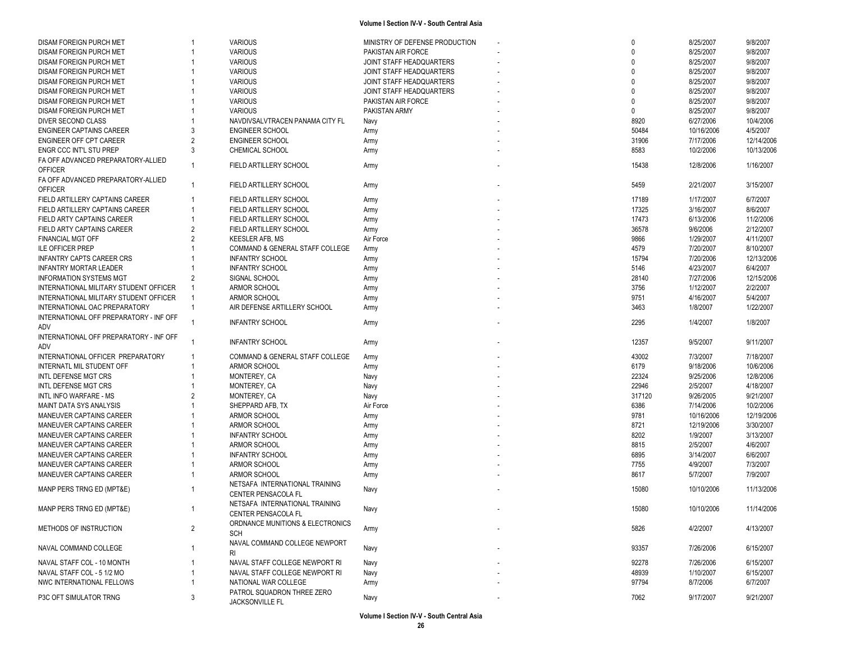| DISAM FOREIGN PURCH MET<br><b>VARIOUS</b><br>MINISTRY OF DEFENSE PRODUCTION<br>$\mathbf{0}$     | 8/25/2007  | 9/8/2007   |
|-------------------------------------------------------------------------------------------------|------------|------------|
| DISAM FOREIGN PURCH MET<br><b>VARIOUS</b><br>PAKISTAN AIR FORCE                                 | 8/25/2007  | 9/8/2007   |
| <b>VARIOUS</b><br>DISAM FOREIGN PURCH MET<br>JOINT STAFF HEADQUARTERS                           | 8/25/2007  | 9/8/2007   |
| DISAM FOREIGN PURCH MET<br><b>VARIOUS</b><br>JOINT STAFF HEADQUARTERS<br><sup>n</sup>           | 8/25/2007  | 9/8/2007   |
| <b>VARIOUS</b><br>DISAM FOREIGN PURCH MET<br>JOINT STAFF HEADQUARTERS<br>$\Omega$               | 8/25/2007  | 9/8/2007   |
| <b>VARIOUS</b><br>JOINT STAFF HEADQUARTERS<br>DISAM FOREIGN PURCH MET<br>$\Omega$               | 8/25/2007  | 9/8/2007   |
| <b>VARIOUS</b><br>$\mathbf{0}$<br><b>DISAM FOREIGN PURCH MET</b><br>PAKISTAN AIR FORCE          | 8/25/2007  | 9/8/2007   |
| <b>VARIOUS</b><br><b>DISAM FOREIGN PURCH MET</b><br>PAKISTAN ARMY                               | 8/25/2007  | 9/8/2007   |
| 8920<br>DIVER SECOND CLASS<br>NAVDIVSALVTRACEN PANAMA CITY FL<br>Navy                           | 6/27/2006  | 10/4/2006  |
| 3<br><b>ENGINEER SCHOOL</b><br>50484<br><b>ENGINEER CAPTAINS CAREER</b><br>Army                 | 10/16/2006 | 4/5/2007   |
| $\overline{2}$<br><b>ENGINEER SCHOOL</b><br>31906                                               | 7/17/2006  | 12/14/2006 |
| ENGINEER OFF CPT CAREER<br>Army<br>3<br>8583                                                    | 10/2/2006  | 10/13/2006 |
| ENGR CCC INT'L STU PREP<br>CHEMICAL SCHOOL<br>Army                                              |            |            |
| FA OFF ADVANCED PREPARATORY-ALLIED<br>FIELD ARTILLERY SCHOOL<br>15438<br>$\overline{1}$<br>Army | 12/8/2006  | 1/16/2007  |
| <b>OFFICER</b>                                                                                  |            |            |
| FA OFF ADVANCED PREPARATORY-ALLIED<br>$\overline{1}$<br>FIELD ARTILLERY SCHOOL<br>5459<br>Army  | 2/21/2007  | 3/15/2007  |
| <b>OFFICER</b>                                                                                  |            |            |
| FIELD ARTILLERY CAPTAINS CAREER<br>FIELD ARTILLERY SCHOOL<br>17189<br>$\overline{1}$<br>Army    | 1/17/2007  | 6/7/2007   |
| FIELD ARTILLERY CAPTAINS CAREER<br>17325<br>FIELD ARTILLERY SCHOOL<br>1<br>Army                 | 3/16/2007  | 8/6/2007   |
| 17473<br>FIELD ARTY CAPTAINS CAREER<br>$\overline{1}$<br>FIELD ARTILLERY SCHOOL<br>Army         | 6/13/2006  | 11/2/2006  |
| $\overline{2}$<br>36578<br>FIELD ARTY CAPTAINS CAREER<br>FIELD ARTILLERY SCHOOL<br>Army         | 9/6/2006   | 2/12/2007  |
| $\overline{2}$<br>9866<br>FINANCIAL MGT OFF<br>KEESLER AFB, MS<br>Air Force                     | 1/29/2007  | 4/11/2007  |
| 4579<br><b>ILE OFFICER PREP</b><br><b>COMMAND &amp; GENERAL STAFF COLLEGE</b><br>Army           | 7/20/2007  | 8/10/2007  |
| <b>INFANTRY CAPTS CAREER CRS</b><br><b>INFANTRY SCHOOL</b><br>15794<br>Army                     | 7/20/2006  | 12/13/2006 |
| <b>INFANTRY SCHOOL</b><br>5146<br><b>INFANTRY MORTAR LEADER</b><br>Army                         | 4/23/2007  | 6/4/2007   |
| SIGNAL SCHOOL<br><b>INFORMATION SYSTEMS MGT</b><br>$\overline{2}$<br>28140<br>Army              | 7/27/2006  | 12/15/2006 |
| INTERNATIONAL MILITARY STUDENT OFFICER<br>ARMOR SCHOOL<br>3756<br>$\overline{1}$<br>Army        | 1/12/2007  | 2/2/2007   |
| INTERNATIONAL MILITARY STUDENT OFFICER<br>ARMOR SCHOOL<br>9751<br>$\overline{1}$                | 4/16/2007  | 5/4/2007   |
| Army<br>$\overline{1}$                                                                          |            |            |
| 3463<br>INTERNATIONAL OAC PREPARATORY<br>AIR DEFENSE ARTILLERY SCHOOL<br>Army                   | 1/8/2007   | 1/22/2007  |
| INTERNATIONAL OFF PREPARATORY - INF OFF<br>2295<br><b>INFANTRY SCHOOL</b><br>Army               | 1/4/2007   | 1/8/2007   |
| ADV                                                                                             |            |            |
| INTERNATIONAL OFF PREPARATORY - INF OFF<br><b>INFANTRY SCHOOL</b><br>12357<br>Army              | 9/5/2007   | 9/11/2007  |
| ADV                                                                                             |            |            |
| 43002<br>INTERNATIONAL OFFICER PREPARATORY<br>COMMAND & GENERAL STAFF COLLEGE<br>Army           | 7/3/2007   | 7/18/2007  |
| 6179<br>ARMOR SCHOOL<br>INTERNATL MIL STUDENT OFF<br>1<br>Army                                  | 9/18/2006  | 10/6/2006  |
| 22324<br>INTL DEFENSE MGT CRS<br>MONTEREY, CA<br>Navy                                           | 9/25/2006  | 12/8/2006  |
| 22946<br>INTL DEFENSE MGT CRS<br><b>MONTEREY, CA</b><br>Navy                                    | 2/5/2007   | 4/18/2007  |
| 317120<br>INTL INFO WARFARE - MS<br>$\overline{2}$<br><b>MONTEREY, CA</b><br>Navy               | 9/26/2005  | 9/21/2007  |
| SHEPPARD AFB, TX<br>6386<br>MAINT DATA SYS ANALYSIS<br>Air Force                                | 7/14/2006  | 10/2/2006  |
| ARMOR SCHOOL<br>9781<br>MANEUVER CAPTAINS CAREER<br>Army                                        | 10/16/2006 | 12/19/2006 |
| ARMOR SCHOOL<br>8721<br>MANEUVER CAPTAINS CAREER<br>Army                                        | 12/19/2006 | 3/30/2007  |
| MANEUVER CAPTAINS CAREER<br><b>INFANTRY SCHOOL</b><br>8202<br>Army                              | 1/9/2007   | 3/13/2007  |
| 8815<br>MANEUVER CAPTAINS CAREER<br>ARMOR SCHOOL<br>Army                                        | 2/5/2007   | 4/6/2007   |
| 6895                                                                                            | 3/14/2007  |            |
| MANEUVER CAPTAINS CAREER<br><b>INFANTRY SCHOOL</b><br>Army                                      |            | 6/6/2007   |
| 7755<br>MANEUVER CAPTAINS CAREER<br>ARMOR SCHOOL<br>Army                                        | 4/9/2007   | 7/3/2007   |
| ARMOR SCHOOL<br>8617<br>MANEUVER CAPTAINS CAREER<br>Army                                        | 5/7/2007   | 7/9/2007   |
| NETSAFA INTERNATIONAL TRAINING<br>MANP PERS TRNG ED (MPT&E)<br>15080<br>Navy                    | 10/10/2006 | 11/13/2006 |
| CENTER PENSACOLA FL                                                                             |            |            |
| NETSAFA INTERNATIONAL TRAINING<br>15080<br>MANP PERS TRNG ED (MPT&E)<br>Navy<br>-1              | 10/10/2006 | 11/14/2006 |
| CENTER PENSACOLA FL                                                                             |            |            |
| ORDNANCE MUNITIONS & ELECTRONICS<br>METHODS OF INSTRUCTION                                      |            |            |
| $\overline{2}$<br>5826<br>Army<br><b>SCH</b>                                                    | 4/2/2007   | 4/13/2007  |
| NAVAL COMMAND COLLEGE NEWPORT                                                                   |            |            |
| 93357<br>NAVAL COMMAND COLLEGE<br>Navy<br>RI.                                                   | 7/26/2006  | 6/15/2007  |
| 92278<br>NAVAL STAFF COL - 10 MONTH<br>NAVAL STAFF COLLEGE NEWPORT RI<br>Navy                   | 7/26/2006  | 6/15/2007  |
| 48939<br>NAVAL STAFF COL - 5 1/2 MO<br>NAVAL STAFF COLLEGE NEWPORT RI<br>Navy                   | 1/10/2007  | 6/15/2007  |
| NWC INTERNATIONAL FELLOWS<br>NATIONAL WAR COLLEGE<br>97794<br>Army                              | 8/7/2006   | 6/7/2007   |
| PATROL SQUADRON THREE ZERO                                                                      |            |            |
| P3C OFT SIMULATOR TRNG<br>3<br>7062<br>Navy                                                     | 9/17/2007  | 9/21/2007  |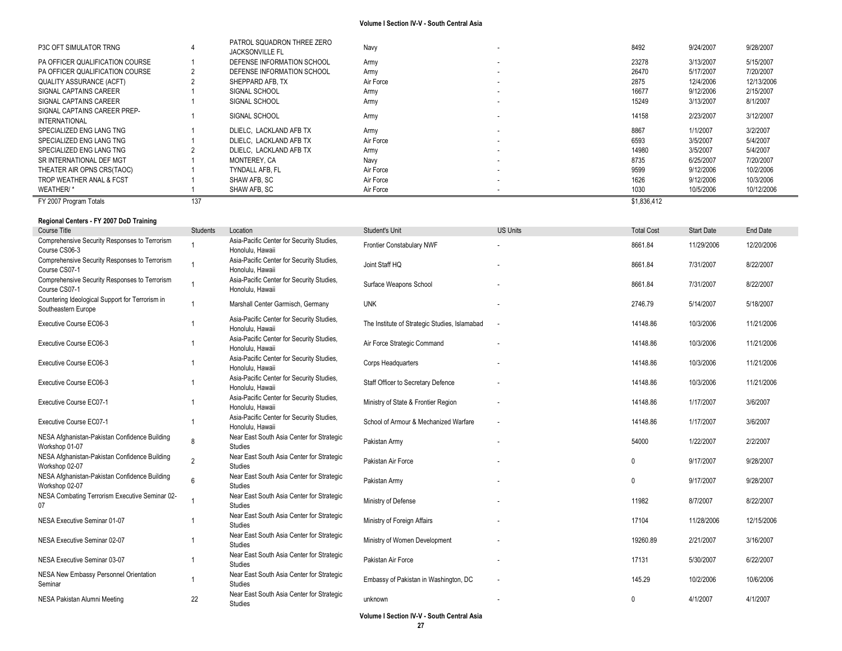| P3C OFT SIMULATOR TRNG                               |     | PATROL SQUADRON THREE ZERO<br><b>JACKSONVILLE FL</b> | Navy      |                          | 8492        | 9/24/2007 | 9/28/2007  |
|------------------------------------------------------|-----|------------------------------------------------------|-----------|--------------------------|-------------|-----------|------------|
| PA OFFICER QUALIFICATION COURSE                      |     | DEFENSE INFORMATION SCHOOL                           | Army      | . .                      | 23278       | 3/13/2007 | 5/15/2007  |
| PA OFFICER QUALIFICATION COURSE                      |     | DEFENSE INFORMATION SCHOOL                           | Army      | ۰.                       | 26470       | 5/17/2007 | 7/20/2007  |
| <b>QUALITY ASSURANCE (ACFT)</b>                      |     | SHEPPARD AFB. TX                                     | Air Force | $\sim$                   | 2875        | 12/4/2006 | 12/13/2006 |
| SIGNAL CAPTAINS CAREER                               |     | SIGNAL SCHOOL                                        | Army      | ۰.                       | 16677       | 9/12/2006 | 2/15/2007  |
| SIGNAL CAPTAINS CAREER                               |     | SIGNAL SCHOOL                                        | Army      | $\sim$                   | 15249       | 3/13/2007 | 8/1/2007   |
| SIGNAL CAPTAINS CAREER PREP-<br><b>INTERNATIONAL</b> |     | SIGNAL SCHOOL                                        | Army      |                          | 14158       | 2/23/2007 | 3/12/2007  |
| SPECIALIZED ENG LANG TNG                             |     | DLIELC. LACKLAND AFB TX                              | Army      | $\overline{\phantom{a}}$ | 8867        | 1/1/2007  | 3/2/2007   |
| SPECIALIZED ENG LANG TNG                             |     | DLIELC. LACKLAND AFB TX                              | Air Force | $\sim$                   | 6593        | 3/5/2007  | 5/4/2007   |
| SPECIALIZED ENG LANG TNG                             |     | DLIELC. LACKLAND AFB TX                              | Army      | $\sim$                   | 14980       | 3/5/2007  | 5/4/2007   |
| SR INTERNATIONAL DEF MGT                             |     | MONTEREY, CA                                         | Navy      | $\sim$                   | 8735        | 6/25/2007 | 7/20/2007  |
| THEATER AIR OPNS CRS(TAOC)                           |     | <b>TYNDALL AFB. FL</b>                               | Air Force | $\sim$                   | 9599        | 9/12/2006 | 10/2/2006  |
| TROP WEATHER ANAL & FCST                             |     | SHAW AFB. SC                                         | Air Force | $\sim$                   | 1626        | 9/12/2006 | 10/3/2006  |
| WEATHER/*                                            |     | SHAW AFB. SC                                         | Air Force |                          | 1030        | 10/5/2006 | 10/12/2006 |
| FY 2007 Program Totals                               | 137 |                                                      |           |                          | \$1,836,412 |           |            |

### **Regional Centers - FY 2007 DoD Training**

| Course Title                                                           | Students       | Location                                                      | Student's Unit                                | <b>US Units</b>          | <b>Total Cost</b> | <b>Start Date</b> | End Date   |
|------------------------------------------------------------------------|----------------|---------------------------------------------------------------|-----------------------------------------------|--------------------------|-------------------|-------------------|------------|
| Comprehensive Security Responses to Terrorism<br>Course CS06-3         |                | Asia-Pacific Center for Security Studies,<br>Honolulu, Hawaii | Frontier Constabulary NWF                     |                          | 8661.84           | 11/29/2006        | 12/20/2006 |
| Comprehensive Security Responses to Terrorism<br>Course CS07-1         |                | Asia-Pacific Center for Security Studies,<br>Honolulu, Hawaii | Joint Staff HQ                                |                          | 8661.84           | 7/31/2007         | 8/22/2007  |
| Comprehensive Security Responses to Terrorism<br>Course CS07-1         |                | Asia-Pacific Center for Security Studies,<br>Honolulu, Hawaii | Surface Weapons School                        |                          | 8661.84           | 7/31/2007         | 8/22/2007  |
| Countering Ideological Support for Terrorism in<br>Southeastern Europe |                | Marshall Center Garmisch, Germany                             | <b>UNK</b>                                    |                          | 2746.79           | 5/14/2007         | 5/18/2007  |
| Executive Course EC06-3                                                |                | Asia-Pacific Center for Security Studies,<br>Honolulu, Hawaii | The Institute of Strategic Studies, Islamabad | $\overline{\phantom{a}}$ | 14148.86          | 10/3/2006         | 11/21/2006 |
| Executive Course EC06-3                                                |                | Asia-Pacific Center for Security Studies,<br>Honolulu, Hawaii | Air Force Strategic Command                   |                          | 14148.86          | 10/3/2006         | 11/21/2006 |
| Executive Course EC06-3                                                |                | Asia-Pacific Center for Security Studies,<br>Honolulu, Hawaii | Corps Headquarters                            |                          | 14148.86          | 10/3/2006         | 11/21/2006 |
| Executive Course EC06-3                                                |                | Asia-Pacific Center for Security Studies,<br>Honolulu. Hawaii | Staff Officer to Secretary Defence            |                          | 14148.86          | 10/3/2006         | 11/21/2006 |
| Executive Course EC07-1                                                |                | Asia-Pacific Center for Security Studies,<br>Honolulu, Hawaii | Ministry of State & Frontier Region           |                          | 14148.86          | 1/17/2007         | 3/6/2007   |
| Executive Course EC07-1                                                |                | Asia-Pacific Center for Security Studies,<br>Honolulu, Hawaii | School of Armour & Mechanized Warfare         | $\overline{\phantom{a}}$ | 14148.86          | 1/17/2007         | 3/6/2007   |
| NESA Afghanistan-Pakistan Confidence Building<br>Workshop 01-07        | 8              | Near East South Asia Center for Strategic<br><b>Studies</b>   | Pakistan Army                                 |                          | 54000             | 1/22/2007         | 2/2/2007   |
| NESA Afghanistan-Pakistan Confidence Building<br>Workshop 02-07        | $\overline{2}$ | Near East South Asia Center for Strategic<br><b>Studies</b>   | Pakistan Air Force                            |                          | $\mathbf{0}$      | 9/17/2007         | 9/28/2007  |
| NESA Afghanistan-Pakistan Confidence Building<br>Workshop 02-07        | 6              | Near East South Asia Center for Strategic<br><b>Studies</b>   | Pakistan Army                                 |                          | 0                 | 9/17/2007         | 9/28/2007  |
| NESA Combating Terrorism Executive Seminar 02-<br>07                   |                | Near East South Asia Center for Strategic<br><b>Studies</b>   | Ministry of Defense                           |                          | 11982             | 8/7/2007          | 8/22/2007  |
| NESA Executive Seminar 01-07                                           |                | Near East South Asia Center for Strategic<br>Studies          | Ministry of Foreign Affairs                   |                          | 17104             | 11/28/2006        | 12/15/2006 |
| NESA Executive Seminar 02-07                                           |                | Near East South Asia Center for Strategic<br>Studies          | Ministry of Women Development                 |                          | 19260.89          | 2/21/2007         | 3/16/2007  |
| NESA Executive Seminar 03-07                                           |                | Near East South Asia Center for Strategic<br>Studies          | Pakistan Air Force                            |                          | 17131             | 5/30/2007         | 6/22/2007  |
| NESA New Embassy Personnel Orientation<br>Seminar                      |                | Near East South Asia Center for Strategic<br><b>Studies</b>   | Embassy of Pakistan in Washington, DC         |                          | 145.29            | 10/2/2006         | 10/6/2006  |
| NESA Pakistan Alumni Meeting                                           | 22             | Near East South Asia Center for Strategic<br><b>Studies</b>   | unknown                                       |                          | 0                 | 4/1/2007          | 4/1/2007   |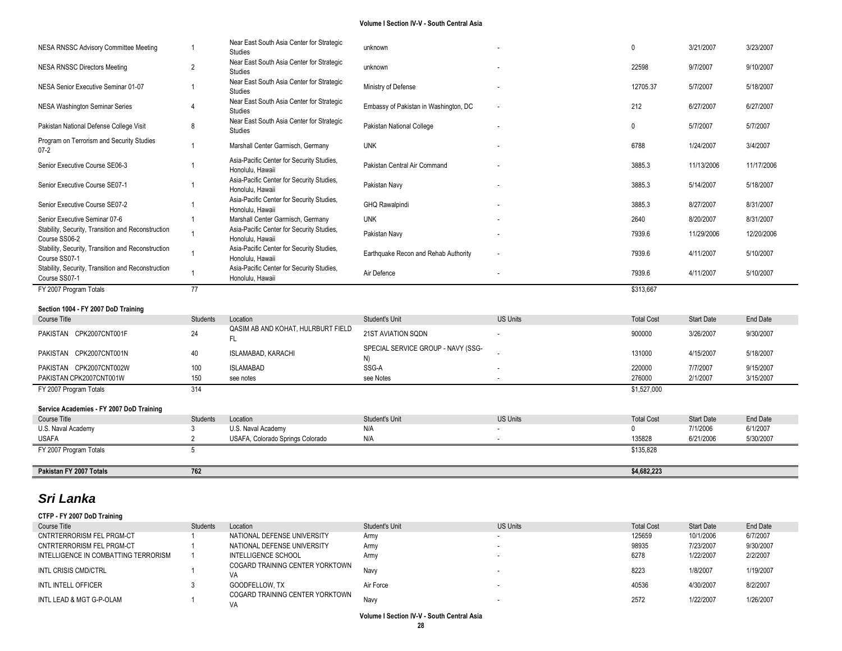| NESA RNSSC Advisory Committee Meeting                               |                 | Near East South Asia Center for Strategic<br><b>Studies</b>   | unknown                                  |                 | $\Omega$                          | 3/21/2007         | 3/23/2007       |
|---------------------------------------------------------------------|-----------------|---------------------------------------------------------------|------------------------------------------|-----------------|-----------------------------------|-------------------|-----------------|
| <b>NESA RNSSC Directors Meeting</b>                                 | 2               | Near East South Asia Center for Strategic<br><b>Studies</b>   | unknown                                  |                 | 22598                             | 9/7/2007          | 9/10/2007       |
| NESA Senior Executive Seminar 01-07                                 |                 | Near East South Asia Center for Strategic<br><b>Studies</b>   | Ministry of Defense                      |                 | 12705.37                          | 5/7/2007          | 5/18/2007       |
| NESA Washington Seminar Series                                      |                 | Near East South Asia Center for Strategic<br>Studies          | Embassy of Pakistan in Washington, DC    |                 | 212                               | 6/27/2007         | 6/27/2007       |
| Pakistan National Defense College Visit                             | 8               | Near East South Asia Center for Strategic<br>Studies          | Pakistan National College                |                 | 0                                 | 5/7/2007          | 5/7/2007        |
| Program on Terrorism and Security Studies<br>$07 - 2$               | 1               | Marshall Center Garmisch, Germany                             | <b>UNK</b>                               |                 | 6788                              | 1/24/2007         | 3/4/2007        |
| Senior Executive Course SE06-3                                      |                 | Asia-Pacific Center for Security Studies,<br>Honolulu, Hawaii | Pakistan Central Air Command             |                 | 3885.3                            | 11/13/2006        | 11/17/2006      |
| Senior Executive Course SE07-1                                      |                 | Asia-Pacific Center for Security Studies,<br>Honolulu, Hawaii | Pakistan Navy                            |                 | 3885.3                            | 5/14/2007         | 5/18/2007       |
| Senior Executive Course SE07-2                                      |                 | Asia-Pacific Center for Security Studies,<br>Honolulu, Hawaii | GHQ Rawalpindi                           |                 | 3885.3                            | 8/27/2007         | 8/31/2007       |
| Senior Executive Seminar 07-6                                       | 1               | Marshall Center Garmisch, Germany                             | <b>UNK</b>                               |                 | 2640                              | 8/20/2007         | 8/31/2007       |
| Stability, Security, Transition and Reconstruction<br>Course SS06-2 |                 | Asia-Pacific Center for Security Studies,<br>Honolulu, Hawaii | Pakistan Navy                            |                 | 7939.6                            | 11/29/2006        | 12/20/2006      |
| Stability, Security, Transition and Reconstruction<br>Course SS07-1 |                 | Asia-Pacific Center for Security Studies,<br>Honolulu, Hawaii | Earthquake Recon and Rehab Authority     |                 | 7939.6                            | 4/11/2007         | 5/10/2007       |
|                                                                     |                 |                                                               |                                          |                 |                                   |                   |                 |
| Stability, Security, Transition and Reconstruction<br>Course SS07-1 |                 | Asia-Pacific Center for Security Studies,<br>Honolulu, Hawaii | Air Defence                              |                 | 7939.6                            | 4/11/2007         | 5/10/2007       |
| FY 2007 Program Totals                                              | $\overline{77}$ |                                                               |                                          |                 | \$313,667                         |                   |                 |
|                                                                     |                 |                                                               |                                          |                 |                                   |                   |                 |
| Section 1004 - FY 2007 DoD Training                                 |                 |                                                               |                                          |                 |                                   |                   |                 |
| Course Title                                                        | <b>Students</b> | Location                                                      | Student's Unit                           | <b>US Units</b> | <b>Total Cost</b>                 | <b>Start Date</b> | <b>End Date</b> |
| PAKISTAN CPK2007CNT001F                                             | 24              | QASIM AB AND KOHAT, HULRBURT FIELD<br>FL.                     | 21ST AVIATION SQDN                       |                 | 900000                            | 3/26/2007         | 9/30/2007       |
| PAKISTAN CPK2007CNT001N                                             | 40              | <b>ISLAMABAD, KARACHI</b>                                     | SPECIAL SERVICE GROUP - NAVY (SSG-<br>N) |                 | 131000                            | 4/15/2007         | 5/18/2007       |
| PAKISTAN CPK2007CNT002W                                             | 100             | <b>ISLAMABAD</b>                                              | SSG-A                                    |                 | 220000                            | 7/7/2007          | 9/15/2007       |
| PAKISTAN CPK2007CNT001W                                             | 150             | see notes                                                     | see Notes                                | $\overline{a}$  | 276000                            | 2/1/2007          | 3/15/2007       |
| FY 2007 Program Totals                                              | 314             |                                                               |                                          |                 | \$1,527,000                       |                   |                 |
|                                                                     |                 |                                                               |                                          |                 |                                   |                   |                 |
| Service Academies - FY 2007 DoD Training                            |                 |                                                               |                                          |                 |                                   |                   |                 |
| Course Title                                                        | <b>Students</b> | Location                                                      | Student's Unit                           | <b>US Units</b> | <b>Total Cost</b><br>$\mathbf{0}$ | <b>Start Date</b> | <b>End Date</b> |
| U.S. Naval Academy                                                  | 3               | U.S. Naval Academy                                            | N/A<br>N/A                               |                 |                                   | 7/1/2006          | 6/1/2007        |
| <b>USAFA</b>                                                        | $\overline{2}$  | USAFA, Colorado Springs Colorado                              |                                          |                 | 135828                            | 6/21/2006         | 5/30/2007       |
| FY 2007 Program Totals                                              | 5               |                                                               |                                          |                 | \$135,828                         |                   |                 |
| Pakistan FY 2007 Totals                                             | 762             |                                                               |                                          |                 | \$4,682,223                       |                   |                 |

# *Sri Lanka*

| CTFP - FY 2007 DoD Training          |                 |                                       |                |                 |                   |                   |           |
|--------------------------------------|-----------------|---------------------------------------|----------------|-----------------|-------------------|-------------------|-----------|
| Course Title                         | <b>Students</b> | Location                              | Student's Unit | <b>US Units</b> | <b>Total Cost</b> | <b>Start Date</b> | End Date  |
| CNTRTERRORISM FEL PRGM-CT            |                 | NATIONAL DEFENSE UNIVERSITY           | Army           |                 | 125659            | 10/1/2006         | 6/7/2007  |
| CNTRTERRORISM FEL PRGM-CT            |                 | NATIONAL DEFENSE UNIVERSITY           | Army           |                 | 98935             | 7/23/2007         | 9/30/2007 |
| INTELLIGENCE IN COMBATTING TERRORISM |                 | INTELLIGENCE SCHOOL                   | Army           |                 | 6278              | 1/22/2007         | 2/2/2007  |
| INTL CRISIS CMD/CTRL                 |                 | COGARD TRAINING CENTER YORKTOWN<br>VA | Navy           |                 | 8223              | 1/8/2007          | 1/19/2007 |
| INTL INTELL OFFICER                  |                 | GOODFELLOW. TX                        | Air Force      |                 | 40536             | 4/30/2007         | 8/2/2007  |
| INTL LEAD & MGT G-P-OLAM             |                 | COGARD TRAINING CENTER YORKTOWN       | Nav            |                 | 2572              | 1/22/2007         | 1/26/2007 |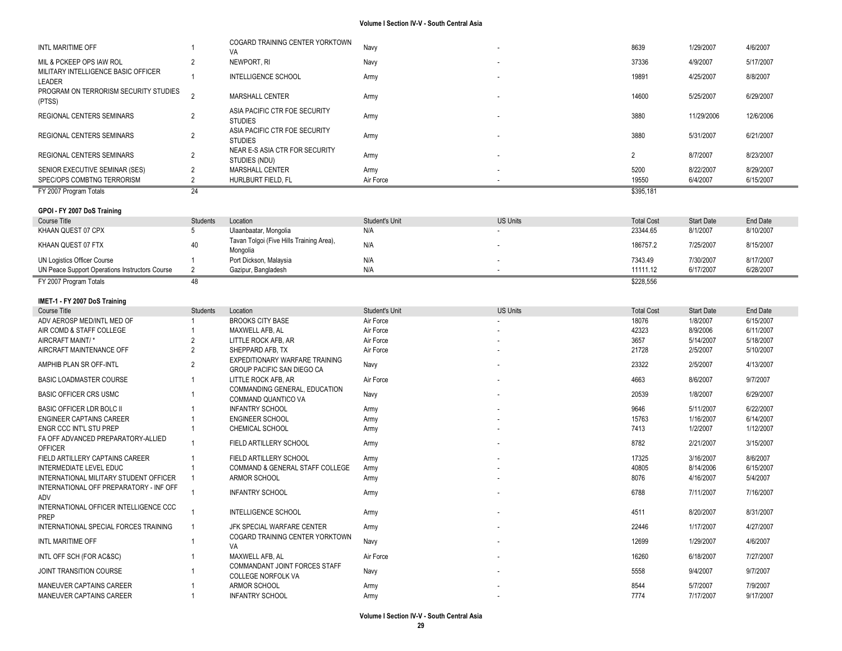| INTL MARITIME OFF                                                             |                     | COGARD TRAINING CENTER YORKTOWN                                     | Navy           |                 | 8639                | 1/29/2007              | 4/6/2007               |
|-------------------------------------------------------------------------------|---------------------|---------------------------------------------------------------------|----------------|-----------------|---------------------|------------------------|------------------------|
| MIL & PCKEEP OPS IAW ROL                                                      | $\overline{2}$      | VA<br>NEWPORT, RI                                                   | Navy           |                 | 37336               | 4/9/2007               | 5/17/2007              |
| MILITARY INTELLIGENCE BASIC OFFICER                                           |                     |                                                                     |                |                 |                     |                        |                        |
| LEADER                                                                        |                     | <b>INTELLIGENCE SCHOOL</b>                                          | Army           |                 | 19891               | 4/25/2007              | 8/8/2007               |
| PROGRAM ON TERRORISM SECURITY STUDIES<br>(PTSS)                               | $\overline{2}$      | MARSHALL CENTER                                                     | Army           |                 | 14600               | 5/25/2007              | 6/29/2007              |
| REGIONAL CENTERS SEMINARS                                                     | $\overline{2}$      | ASIA PACIFIC CTR FOE SECURITY<br><b>STUDIES</b>                     | Army           |                 | 3880                | 11/29/2006             | 12/6/2006              |
| REGIONAL CENTERS SEMINARS                                                     | $\overline{2}$      | ASIA PACIFIC CTR FOE SECURITY<br><b>STUDIES</b>                     | Army           |                 | 3880                | 5/31/2007              | 6/21/2007              |
| REGIONAL CENTERS SEMINARS                                                     | $\overline{2}$      | NEAR E-S ASIA CTR FOR SECURITY<br>STUDIES (NDU)                     | Army           |                 | $\overline{2}$      | 8/7/2007               | 8/23/2007              |
| SENIOR EXECUTIVE SEMINAR (SES)                                                | $\overline{2}$      | MARSHALL CENTER                                                     | Army           |                 | 5200                | 8/22/2007              | 8/29/2007              |
| SPEC/OPS COMBTNG TERRORISM                                                    | $\overline{2}$      | HURLBURT FIELD, FL                                                  | Air Force      |                 | 19550               | 6/4/2007               | 6/15/2007              |
| FY 2007 Program Totals                                                        | 24                  |                                                                     |                |                 | \$395,181           |                        |                        |
| GPOI - FY 2007 DoS Training                                                   |                     |                                                                     |                |                 |                     |                        |                        |
| <b>Course Title</b>                                                           | <b>Students</b>     | Location                                                            | Student's Unit | <b>US Units</b> | <b>Total Cost</b>   | <b>Start Date</b>      | End Date               |
| KHAAN QUEST 07 CPX                                                            | 5                   | Ulaanbaatar, Mongolia                                               | N/A            |                 | 23344.65            | 8/1/2007               | 8/10/2007              |
| KHAAN QUEST 07 FTX                                                            | 40                  | Tavan Tolgoi (Five Hills Training Area),                            | N/A            |                 | 186757.2            | 7/25/2007              | 8/15/2007              |
|                                                                               |                     | Mongolia                                                            |                |                 |                     |                        |                        |
| UN Logistics Officer Course<br>UN Peace Support Operations Instructors Course | 1<br>$\overline{2}$ | Port Dickson, Malaysia<br>Gazipur, Bangladesh                       | N/A<br>N/A     |                 | 7343.49<br>11111.12 | 7/30/2007<br>6/17/2007 | 8/17/2007<br>6/28/2007 |
| FY 2007 Program Totals                                                        | 48                  |                                                                     |                |                 | \$228,556           |                        |                        |
|                                                                               |                     |                                                                     |                |                 |                     |                        |                        |
| IMET-1 - FY 2007 DoS Training                                                 |                     |                                                                     |                |                 |                     |                        |                        |
| Course Title                                                                  | <b>Students</b>     | Location                                                            | Student's Unit | <b>US Units</b> | <b>Total Cost</b>   | <b>Start Date</b>      | End Date               |
| ADV AEROSP MED/INTL MED OF                                                    |                     | <b>BROOKS CITY BASE</b>                                             | Air Force      |                 | 18076               | 1/8/2007               | 6/15/2007              |
| AIR COMD & STAFF COLLEGE                                                      |                     | MAXWELL AFB, AL                                                     | Air Force      |                 | 42323               | 8/9/2006               | 6/11/2007              |
| AIRCRAFT MAINT/*                                                              | $\overline{2}$      | LITTLE ROCK AFB, AR                                                 | Air Force      |                 | 3657                | 5/14/2007              | 5/18/2007              |
| AIRCRAFT MAINTENANCE OFF                                                      | $\overline{2}$      | SHEPPARD AFB, TX                                                    | Air Force      |                 | 21728               | 2/5/2007               | 5/10/2007              |
| AMPHIB PLAN SR OFF-INTL                                                       | $\overline{2}$      | EXPEDITIONARY WARFARE TRAINING<br><b>GROUP PACIFIC SAN DIEGO CA</b> | Navy           |                 | 23322               | 2/5/2007               | 4/13/2007              |
| <b>BASIC LOADMASTER COURSE</b>                                                |                     | LITTLE ROCK AFB, AR                                                 | Air Force      |                 | 4663                | 8/6/2007               | 9/7/2007               |
| <b>BASIC OFFICER CRS USMC</b>                                                 |                     | COMMANDING GENERAL, EDUCATION<br>COMMAND QUANTICO VA                | Navy           |                 | 20539               | 1/8/2007               | 6/29/2007              |
| <b>BASIC OFFICER LDR BOLC II</b>                                              |                     | <b>INFANTRY SCHOOL</b>                                              | Army           |                 | 9646                | 5/11/2007              | 6/22/2007              |
| <b>ENGINEER CAPTAINS CAREER</b>                                               |                     | <b>ENGINEER SCHOOL</b>                                              | Army           |                 | 15763               | 1/16/2007              | 6/14/2007              |
| ENGR CCC INT'L STU PREP                                                       |                     | CHEMICAL SCHOOL                                                     | Army           |                 | 7413                | 1/2/2007               | 1/12/2007              |
| FA OFF ADVANCED PREPARATORY-ALLIED<br><b>OFFICER</b>                          |                     | FIELD ARTILLERY SCHOOL                                              | Army           |                 | 8782                | 2/21/2007              | 3/15/2007              |
| FIELD ARTILLERY CAPTAINS CAREER                                               |                     | FIELD ARTILLERY SCHOOL                                              | Army           |                 | 17325               | 3/16/2007              | 8/6/2007               |
| INTERMEDIATE LEVEL EDUC                                                       |                     | COMMAND & GENERAL STAFF COLLEGE                                     | Army           |                 | 40805               | 8/14/2006              | 6/15/2007              |
| INTERNATIONAL MILITARY STUDENT OFFICER                                        |                     | ARMOR SCHOOL                                                        | Army           |                 | 8076                | 4/16/2007              | 5/4/2007               |
| INTERNATIONAL OFF PREPARATORY - INF OFF<br>ADV                                |                     | <b>INFANTRY SCHOOL</b>                                              | Army           |                 | 6788                | 7/11/2007              | 7/16/2007              |
| INTERNATIONAL OFFICER INTELLIGENCE CCC                                        |                     | <b>INTELLIGENCE SCHOOL</b>                                          | Army           |                 | 4511                | 8/20/2007              | 8/31/2007              |
| INTERNATIONAL SPECIAL FORCES TRAINING                                         | $\mathbf{1}$        | JFK SPECIAL WARFARE CENTER                                          | Army           |                 | 22446               | 1/17/2007              | 4/27/2007              |
| INTL MARITIME OFF                                                             |                     | COGARD TRAINING CENTER YORKTOWN<br>VA                               | Navy           |                 | 12699               | 1/29/2007              | 4/6/2007               |
| INTL OFF SCH (FOR AC&SC)                                                      |                     | MAXWELL AFB, AL                                                     | Air Force      |                 | 16260               | 6/18/2007              | 7/27/2007              |
| JOINT TRANSITION COURSE                                                       |                     | COMMANDANT JOINT FORCES STAFF<br><b>COLLEGE NORFOLK VA</b>          | Navy           |                 | 5558                | 9/4/2007               | 9/7/2007               |
| MANEUVER CAPTAINS CAREER                                                      |                     | ARMOR SCHOOL                                                        | Army           |                 | 8544                | 5/7/2007               | 7/9/2007               |
| MANEUVER CAPTAINS CAREER                                                      |                     | <b>INFANTRY SCHOOL</b>                                              | Army           |                 | 7774                | 7/17/2007              | 9/17/2007              |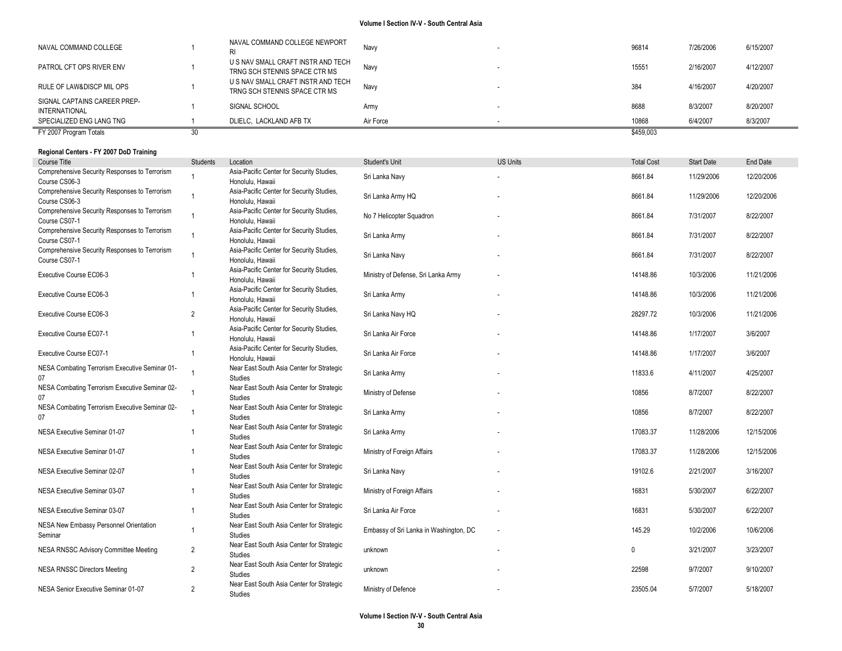| FY 2007 Program Totals                        |                                                                     |           | \$459,003 |           |           |
|-----------------------------------------------|---------------------------------------------------------------------|-----------|-----------|-----------|-----------|
| SPECIALIZED ENG LANG TNG                      | DLIELC. LACKLAND AFB TX                                             | Air Force | 10868     | 6/4/2007  | 8/3/2007  |
| SIGNAL CAPTAINS CAREER PREP-<br>INTERNATIONAL | SIGNAL SCHOOL                                                       | Army      | 8688      | 8/3/2007  | 8/20/2007 |
| RULE OF LAW&DISCP MIL OPS                     | U S NAV SMALL CRAFT INSTR AND TECH<br>TRNG SCH STENNIS SPACE CTR MS | Navy      | 384       | 4/16/2007 | 4/20/2007 |
| PATROL CFT OPS RIVER ENV                      | U S NAV SMALL CRAFT INSTR AND TECH<br>TRNG SCH STENNIS SPACE CTR MS | Navv      | 15551     | 2/16/2007 | 4/12/2007 |
| NAVAL COMMAND COLLEGE                         | NAVAL COMMAND COLLEGE NEWPORT                                       | Navv      | 96814     | 7/26/2006 | 6/15/2007 |

# **Regional Centers - FY 2007 DoD Training**

| Course Title                                                   | <b>Students</b> | Location                                                      | Student's Unit                         | <b>US Units</b> | <b>Total Cost</b> | <b>Start Date</b> | End Date   |
|----------------------------------------------------------------|-----------------|---------------------------------------------------------------|----------------------------------------|-----------------|-------------------|-------------------|------------|
| Comprehensive Security Responses to Terrorism                  | -1              | Asia-Pacific Center for Security Studies,                     | Sri Lanka Navy                         |                 | 8661.84           | 11/29/2006        | 12/20/2006 |
| Course CS06-3                                                  |                 | Honolulu, Hawaii                                              |                                        |                 |                   |                   |            |
| Comprehensive Security Responses to Terrorism<br>Course CS06-3 | $\overline{1}$  | Asia-Pacific Center for Security Studies,<br>Honolulu, Hawaii | Sri Lanka Army HQ                      |                 | 8661.84           | 11/29/2006        | 12/20/2006 |
| Comprehensive Security Responses to Terrorism<br>Course CS07-1 | $\overline{1}$  | Asia-Pacific Center for Security Studies,<br>Honolulu, Hawaii | No 7 Helicopter Squadron               |                 | 8661.84           | 7/31/2007         | 8/22/2007  |
| Comprehensive Security Responses to Terrorism<br>Course CS07-1 | $\overline{1}$  | Asia-Pacific Center for Security Studies,<br>Honolulu, Hawaii | Sri Lanka Army                         |                 | 8661.84           | 7/31/2007         | 8/22/2007  |
| Comprehensive Security Responses to Terrorism<br>Course CS07-1 | $\overline{1}$  | Asia-Pacific Center for Security Studies,<br>Honolulu, Hawaii | Sri Lanka Navy                         |                 | 8661.84           | 7/31/2007         | 8/22/2007  |
| Executive Course EC06-3                                        | $\overline{1}$  | Asia-Pacific Center for Security Studies,<br>Honolulu, Hawaii | Ministry of Defense, Sri Lanka Army    |                 | 14148.86          | 10/3/2006         | 11/21/2006 |
| Executive Course EC06-3                                        | $\overline{1}$  | Asia-Pacific Center for Security Studies,<br>Honolulu, Hawaii | Sri Lanka Army                         |                 | 14148.86          | 10/3/2006         | 11/21/2006 |
| Executive Course EC06-3                                        | $\overline{2}$  | Asia-Pacific Center for Security Studies,<br>Honolulu, Hawaii | Sri Lanka Navy HQ                      |                 | 28297.72          | 10/3/2006         | 11/21/2006 |
| Executive Course EC07-1                                        |                 | Asia-Pacific Center for Security Studies,<br>Honolulu, Hawaii | Sri Lanka Air Force                    |                 | 14148.86          | 1/17/2007         | 3/6/2007   |
| Executive Course EC07-1                                        | $\overline{1}$  | Asia-Pacific Center for Security Studies,<br>Honolulu, Hawaii | Sri Lanka Air Force                    |                 | 14148.86          | 1/17/2007         | 3/6/2007   |
| NESA Combating Terrorism Executive Seminar 01-<br>07           | $\overline{1}$  | Near East South Asia Center for Strategic<br><b>Studies</b>   | Sri Lanka Army                         |                 | 11833.6           | 4/11/2007         | 4/25/2007  |
| NESA Combating Terrorism Executive Seminar 02-<br>07           | $\overline{1}$  | Near East South Asia Center for Strategic<br><b>Studies</b>   | Ministry of Defense                    |                 | 10856             | 8/7/2007          | 8/22/2007  |
| NESA Combating Terrorism Executive Seminar 02-<br>07           |                 | Near East South Asia Center for Strategic<br><b>Studies</b>   | Sri Lanka Army                         |                 | 10856             | 8/7/2007          | 8/22/2007  |
| NESA Executive Seminar 01-07                                   | $\overline{1}$  | Near East South Asia Center for Strategic<br><b>Studies</b>   | Sri Lanka Army                         |                 | 17083.37          | 11/28/2006        | 12/15/2006 |
| NESA Executive Seminar 01-07                                   |                 | Near East South Asia Center for Strategic<br><b>Studies</b>   | Ministry of Foreign Affairs            |                 | 17083.37          | 11/28/2006        | 12/15/2006 |
| NESA Executive Seminar 02-07                                   | $\overline{1}$  | Near East South Asia Center for Strategic<br><b>Studies</b>   | Sri Lanka Navy                         |                 | 19102.6           | 2/21/2007         | 3/16/2007  |
| NESA Executive Seminar 03-07                                   | $\overline{1}$  | Near East South Asia Center for Strategic<br>Studies          | Ministry of Foreign Affairs            |                 | 16831             | 5/30/2007         | 6/22/2007  |
| NESA Executive Seminar 03-07                                   | $\overline{1}$  | Near East South Asia Center for Strategic<br><b>Studies</b>   | Sri Lanka Air Force                    |                 | 16831             | 5/30/2007         | 6/22/2007  |
| NESA New Embassy Personnel Orientation<br>Seminar              | $\overline{1}$  | Near East South Asia Center for Strategic<br><b>Studies</b>   | Embassy of Sri Lanka in Washington, DC |                 | 145.29            | 10/2/2006         | 10/6/2006  |
| NESA RNSSC Advisory Committee Meeting                          | $\overline{2}$  | Near East South Asia Center for Strategic<br>Studies          | unknown                                |                 | 0                 | 3/21/2007         | 3/23/2007  |
| <b>NESA RNSSC Directors Meeting</b>                            | $\overline{2}$  | Near East South Asia Center for Strategic<br>Studies          | unknown                                |                 | 22598             | 9/7/2007          | 9/10/2007  |
| NESA Senior Executive Seminar 01-07                            | $\overline{2}$  | Near East South Asia Center for Strategic<br>Studies          | Ministry of Defence                    |                 | 23505.04          | 5/7/2007          | 5/18/2007  |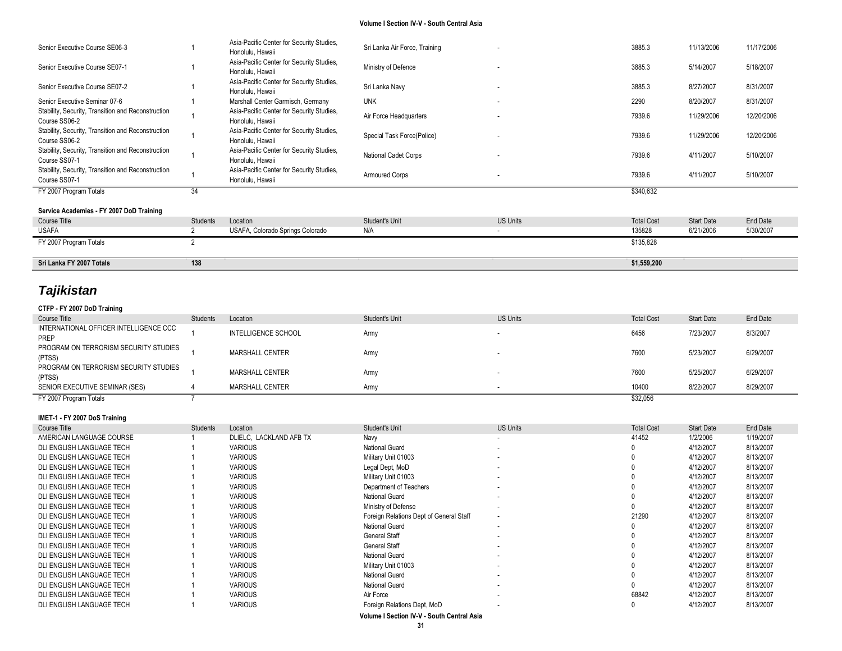| Senior Executive Course SE06-3                                      |              | Asia-Pacific Center for Security Studies,<br>Honolulu, Hawaii | Sri Lanka Air Force, Training |                 | 3885.3            | 11/13/2006        | 11/17/2006 |
|---------------------------------------------------------------------|--------------|---------------------------------------------------------------|-------------------------------|-----------------|-------------------|-------------------|------------|
| Senior Executive Course SE07-1                                      |              | Asia-Pacific Center for Security Studies,<br>Honolulu, Hawaii | Ministry of Defence           |                 | 3885.3            | 5/14/2007         | 5/18/2007  |
| Senior Executive Course SE07-2                                      |              | Asia-Pacific Center for Security Studies,<br>Honolulu, Hawaii | Sri Lanka Navy                | ٠               | 3885.3            | 8/27/2007         | 8/31/2007  |
| Senior Executive Seminar 07-6                                       |              | Marshall Center Garmisch, Germany                             | <b>UNK</b>                    | ٠               | 2290              | 8/20/2007         | 8/31/2007  |
| Stability, Security, Transition and Reconstruction<br>Course SS06-2 |              | Asia-Pacific Center for Security Studies,<br>Honolulu, Hawaii | Air Force Headquarters        |                 | 7939.6            | 11/29/2006        | 12/20/2006 |
| Stability, Security, Transition and Reconstruction<br>Course SS06-2 |              | Asia-Pacific Center for Security Studies,<br>Honolulu, Hawaii | Special Task Force(Police)    |                 | 7939.6            | 11/29/2006        | 12/20/2006 |
| Stability, Security, Transition and Reconstruction<br>Course SS07-1 |              | Asia-Pacific Center for Security Studies,<br>Honolulu, Hawaii | <b>National Cadet Corps</b>   | ٠               | 7939.6            | 4/11/2007         | 5/10/2007  |
| Stability, Security, Transition and Reconstruction<br>Course SS07-1 |              | Asia-Pacific Center for Security Studies,<br>Honolulu, Hawaii | <b>Armoured Corps</b>         |                 | 7939.6            | 4/11/2007         | 5/10/2007  |
| FY 2007 Program Totals                                              | 34           |                                                               |                               |                 | \$340,632         |                   |            |
| Service Academies - FY 2007 DoD Training                            |              |                                                               |                               |                 |                   |                   |            |
| Course Title                                                        | Students     | Location                                                      | Student's Unit                | <b>US Units</b> | <b>Total Cost</b> | <b>Start Date</b> | End Date   |
| <b>USAFA</b>                                                        |              | USAFA, Colorado Springs Colorado                              | N/A                           |                 | 135828            | 6/21/2006         | 5/30/2007  |
| FY 2007 Program Totals                                              | <sup>n</sup> |                                                               |                               |                 | \$135,828         |                   |            |
|                                                                     |              |                                                               |                               |                 |                   |                   |            |
| Sri Lanka FY 2007 Totals                                            | 138          |                                                               |                               |                 | \$1,559,200       |                   |            |

# *Tajikistan*

# **CTFP - FY 2007 DoD Training**

| Course Title                                    | <b>Students</b> | Location               | Student's Unit | <b>US Units</b> | <b>Total Cost</b> | <b>Start Date</b> | End Date  |
|-------------------------------------------------|-----------------|------------------------|----------------|-----------------|-------------------|-------------------|-----------|
| INTERNATIONAL OFFICER INTELLIGENCE CCC<br>PREP  |                 | INTELLIGENCE SCHOOL    | Armv           |                 | 6456              | 7/23/2007         | 8/3/2007  |
| PROGRAM ON TERRORISM SECURITY STUDIES<br>(PTSS) |                 | MARSHALL CENTER        | Armv           |                 | 7600              | 5/23/2007         | 6/29/2007 |
| PROGRAM ON TERRORISM SECURITY STUDIES<br>(PTSS) |                 | <b>MARSHALL CENTER</b> | Army           |                 | 7600              | 5/25/2007         | 6/29/2007 |
| SENIOR EXECUTIVE SEMINAR (SES)                  |                 | <b>MARSHALL CENTER</b> | Army           |                 | 10400             | 8/22/2007         | 8/29/2007 |
| FY 2007 Program Totals                          |                 |                        |                |                 | \$32,056          |                   |           |

## **IMET-1 - FY 2007 DoS Training**

| Course Title              | Students | Location                | Student's Unit                          | <b>US Units</b>          | <b>Total Cost</b> | <b>Start Date</b> | End Date  |
|---------------------------|----------|-------------------------|-----------------------------------------|--------------------------|-------------------|-------------------|-----------|
| AMERICAN LANGUAGE COURSE  |          | DLIELC, LACKLAND AFB TX | Navy                                    |                          | 41452             | 1/2/2006          | 1/19/2007 |
| DLI ENGLISH LANGUAGE TECH |          | <b>VARIOUS</b>          | National Guard                          |                          |                   | 4/12/2007         | 8/13/2007 |
| DLI ENGLISH LANGUAGE TECH |          | <b>VARIOUS</b>          | Military Unit 01003                     |                          |                   | 4/12/2007         | 8/13/2007 |
| DLI ENGLISH LANGUAGE TECH |          | <b>VARIOUS</b>          | Legal Dept, MoD                         | $\sim$                   |                   | 4/12/2007         | 8/13/2007 |
| DLI ENGLISH LANGUAGE TECH |          | <b>VARIOUS</b>          | Military Unit 01003                     |                          |                   | 4/12/2007         | 8/13/2007 |
| DLI ENGLISH LANGUAGE TECH |          | <b>VARIOUS</b>          | Department of Teachers                  |                          |                   | 4/12/2007         | 8/13/2007 |
| DLI ENGLISH LANGUAGE TECH |          | <b>VARIOUS</b>          | National Guard                          |                          |                   | 4/12/2007         | 8/13/2007 |
| DLI ENGLISH LANGUAGE TECH |          | <b>VARIOUS</b>          | Ministry of Defense                     |                          |                   | 4/12/2007         | 8/13/2007 |
| DLI ENGLISH LANGUAGE TECH |          | <b>VARIOUS</b>          | Foreign Relations Dept of General Staff | $\overline{\phantom{a}}$ | 21290             | 4/12/2007         | 8/13/2007 |
| DLI ENGLISH LANGUAGE TECH |          | <b>VARIOUS</b>          | National Guard                          |                          |                   | 4/12/2007         | 8/13/2007 |
| DLI ENGLISH LANGUAGE TECH |          | <b>VARIOUS</b>          | <b>General Staff</b>                    |                          |                   | 4/12/2007         | 8/13/2007 |
| DLI ENGLISH LANGUAGE TECH |          | <b>VARIOUS</b>          | <b>General Staff</b>                    |                          |                   | 4/12/2007         | 8/13/2007 |
| DLI ENGLISH LANGUAGE TECH |          | <b>VARIOUS</b>          | National Guard                          |                          |                   | 4/12/2007         | 8/13/2007 |
| DLI ENGLISH LANGUAGE TECH |          | <b>VARIOUS</b>          | Military Unit 01003                     |                          |                   | 4/12/2007         | 8/13/2007 |
| DLI ENGLISH LANGUAGE TECH |          | <b>VARIOUS</b>          | National Guard                          |                          |                   | 4/12/2007         | 8/13/2007 |
| DLI ENGLISH LANGUAGE TECH |          | <b>VARIOUS</b>          | National Guard                          |                          |                   | 4/12/2007         | 8/13/2007 |
| DLI ENGLISH LANGUAGE TECH |          | <b>VARIOUS</b>          | Air Force                               |                          | 68842             | 4/12/2007         | 8/13/2007 |
| DLI ENGLISH LANGUAGE TECH |          | <b>VARIOUS</b>          | Foreign Relations Dept, MoD             |                          |                   | 4/12/2007         | 8/13/2007 |
|                           |          |                         |                                         |                          |                   |                   |           |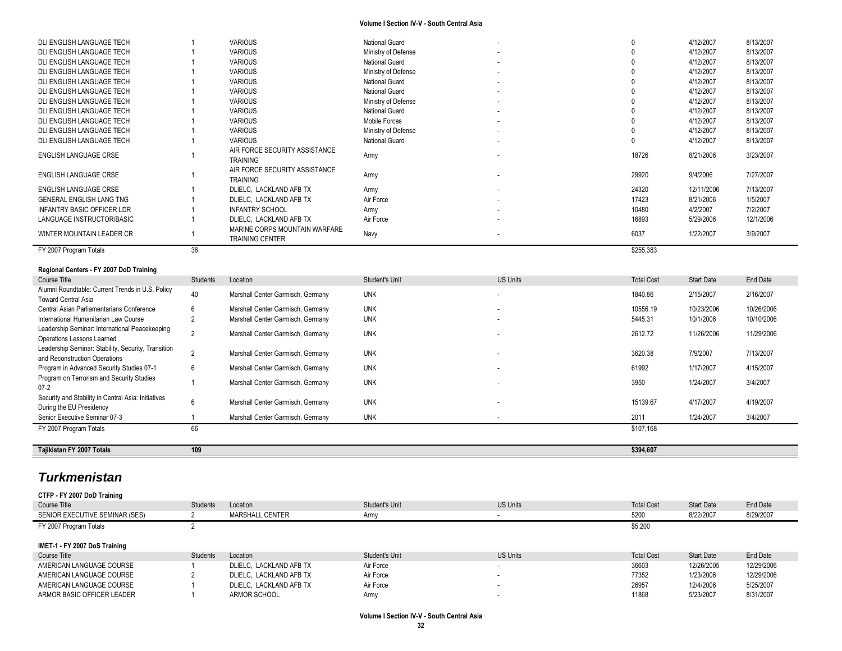| DLI ENGLISH LANGUAGE TECH                        |          | <b>VARIOUS</b>                                               | National Guard        |                 |                   | 4/12/2007         | 8/13/2007 |
|--------------------------------------------------|----------|--------------------------------------------------------------|-----------------------|-----------------|-------------------|-------------------|-----------|
| DLI ENGLISH LANGUAGE TECH                        |          | <b>VARIOUS</b>                                               | Ministry of Defense   |                 |                   | 4/12/2007         | 8/13/2007 |
| DLI ENGLISH LANGUAGE TECH                        |          | <b>VARIOUS</b>                                               | <b>National Guard</b> | $\sim$          |                   | 4/12/2007         | 8/13/2007 |
| DLI ENGLISH LANGUAGE TECH                        |          | <b>VARIOUS</b>                                               | Ministry of Defense   |                 |                   | 4/12/2007         | 8/13/2007 |
| DLI ENGLISH LANGUAGE TECH                        |          | <b>VARIOUS</b>                                               | National Guard        |                 |                   | 4/12/2007         | 8/13/2007 |
| DLI ENGLISH LANGUAGE TECH                        |          | <b>VARIOUS</b>                                               | National Guard        |                 |                   | 4/12/2007         | 8/13/2007 |
| DLI ENGLISH LANGUAGE TECH                        |          | <b>VARIOUS</b>                                               | Ministry of Defense   |                 |                   | 4/12/2007         | 8/13/2007 |
| DLI ENGLISH LANGUAGE TECH                        |          | <b>VARIOUS</b>                                               | National Guard        |                 |                   | 4/12/2007         | 8/13/2007 |
| DLI ENGLISH LANGUAGE TECH                        |          | <b>VARIOUS</b>                                               | Mobile Forces         |                 |                   | 4/12/2007         | 8/13/2007 |
| DLI ENGLISH LANGUAGE TECH                        |          | <b>VARIOUS</b>                                               | Ministry of Defense   |                 |                   | 4/12/2007         | 8/13/2007 |
| DLI ENGLISH LANGUAGE TECH                        |          | <b>VARIOUS</b>                                               | National Guard        |                 |                   | 4/12/2007         | 8/13/2007 |
| ENGLISH LANGUAGE CRSE                            |          | AIR FORCE SECURITY ASSISTANCE                                | Army                  |                 | 18726             | 8/21/2006         | 3/23/2007 |
| <b>ENGLISH LANGUAGE CRSE</b>                     |          | <b>TRAINING</b><br>AIR FORCE SECURITY ASSISTANCE<br>TRAINING | Army                  |                 | 29920             | 9/4/2006          | 7/27/2007 |
| <b>ENGLISH LANGUAGE CRSE</b>                     |          | DLIELC, LACKLAND AFB TX                                      | Army                  |                 | 24320             | 12/11/2006        | 7/13/2007 |
| <b>GENERAL ENGLISH LANG TNG</b>                  |          | DLIELC, LACKLAND AFB TX                                      | Air Force             |                 | 17423             | 8/21/2006         | 1/5/2007  |
| <b>INFANTRY BASIC OFFICER LDR</b>                |          | <b>INFANTRY SCHOOL</b>                                       | Army                  |                 | 10480             | 4/2/2007          | 7/2/2007  |
| LANGUAGE INSTRUCTOR/BASIC                        |          | DLIELC, LACKLAND AFB TX                                      | Air Force             |                 | 16893             | 5/29/2006         | 12/1/2006 |
| WINTER MOUNTAIN LEADER CR                        |          | MARINE CORPS MOUNTAIN WARFARE<br><b>TRAINING CENTER</b>      | Navy                  |                 | 6037              | 1/22/2007         | 3/9/2007  |
| FY 2007 Program Totals                           | 36       |                                                              |                       |                 | \$255,383         |                   |           |
| Regional Centers - FY 2007 DoD Training          |          |                                                              |                       |                 |                   |                   |           |
| Course Title                                     | Students | Location                                                     | Student's Unit        | <b>US Units</b> | <b>Total Cost</b> | <b>Start Date</b> | End Date  |
| Alumni Roundtable: Current Trends in U.S. Policy |          |                                                              |                       |                 |                   |                   |           |

| Course litle                                                                         | Students | Location                          | Student's Unit | US Units                 | l otal Cost | Start Date | End Date   |
|--------------------------------------------------------------------------------------|----------|-----------------------------------|----------------|--------------------------|-------------|------------|------------|
| Alumni Roundtable: Current Trends in U.S. Policy<br><b>Toward Central Asia</b>       | 40       | Marshall Center Garmisch, Germany | <b>UNK</b>     |                          | 1840.86     | 2/15/2007  | 2/16/2007  |
| Central Asian Parliamentarians Conference                                            | 6        | Marshall Center Garmisch, Germany | <b>UNK</b>     | $\overline{\phantom{a}}$ | 10556.19    | 10/23/2006 | 10/26/2006 |
| International Humanitarian Law Course                                                |          | Marshall Center Garmisch, Germany | <b>UNK</b>     | $\overline{\phantom{a}}$ | 5445.31     | 10/1/2006  | 10/10/2006 |
| Leadership Seminar: International Peacekeeping<br>Operations Lessons Learned         |          | Marshall Center Garmisch, Germany | <b>UNK</b>     | $\overline{\phantom{a}}$ | 2612.72     | 11/26/2006 | 11/29/2006 |
| Leadership Seminar: Stability, Security, Transition<br>and Reconstruction Operations |          | Marshall Center Garmisch, Germany | <b>UNK</b>     | ۰.                       | 3620.38     | 7/9/2007   | 7/13/2007  |
| Program in Advanced Security Studies 07-1                                            | 6        | Marshall Center Garmisch, Germany | <b>UNK</b>     | ۰.                       | 61992       | 1/17/2007  | 4/15/2007  |
| Program on Terrorism and Security Studies<br>$07-2$                                  |          | Marshall Center Garmisch, Germany | <b>UNK</b>     | ۰.                       | 3950        | 1/24/2007  | 3/4/2007   |
| Security and Stability in Central Asia: Initiatives<br>During the EU Presidency      | 6        | Marshall Center Garmisch, Germany | <b>UNK</b>     | $\overline{\phantom{a}}$ | 15139.67    | 4/17/2007  | 4/19/2007  |
| Senior Executive Seminar 07-3                                                        |          | Marshall Center Garmisch, Germany | <b>UNK</b>     |                          | 2011        | 1/24/2007  | 3/4/2007   |
| FY 2007 Program Totals                                                               | 66       |                                   |                |                          | \$107.168   |            |            |
| Tajikistan FY 2007 Totals                                                            | 109      |                                   |                |                          | \$394,607   |            |            |

# *Turkmenistan*

**CTFP - FY 2007 DoD Training** Course Title Students Students Location Students Unit Student's Unit US Units Unit US Units Total Cost Start Date End Date SENIOR EXECUTIVE SEMINAR (SES) 2 MARSHALL CENTER Army - 5200 8/22/2007 8/29/2007 8/29/2007 FY 2007 Program Totals 2 \$5,200 **IMET-1 - FY 2007 DoS Training** Course Title Students Students Location Students Unit Student's Unit US Units Unit US Units Total Cost Start Date End Date AMERICAN LANGUAGE COURSE 1 DLIELC, LACKLAND AFB TX Air Force 4 CHANNEY 2006 12/29/2006 12/29/2006 12/29/2006 AMERICAN LANGUAGE COURSE 2 DLIELC, LACKLAND AFB TX Air Force 2 - 7 - 7 - 77352 1/23/2006 12/29/2006 12/29/2006<br>AMERICAN LANGUAGE COURSE 1 DLIELC. LACKLAND AFB TX Air Force 2 - 7 - 7 - 7 - 7 - 7 - 26957 12/4/2006 5/25/2007 AMERICAN LANGUAGE COURSE 1 DLIELC, LACKLAND AFB TX air Force 26957 120957 ARMOR BASIC OFFICER LEADER 1 ARMOR SCHOOL Army - 11868 5/23/2007 8/31/2007